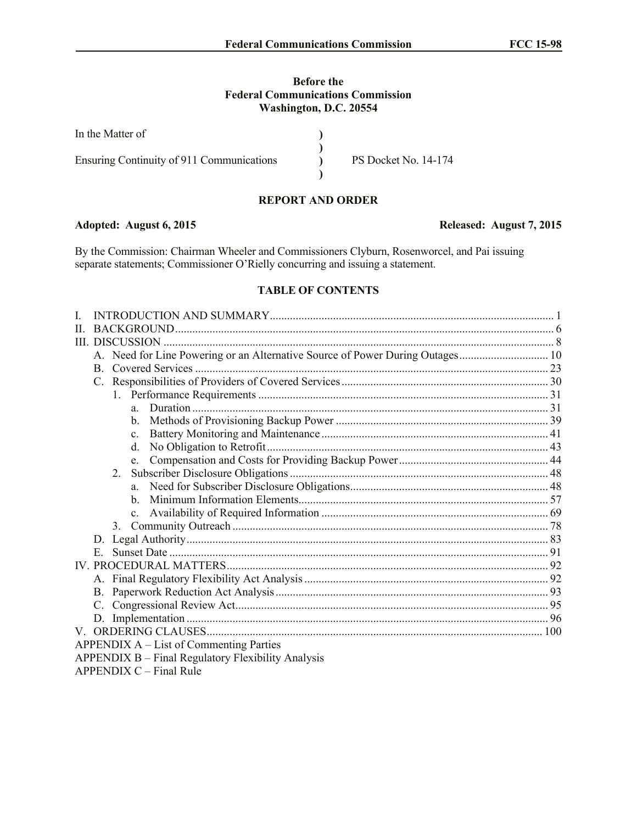## **Before the Federal Communications Commission Washington, D.C. 20554**

| In the Matter of                          |                             |
|-------------------------------------------|-----------------------------|
| Ensuring Continuity of 911 Communications | <b>PS Docket No. 14-174</b> |

# **REPORT AND ORDER**

### **Adopted: August 6, 2015 Released: August 7, 2015**

By the Commission: Chairman Wheeler and Commissioners Clyburn, Rosenworcel, and Pai issuing separate statements; Commissioner O'Rielly concurring and issuing a statement.

## **TABLE OF CONTENTS**

| L                                                  |                                                                               |  |                |                           |  |  |
|----------------------------------------------------|-------------------------------------------------------------------------------|--|----------------|---------------------------|--|--|
| H                                                  |                                                                               |  |                |                           |  |  |
|                                                    |                                                                               |  |                |                           |  |  |
|                                                    | A. Need for Line Powering or an Alternative Source of Power During Outages 10 |  |                |                           |  |  |
|                                                    |                                                                               |  |                |                           |  |  |
|                                                    |                                                                               |  |                |                           |  |  |
|                                                    |                                                                               |  |                |                           |  |  |
|                                                    |                                                                               |  | a              |                           |  |  |
|                                                    |                                                                               |  | b.             |                           |  |  |
|                                                    |                                                                               |  | $\mathbf{c}$   |                           |  |  |
|                                                    |                                                                               |  | $d_{-}$        |                           |  |  |
|                                                    |                                                                               |  | $e_{-}$        |                           |  |  |
|                                                    | 2.                                                                            |  |                |                           |  |  |
|                                                    |                                                                               |  |                |                           |  |  |
|                                                    |                                                                               |  | h.             |                           |  |  |
|                                                    |                                                                               |  | $\mathbf{c}$ . |                           |  |  |
|                                                    |                                                                               |  |                |                           |  |  |
|                                                    |                                                                               |  |                |                           |  |  |
|                                                    | E.                                                                            |  |                |                           |  |  |
|                                                    |                                                                               |  |                |                           |  |  |
|                                                    |                                                                               |  |                |                           |  |  |
|                                                    | B.                                                                            |  |                |                           |  |  |
|                                                    |                                                                               |  |                |                           |  |  |
|                                                    |                                                                               |  |                |                           |  |  |
|                                                    |                                                                               |  |                |                           |  |  |
| APPENDIX A – List of Commenting Parties            |                                                                               |  |                |                           |  |  |
| APPENDIX B - Final Regulatory Flexibility Analysis |                                                                               |  |                |                           |  |  |
|                                                    |                                                                               |  |                | $APPENDIX C - Final Rule$ |  |  |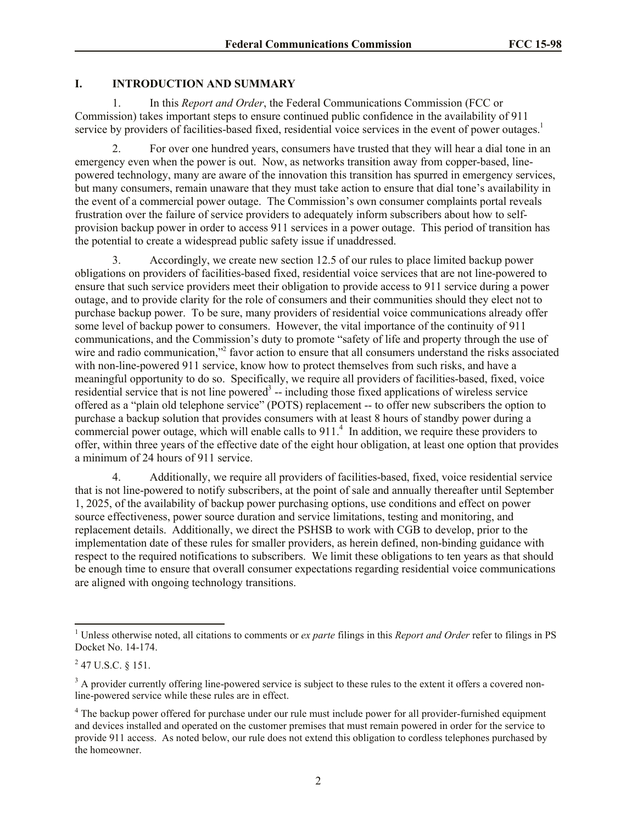# **I. INTRODUCTION AND SUMMARY**

1. In this *Report and Order*, the Federal Communications Commission (FCC or Commission) takes important steps to ensure continued public confidence in the availability of 911 service by providers of facilities-based fixed, residential voice services in the event of power outages.<sup>1</sup>

2. For over one hundred years, consumers have trusted that they will hear a dial tone in an emergency even when the power is out. Now, as networks transition away from copper-based, linepowered technology, many are aware of the innovation this transition has spurred in emergency services, but many consumers, remain unaware that they must take action to ensure that dial tone's availability in the event of a commercial power outage. The Commission's own consumer complaints portal reveals frustration over the failure of service providers to adequately inform subscribers about how to selfprovision backup power in order to access 911 services in a power outage. This period of transition has the potential to create a widespread public safety issue if unaddressed.

3. Accordingly, we create new section 12.5 of our rules to place limited backup power obligations on providers of facilities-based fixed, residential voice services that are not line-powered to ensure that such service providers meet their obligation to provide access to 911 service during a power outage, and to provide clarity for the role of consumers and their communities should they elect not to purchase backup power. To be sure, many providers of residential voice communications already offer some level of backup power to consumers. However, the vital importance of the continuity of 911 communications, and the Commission's duty to promote "safety of life and property through the use of wire and radio communication,"<sup>2</sup> favor action to ensure that all consumers understand the risks associated with non-line-powered 911 service, know how to protect themselves from such risks, and have a meaningful opportunity to do so. Specifically, we require all providers of facilities-based, fixed, voice residential service that is not line powered<sup>3</sup> -- including those fixed applications of wireless service offered as a "plain old telephone service" (POTS) replacement -- to offer new subscribers the option to purchase a backup solution that provides consumers with at least 8 hours of standby power during a commercial power outage, which will enable calls to 911.<sup>4</sup> In addition, we require these providers to offer, within three years of the effective date of the eight hour obligation, at least one option that provides a minimum of 24 hours of 911 service.

4. Additionally, we require all providers of facilities-based, fixed, voice residential service that is not line-powered to notify subscribers, at the point of sale and annually thereafter until September 1, 2025, of the availability of backup power purchasing options, use conditions and effect on power source effectiveness, power source duration and service limitations, testing and monitoring, and replacement details. Additionally, we direct the PSHSB to work with CGB to develop, prior to the implementation date of these rules for smaller providers, as herein defined, non-binding guidance with respect to the required notifications to subscribers. We limit these obligations to ten years as that should be enough time to ensure that overall consumer expectations regarding residential voice communications are aligned with ongoing technology transitions.

 $\overline{\phantom{a}}$ 

<sup>&</sup>lt;sup>1</sup> Unless otherwise noted, all citations to comments or *ex parte* filings in this *Report and Order* refer to filings in PS Docket No. 14-174.

 $^{2}$  47 U.S.C. § 151.

<sup>&</sup>lt;sup>3</sup> A provider currently offering line-powered service is subject to these rules to the extent it offers a covered nonline-powered service while these rules are in effect.

<sup>&</sup>lt;sup>4</sup> The backup power offered for purchase under our rule must include power for all provider-furnished equipment and devices installed and operated on the customer premises that must remain powered in order for the service to provide 911 access. As noted below, our rule does not extend this obligation to cordless telephones purchased by the homeowner.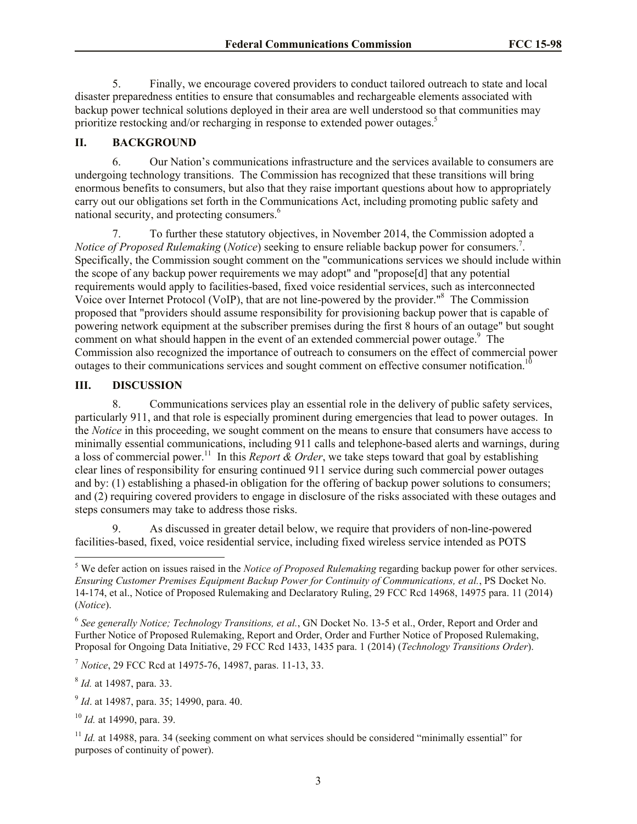5. Finally, we encourage covered providers to conduct tailored outreach to state and local disaster preparedness entities to ensure that consumables and rechargeable elements associated with backup power technical solutions deployed in their area are well understood so that communities may prioritize restocking and/or recharging in response to extended power outages.<sup>5</sup>

## **II. BACKGROUND**

6. Our Nation's communications infrastructure and the services available to consumers are undergoing technology transitions. The Commission has recognized that these transitions will bring enormous benefits to consumers, but also that they raise important questions about how to appropriately carry out our obligations set forth in the Communications Act, including promoting public safety and national security, and protecting consumers.<sup>6</sup>

7. To further these statutory objectives, in November 2014, the Commission adopted a *Notice of Proposed Rulemaking (Notice)* seeking to ensure reliable backup power for consumers.<sup>7</sup>. Specifically, the Commission sought comment on the "communications services we should include within the scope of any backup power requirements we may adopt" and "propose[d] that any potential requirements would apply to facilities-based, fixed voice residential services, such as interconnected Voice over Internet Protocol (VoIP), that are not line-powered by the provider."<sup>8</sup> The Commission proposed that "providers should assume responsibility for provisioning backup power that is capable of powering network equipment at the subscriber premises during the first 8 hours of an outage" but sought comment on what should happen in the event of an extended commercial power outage. $9$  The Commission also recognized the importance of outreach to consumers on the effect of commercial power outages to their communications services and sought comment on effective consumer notification.<sup>10</sup>

#### **III. DISCUSSION**

8. Communications services play an essential role in the delivery of public safety services, particularly 911, and that role is especially prominent during emergencies that lead to power outages. In the *Notice* in this proceeding, we sought comment on the means to ensure that consumers have access to minimally essential communications, including 911 calls and telephone-based alerts and warnings, during a loss of commercial power.<sup>11</sup> In this *Report & Order*, we take steps toward that goal by establishing clear lines of responsibility for ensuring continued 911 service during such commercial power outages and by: (1) establishing a phased-in obligation for the offering of backup power solutions to consumers; and (2) requiring covered providers to engage in disclosure of the risks associated with these outages and steps consumers may take to address those risks.

9. As discussed in greater detail below, we require that providers of non-line-powered facilities-based, fixed, voice residential service, including fixed wireless service intended as POTS

<sup>7</sup> *Notice*, 29 FCC Rcd at 14975-76, 14987, paras. 11-13, 33.

8 *Id.* at 14987, para. 33.

 $\overline{\phantom{a}}$ 

9 *Id*. at 14987, para. 35; 14990, para. 40.

<sup>10</sup> *Id.* at 14990, para. 39.

<sup>5</sup> We defer action on issues raised in the *Notice of Proposed Rulemaking* regarding backup power for other services. *Ensuring Customer Premises Equipment Backup Power for Continuity of Communications, et al.*, PS Docket No. 14-174, et al., Notice of Proposed Rulemaking and Declaratory Ruling, 29 FCC Rcd 14968, 14975 para. 11 (2014) (*Notice*).

<sup>6</sup> *See generally Notice; Technology Transitions, et al.*, GN Docket No. 13-5 et al., Order, Report and Order and Further Notice of Proposed Rulemaking, Report and Order, Order and Further Notice of Proposed Rulemaking, Proposal for Ongoing Data Initiative, 29 FCC Rcd 1433, 1435 para. 1 (2014) (*Technology Transitions Order*).

<sup>&</sup>lt;sup>11</sup> *Id.* at 14988, para. 34 (seeking comment on what services should be considered "minimally essential" for purposes of continuity of power).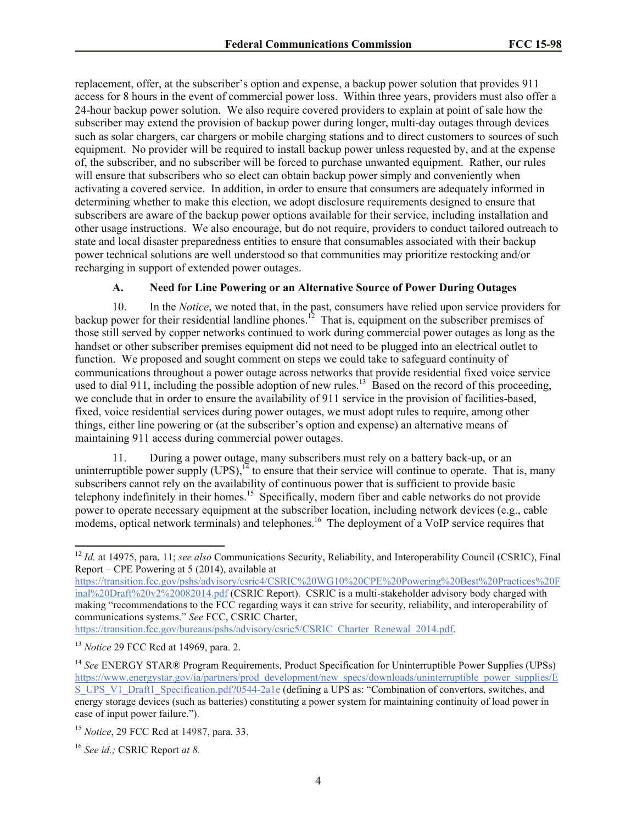replacement, offer, at the subscriber's option and expense, a backup power solution that provides 911 access for 8 hours in the event of commercial power loss. Within three years, providers must also offer a 24-hour backup power solution. We also require covered providers to explain at point of sale how the subscriber may extend the provision of backup power during longer, multi-day outages through devices such as solar chargers, car chargers or mobile charging stations and to direct customers to sources of such equipment. No provider will be required to install backup power unless requested by, and at the expense of, the subscriber, and no subscriber will be forced to purchase unwanted equipment. Rather, our rules will ensure that subscribers who so elect can obtain backup power simply and conveniently when activating a covered service. In addition, in order to ensure that consumers are adequately informed in determining whether to make this election, we adopt disclosure requirements designed to ensure that subscribers are aware of the backup power options available for their service, including installation and other usage instructions. We also encourage, but do not require, providers to conduct tailored outreach to state and local disaster preparedness entities to ensure that consumables associated with their backup power technical solutions are well understood so that communities may prioritize restocking and/or recharging in support of extended power outages.

# **A. Need for Line Powering or an Alternative Source of Power During Outages**

10. In the *Notice*, we noted that, in the past, consumers have relied upon service providers for backup power for their residential landline phones.<sup>12</sup> That is, equipment on the subscriber premises of those still served by copper networks continued to work during commercial power outages as long as the handset or other subscriber premises equipment did not need to be plugged into an electrical outlet to function. We proposed and sought comment on steps we could take to safeguard continuity of communications throughout a power outage across networks that provide residential fixed voice service used to dial 911, including the possible adoption of new rules.<sup>13</sup> Based on the record of this proceeding, we conclude that in order to ensure the availability of 911 service in the provision of facilities-based, fixed, voice residential services during power outages, we must adopt rules to require, among other things, either line powering or (at the subscriber's option and expense) an alternative means of maintaining 911 access during commercial power outages.

11. During a power outage, many subscribers must rely on a battery back-up, or an uninterruptible power supply  $(UPS)$ ,  $^{14}$  to ensure that their service will continue to operate. That is, many subscribers cannot rely on the availability of continuous power that is sufficient to provide basic telephony indefinitely in their homes.<sup>15</sup> Specifically, modern fiber and cable networks do not provide power to operate necessary equipment at the subscriber location, including network devices (e.g., cable modems, optical network terminals) and telephones.<sup>16</sup> The deployment of a VoIP service requires that

https://transition.fcc.gov/bureaus/pshs/advisory/csric5/CSRIC\_Charter\_Renewal\_2014.pdf.

 $\overline{\phantom{a}}$ 

<sup>&</sup>lt;sup>12</sup> *Id.* at 14975, para. 11; *see also* Communications Security, Reliability, and Interoperability Council (CSRIC), Final Report – CPE Powering at 5 (2014), available at

https://transition.fcc.gov/pshs/advisory/csric4/CSRIC%20WG10%20CPE%20Powering%20Best%20Practices%20F inal%20Draft%20v2%20082014.pdf (CSRIC Report). CSRIC is a multi-stakeholder advisory body charged with making "recommendations to the FCC regarding ways it can strive for security, reliability, and interoperability of communications systems." *See* FCC, CSRIC Charter,

<sup>13</sup> *Notice* 29 FCC Rcd at 14969, para. 2.

<sup>14</sup> *See* ENERGY STAR® Program Requirements, Product Specification for Uninterruptible Power Supplies (UPSs) https://www.energystar.gov/ia/partners/prod\_development/new\_specs/downloads/uninterruptible\_power\_supplies/E S\_UPS\_V1\_Draft1\_Specification.pdf?0544-2a1e (defining a UPS as: "Combination of convertors, switches, and energy storage devices (such as batteries) constituting a power system for maintaining continuity of load power in case of input power failure.").

<sup>15</sup> *Notice*, 29 FCC Rcd at 14987, para. 33.

<sup>16</sup> *See id.;* CSRIC Report *at 8.*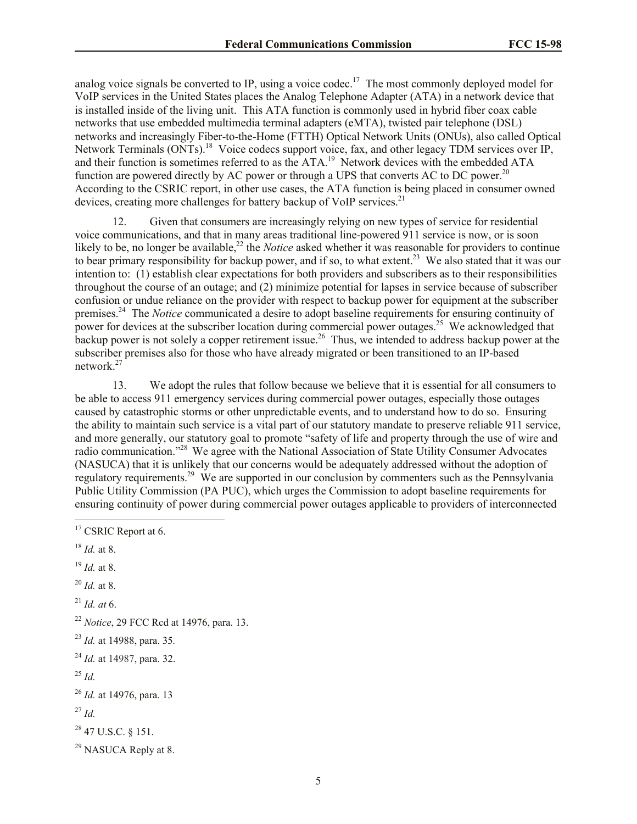analog voice signals be converted to IP, using a voice codec.<sup>17</sup> The most commonly deployed model for VoIP services in the United States places the Analog Telephone Adapter (ATA) in a network device that is installed inside of the living unit. This ATA function is commonly used in hybrid fiber coax cable networks that use embedded multimedia terminal adapters (eMTA), twisted pair telephone (DSL) networks and increasingly Fiber-to-the-Home (FTTH) Optical Network Units (ONUs), also called Optical Network Terminals (ONTs).<sup>18</sup> Voice codecs support voice, fax, and other legacy TDM services over IP, and their function is sometimes referred to as the ATA.<sup>19</sup> Network devices with the embedded ATA function are powered directly by AC power or through a UPS that converts AC to DC power.<sup>20</sup> According to the CSRIC report, in other use cases, the ATA function is being placed in consumer owned devices, creating more challenges for battery backup of VoIP services.<sup>21</sup>

12. Given that consumers are increasingly relying on new types of service for residential voice communications, and that in many areas traditional line-powered 911 service is now, or is soon likely to be, no longer be available,<sup>22</sup> the *Notice* asked whether it was reasonable for providers to continue to bear primary responsibility for backup power, and if so, to what extent.<sup>23</sup> We also stated that it was our intention to: (1) establish clear expectations for both providers and subscribers as to their responsibilities throughout the course of an outage; and (2) minimize potential for lapses in service because of subscriber confusion or undue reliance on the provider with respect to backup power for equipment at the subscriber premises.<sup>24</sup> The *Notice* communicated a desire to adopt baseline requirements for ensuring continuity of power for devices at the subscriber location during commercial power outages.<sup>25</sup> We acknowledged that  $\epsilon$  backup power is not solely a copper retirement issue.<sup>26</sup> Thus, we intended to address backup power at the subscriber premises also for those who have already migrated or been transitioned to an IP-based network. $27$ 

13. We adopt the rules that follow because we believe that it is essential for all consumers to be able to access 911 emergency services during commercial power outages, especially those outages caused by catastrophic storms or other unpredictable events, and to understand how to do so. Ensuring the ability to maintain such service is a vital part of our statutory mandate to preserve reliable 911 service, and more generally, our statutory goal to promote "safety of life and property through the use of wire and radio communication."<sup>28</sup> We agree with the National Association of State Utility Consumer Advocates (NASUCA) that it is unlikely that our concerns would be adequately addressed without the adoption of regulatory requirements.<sup>29</sup> We are supported in our conclusion by commenters such as the Pennsylvania Public Utility Commission (PA PUC), which urges the Commission to adopt baseline requirements for ensuring continuity of power during commercial power outages applicable to providers of interconnected

- <sup>18</sup> *Id.* at 8.
- <sup>19</sup> *Id.* at 8.
- <sup>20</sup> *Id.* at 8.
- <sup>21</sup> *Id. at* 6.

<sup>25</sup> *Id.*

<sup>27</sup> *Id.*

<sup>28</sup> 47 U.S.C. § 151.

<sup>29</sup> NASUCA Reply at 8.

 $\overline{\phantom{a}}$ <sup>17</sup> CSRIC Report at 6.

<sup>22</sup> *Notice*, 29 FCC Rcd at 14976, para. 13.

<sup>23</sup> *Id.* at 14988, para. 35*.*

<sup>24</sup> *Id.* at 14987, para. 32.

<sup>26</sup> *Id.* at 14976, para. 13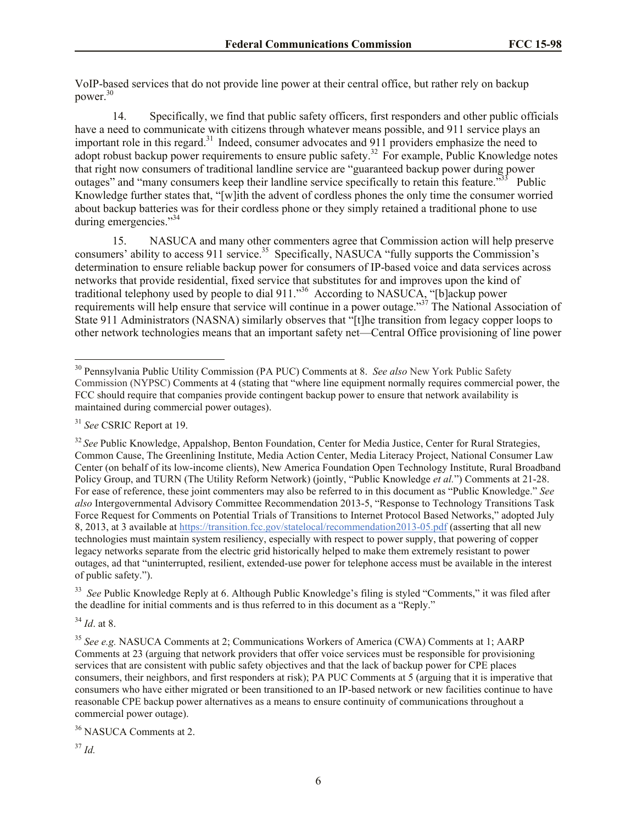VoIP-based services that do not provide line power at their central office, but rather rely on backup power.<sup>30</sup>

14. Specifically, we find that public safety officers, first responders and other public officials have a need to communicate with citizens through whatever means possible, and 911 service plays an important role in this regard.<sup>31</sup> Indeed, consumer advocates and 911 providers emphasize the need to adopt robust backup power requirements to ensure public safety.<sup>32</sup> For example, Public Knowledge notes that right now consumers of traditional landline service are "guaranteed backup power during power outages" and "many consumers keep their landline service specifically to retain this feature."<sup>33</sup> Public Knowledge further states that, "[w]ith the advent of cordless phones the only time the consumer worried about backup batteries was for their cordless phone or they simply retained a traditional phone to use during emergencies."<sup>34</sup>

15. NASUCA and many other commenters agree that Commission action will help preserve consumers' ability to access 911 service.<sup>35</sup> Specifically, NASUCA "fully supports the Commission's determination to ensure reliable backup power for consumers of IP-based voice and data services across networks that provide residential, fixed service that substitutes for and improves upon the kind of traditional telephony used by people to dial 911.<sup>336</sup> According to NASUCA, "[b]ackup power requirements will help ensure that service will continue in a power outage."<sup>37</sup> The National Association of State 911 Administrators (NASNA) similarly observes that "[t]he transition from legacy copper loops to other network technologies means that an important safety net—Central Office provisioning of line power

l

<sup>32</sup> See Public Knowledge, Appalshop, Benton Foundation, Center for Media Justice, Center for Rural Strategies, Common Cause, The Greenlining Institute, Media Action Center, Media Literacy Project, National Consumer Law Center (on behalf of its low-income clients), New America Foundation Open Technology Institute, Rural Broadband Policy Group, and TURN (The Utility Reform Network) (jointly, "Public Knowledge *et al.*") Comments at 21-28. For ease of reference, these joint commenters may also be referred to in this document as "Public Knowledge." *See also* Intergovernmental Advisory Committee Recommendation 2013-5, "Response to Technology Transitions Task Force Request for Comments on Potential Trials of Transitions to Internet Protocol Based Networks," adopted July 8, 2013, at 3 available at https://transition.fcc.gov/statelocal/recommendation2013-05.pdf (asserting that all new technologies must maintain system resiliency, especially with respect to power supply, that powering of copper legacy networks separate from the electric grid historically helped to make them extremely resistant to power outages, ad that "uninterrupted, resilient, extended-use power for telephone access must be available in the interest of public safety.").

<sup>33</sup> *See* Public Knowledge Reply at 6. Although Public Knowledge's filing is styled "Comments," it was filed after the deadline for initial comments and is thus referred to in this document as a "Reply."

<sup>34</sup> *Id*. at 8.

<sup>35</sup> *See e.g.* NASUCA Comments at 2; Communications Workers of America (CWA) Comments at 1; AARP Comments at 23 (arguing that network providers that offer voice services must be responsible for provisioning services that are consistent with public safety objectives and that the lack of backup power for CPE places consumers, their neighbors, and first responders at risk); PA PUC Comments at 5 (arguing that it is imperative that consumers who have either migrated or been transitioned to an IP-based network or new facilities continue to have reasonable CPE backup power alternatives as a means to ensure continuity of communications throughout a commercial power outage).

<sup>36</sup> NASUCA Comments at 2.

<sup>37</sup> *Id.*

<sup>30</sup> Pennsylvania Public Utility Commission (PA PUC) Comments at 8. *See also* New York Public Safety Commission (NYPSC) Comments at 4 (stating that "where line equipment normally requires commercial power, the FCC should require that companies provide contingent backup power to ensure that network availability is maintained during commercial power outages).

<sup>31</sup> *See* CSRIC Report at 19.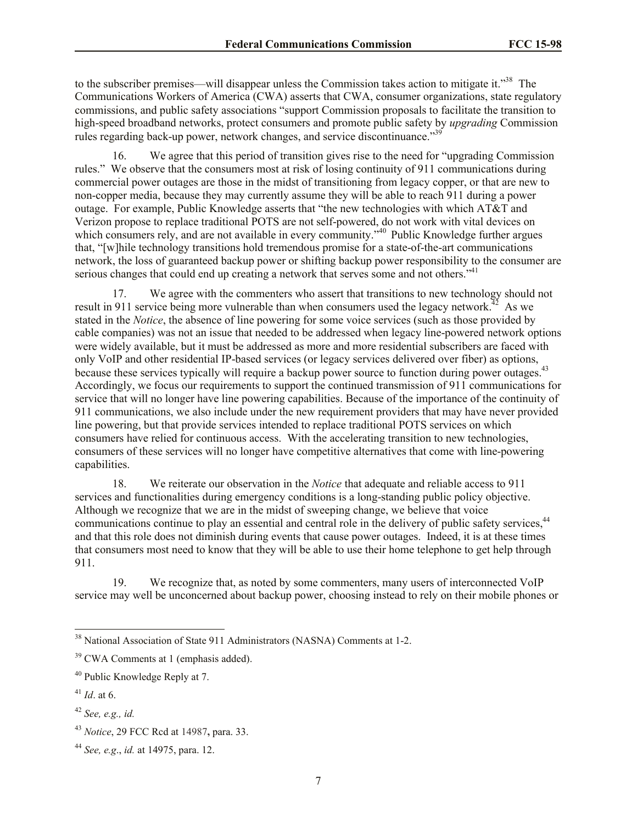to the subscriber premises—will disappear unless the Commission takes action to mitigate it."<sup>38</sup> The Communications Workers of America (CWA) asserts that CWA, consumer organizations, state regulatory commissions, and public safety associations "support Commission proposals to facilitate the transition to high-speed broadband networks, protect consumers and promote public safety by *upgrading* Commission rules regarding back-up power, network changes, and service discontinuance."<sup>39</sup>

16. We agree that this period of transition gives rise to the need for "upgrading Commission rules." We observe that the consumers most at risk of losing continuity of 911 communications during commercial power outages are those in the midst of transitioning from legacy copper, or that are new to non-copper media, because they may currently assume they will be able to reach 911 during a power outage. For example, Public Knowledge asserts that "the new technologies with which AT&T and Verizon propose to replace traditional POTS are not self-powered, do not work with vital devices on which consumers rely, and are not available in every community.<sup>540</sup> Public Knowledge further argues that, "[w]hile technology transitions hold tremendous promise for a state-of-the-art communications network, the loss of guaranteed backup power or shifting backup power responsibility to the consumer are serious changes that could end up creating a network that serves some and not others."<sup>41</sup>

17. We agree with the commenters who assert that transitions to new technology should not result in 911 service being more vulnerable than when consumers used the legacy network.<sup> $42$ </sup> As we stated in the *Notice*, the absence of line powering for some voice services (such as those provided by cable companies) was not an issue that needed to be addressed when legacy line-powered network options were widely available, but it must be addressed as more and more residential subscribers are faced with only VoIP and other residential IP-based services (or legacy services delivered over fiber) as options, because these services typically will require a backup power source to function during power outages.<sup>43</sup> Accordingly, we focus our requirements to support the continued transmission of 911 communications for service that will no longer have line powering capabilities. Because of the importance of the continuity of 911 communications, we also include under the new requirement providers that may have never provided line powering, but that provide services intended to replace traditional POTS services on which consumers have relied for continuous access. With the accelerating transition to new technologies, consumers of these services will no longer have competitive alternatives that come with line-powering capabilities.

18. We reiterate our observation in the *Notice* that adequate and reliable access to 911 services and functionalities during emergency conditions is a long-standing public policy objective. Although we recognize that we are in the midst of sweeping change, we believe that voice communications continue to play an essential and central role in the delivery of public safety services.<sup>44</sup> and that this role does not diminish during events that cause power outages. Indeed, it is at these times that consumers most need to know that they will be able to use their home telephone to get help through 911.

19. We recognize that, as noted by some commenters, many users of interconnected VoIP service may well be unconcerned about backup power, choosing instead to rely on their mobile phones or

 $\overline{\phantom{a}}$ <sup>38</sup> National Association of State 911 Administrators (NASNA) Comments at 1-2.

<sup>&</sup>lt;sup>39</sup> CWA Comments at 1 (emphasis added).

<sup>&</sup>lt;sup>40</sup> Public Knowledge Reply at 7.

<sup>41</sup> *Id*. at 6.

<sup>42</sup> *See, e.g., id.*

<sup>43</sup> *Notice*, 29 FCC Rcd at 14987**,** para. 33.

<sup>44</sup> *See, e.g*., *id.* at 14975, para. 12.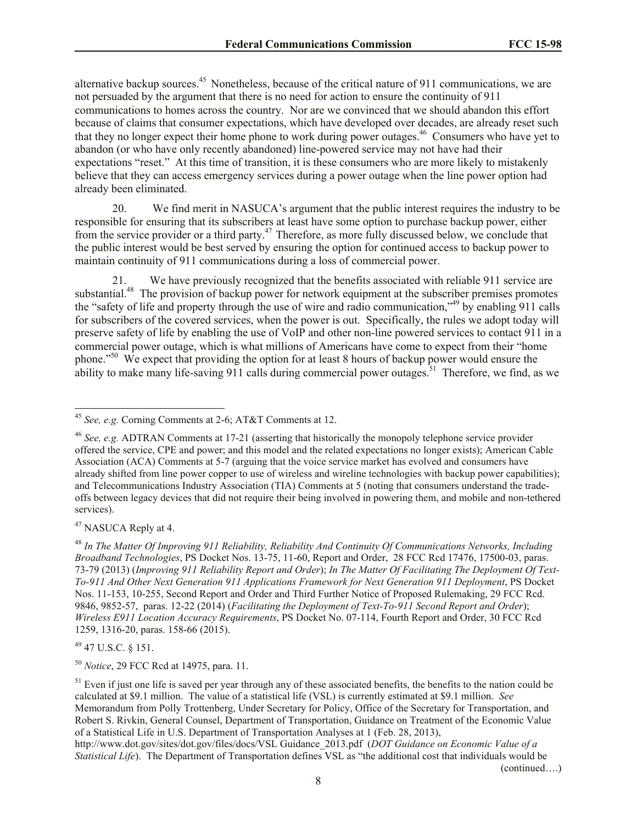alternative backup sources.<sup>45</sup> Nonetheless, because of the critical nature of 911 communications, we are not persuaded by the argument that there is no need for action to ensure the continuity of 911 communications to homes across the country. Nor are we convinced that we should abandon this effort because of claims that consumer expectations, which have developed over decades, are already reset such that they no longer expect their home phone to work during power outages.<sup>46</sup> Consumers who have yet to abandon (or who have only recently abandoned) line-powered service may not have had their expectations "reset." At this time of transition, it is these consumers who are more likely to mistakenly believe that they can access emergency services during a power outage when the line power option had already been eliminated.

20. We find merit in NASUCA's argument that the public interest requires the industry to be responsible for ensuring that its subscribers at least have some option to purchase backup power, either from the service provider or a third party.<sup>47</sup> Therefore, as more fully discussed below, we conclude that the public interest would be best served by ensuring the option for continued access to backup power to maintain continuity of 911 communications during a loss of commercial power.

21. We have previously recognized that the benefits associated with reliable 911 service are substantial.<sup>48</sup> The provision of backup power for network equipment at the subscriber premises promotes the "safety of life and property through the use of wire and radio communication,"<sup>49</sup> by enabling 911 calls for subscribers of the covered services, when the power is out. Specifically, the rules we adopt today will preserve safety of life by enabling the use of VoIP and other non-line powered services to contact 911 in a commercial power outage, which is what millions of Americans have come to expect from their "home phone."<sup>50</sup> We expect that providing the option for at least 8 hours of backup power would ensure the ability to make many life-saving 911 calls during commercial power outages.<sup>51</sup> Therefore, we find, as we

<sup>47</sup> NASUCA Reply at 4.

l

<sup>49</sup> 47 U.S.C. § 151.

<sup>50</sup> *Notice*, 29 FCC Rcd at 14975, para. 11.

(continued….)

<sup>45</sup> *See, e.g.* Corning Comments at 2-6; AT&T Comments at 12.

<sup>46</sup> *See, e.g.* ADTRAN Comments at 17-21 (asserting that historically the monopoly telephone service provider offered the service, CPE and power; and this model and the related expectations no longer exists); American Cable Association (ACA) Comments at 5-7 (arguing that the voice service market has evolved and consumers have already shifted from line power copper to use of wireless and wireline technologies with backup power capabilities); and Telecommunications Industry Association (TIA) Comments at 5 (noting that consumers understand the tradeoffs between legacy devices that did not require their being involved in powering them, and mobile and non-tethered services).

<sup>48</sup> *In The Matter Of Improving 911 Reliability, Reliability And Continuity Of Communications Networks, Including Broadband Technologies*, PS Docket Nos. 13-75, 11-60, Report and Order, 28 FCC Rcd 17476, 17500-03, paras. 73-79 (2013) (*Improving 911 Reliability Report and Order*); *In The Matter Of Facilitating The Deployment Of Text-To-911 And Other Next Generation 911 Applications Framework for Next Generation 911 Deployment*, PS Docket Nos. 11-153, 10-255, Second Report and Order and Third Further Notice of Proposed Rulemaking, 29 FCC Rcd. 9846, 9852-57, paras. 12-22 (2014) (*Facilitating the Deployment of Text-To-911 Second Report and Order*); *Wireless E911 Location Accuracy Requirements*, PS Docket No. 07-114, Fourth Report and Order, 30 FCC Rcd 1259, 1316-20, paras. 158-66 (2015).

 $<sup>51</sup>$  Even if just one life is saved per year through any of these associated benefits, the benefits to the nation could be</sup> calculated at \$9.1 million. The value of a statistical life (VSL) is currently estimated at \$9.1 million. *See* Memorandum from Polly Trottenberg, Under Secretary for Policy, Office of the Secretary for Transportation, and Robert S. Rivkin, General Counsel, Department of Transportation, Guidance on Treatment of the Economic Value of a Statistical Life in U.S. Department of Transportation Analyses at 1 (Feb. 28, 2013),

http://www.dot.gov/sites/dot.gov/files/docs/VSL Guidance\_2013.pdf (*DOT Guidance on Economic Value of a Statistical Life*). The Department of Transportation defines VSL as "the additional cost that individuals would be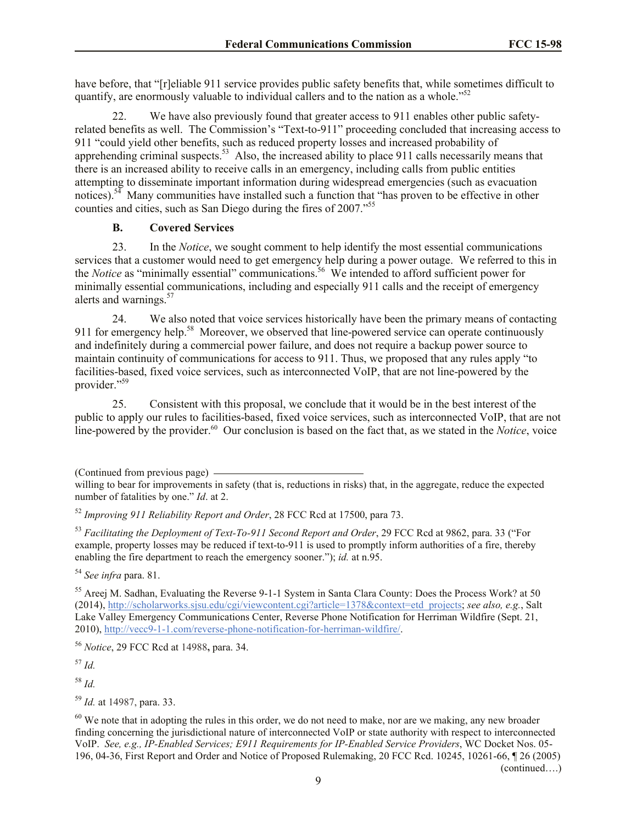have before, that "[r]eliable 911 service provides public safety benefits that, while sometimes difficult to quantify, are enormously valuable to individual callers and to the nation as a whole."<sup>52</sup>

22. We have also previously found that greater access to 911 enables other public safetyrelated benefits as well. The Commission's "Text-to-911" proceeding concluded that increasing access to 911 "could yield other benefits, such as reduced property losses and increased probability of apprehending criminal suspects.<sup>53</sup> Also, the increased ability to place 911 calls necessarily means that there is an increased ability to receive calls in an emergency, including calls from public entities attempting to disseminate important information during widespread emergencies (such as evacuation notices).<sup>54</sup> Many communities have installed such a function that "has proven to be effective in other counties and cities, such as San Diego during the fires of 2007."<sup>55</sup>

## **B. Covered Services**

23. In the *Notice*, we sought comment to help identify the most essential communications services that a customer would need to get emergency help during a power outage. We referred to this in the *Notice* as "minimally essential" communications.<sup>56</sup> We intended to afford sufficient power for minimally essential communications, including and especially 911 calls and the receipt of emergency alerts and warnings.<sup>57</sup>

24. We also noted that voice services historically have been the primary means of contacting 911 for emergency help.<sup>58</sup> Moreover, we observed that line-powered service can operate continuously and indefinitely during a commercial power failure, and does not require a backup power source to maintain continuity of communications for access to 911. Thus, we proposed that any rules apply "to facilities-based, fixed voice services, such as interconnected VoIP, that are not line-powered by the provider."<sup>59</sup>

25. Consistent with this proposal, we conclude that it would be in the best interest of the public to apply our rules to facilities-based, fixed voice services, such as interconnected VoIP, that are not line-powered by the provider.<sup>60</sup> Our conclusion is based on the fact that, as we stated in the *Notice*, voice

<sup>53</sup> *Facilitating the Deployment of Text-To-911 Second Report and Order*, 29 FCC Rcd at 9862, para. 33 ("For example, property losses may be reduced if text-to-911 is used to promptly inform authorities of a fire, thereby enabling the fire department to reach the emergency sooner."); *id.* at n.95.

<sup>54</sup> *See infra* para. 81.

<sup>55</sup> Areej M. Sadhan, Evaluating the Reverse 9-1-1 System in Santa Clara County: Does the Process Work? at 50 (2014), http://scholarworks.sjsu.edu/cgi/viewcontent.cgi?article=1378&context=etd\_projects; *see also, e.g.*, Salt Lake Valley Emergency Communications Center, Reverse Phone Notification for Herriman Wildfire (Sept. 21, 2010), http://vecc9-1-1.com/reverse-phone-notification-for-herriman-wildfire/.

<sup>56</sup> *Notice*, 29 FCC Rcd at 14988**,** para. 34.

<sup>57</sup> *Id.*

<sup>58</sup> *Id.*

<sup>59</sup> *Id.* at 14987, para. 33.

<sup>(</sup>Continued from previous page)

willing to bear for improvements in safety (that is, reductions in risks) that, in the aggregate, reduce the expected number of fatalities by one." *Id*. at 2.

<sup>52</sup> *Improving 911 Reliability Report and Order*, 28 FCC Rcd at 17500, para 73.

 $60$  We note that in adopting the rules in this order, we do not need to make, nor are we making, any new broader finding concerning the jurisdictional nature of interconnected VoIP or state authority with respect to interconnected VoIP. *See, e.g., IP-Enabled Services; E911 Requirements for IP-Enabled Service Providers*, WC Docket Nos. 05- 196, 04-36, First Report and Order and Notice of Proposed Rulemaking, 20 FCC Rcd. 10245, 10261-66, ¶ 26 (2005) (continued….)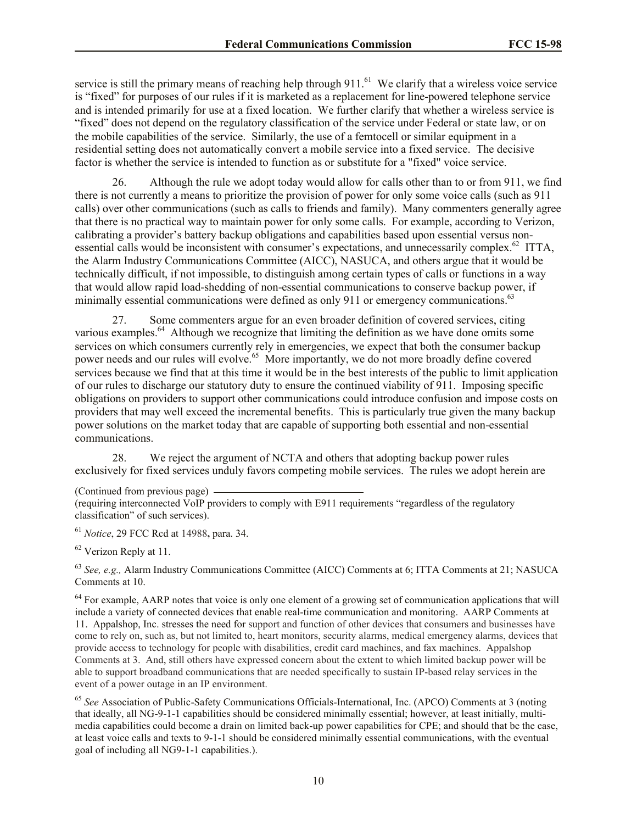service is still the primary means of reaching help through  $911$ .<sup>61</sup> We clarify that a wireless voice service is "fixed" for purposes of our rules if it is marketed as a replacement for line-powered telephone service and is intended primarily for use at a fixed location. We further clarify that whether a wireless service is "fixed" does not depend on the regulatory classification of the service under Federal or state law, or on the mobile capabilities of the service. Similarly, the use of a femtocell or similar equipment in a residential setting does not automatically convert a mobile service into a fixed service. The decisive factor is whether the service is intended to function as or substitute for a "fixed" voice service.

26. Although the rule we adopt today would allow for calls other than to or from 911, we find there is not currently a means to prioritize the provision of power for only some voice calls (such as 911 calls) over other communications (such as calls to friends and family). Many commenters generally agree that there is no practical way to maintain power for only some calls. For example, according to Verizon, calibrating a provider's battery backup obligations and capabilities based upon essential versus nonessential calls would be inconsistent with consumer's expectations, and unnecessarily complex.<sup>62</sup> ITTA, the Alarm Industry Communications Committee (AICC), NASUCA, and others argue that it would be technically difficult, if not impossible, to distinguish among certain types of calls or functions in a way that would allow rapid load-shedding of non-essential communications to conserve backup power, if minimally essential communications were defined as only 911 or emergency communications.<sup>63</sup>

27. Some commenters argue for an even broader definition of covered services, citing various examples.<sup>64</sup> Although we recognize that limiting the definition as we have done omits some services on which consumers currently rely in emergencies, we expect that both the consumer backup power needs and our rules will evolve.<sup>65</sup> More importantly, we do not more broadly define covered services because we find that at this time it would be in the best interests of the public to limit application of our rules to discharge our statutory duty to ensure the continued viability of 911. Imposing specific obligations on providers to support other communications could introduce confusion and impose costs on providers that may well exceed the incremental benefits. This is particularly true given the many backup power solutions on the market today that are capable of supporting both essential and non-essential communications.

28. We reject the argument of NCTA and others that adopting backup power rules exclusively for fixed services unduly favors competing mobile services. The rules we adopt herein are

(Continued from previous page)

<sup>61</sup> *Notice*, 29 FCC Rcd at 14988**,** para. 34.

<sup>62</sup> Verizon Reply at 11.

<sup>63</sup> *See, e.g.,* Alarm Industry Communications Committee (AICC) Comments at 6; ITTA Comments at 21; NASUCA Comments at 10.

<sup>64</sup> For example, AARP notes that voice is only one element of a growing set of communication applications that will include a variety of connected devices that enable real-time communication and monitoring. AARP Comments at 11. Appalshop, Inc. stresses the need for support and function of other devices that consumers and businesses have come to rely on, such as, but not limited to, heart monitors, security alarms, medical emergency alarms, devices that provide access to technology for people with disabilities, credit card machines, and fax machines. Appalshop Comments at 3. And, still others have expressed concern about the extent to which limited backup power will be able to support broadband communications that are needed specifically to sustain IP-based relay services in the event of a power outage in an IP environment.

<sup>65</sup> *See* Association of Public-Safety Communications Officials-International, Inc. (APCO) Comments at 3 (noting that ideally, all NG-9-1-1 capabilities should be considered minimally essential; however, at least initially, multimedia capabilities could become a drain on limited back-up power capabilities for CPE; and should that be the case, at least voice calls and texts to 9-1-1 should be considered minimally essential communications, with the eventual goal of including all NG9-1-1 capabilities.).

<sup>(</sup>requiring interconnected VoIP providers to comply with E911 requirements "regardless of the regulatory classification" of such services).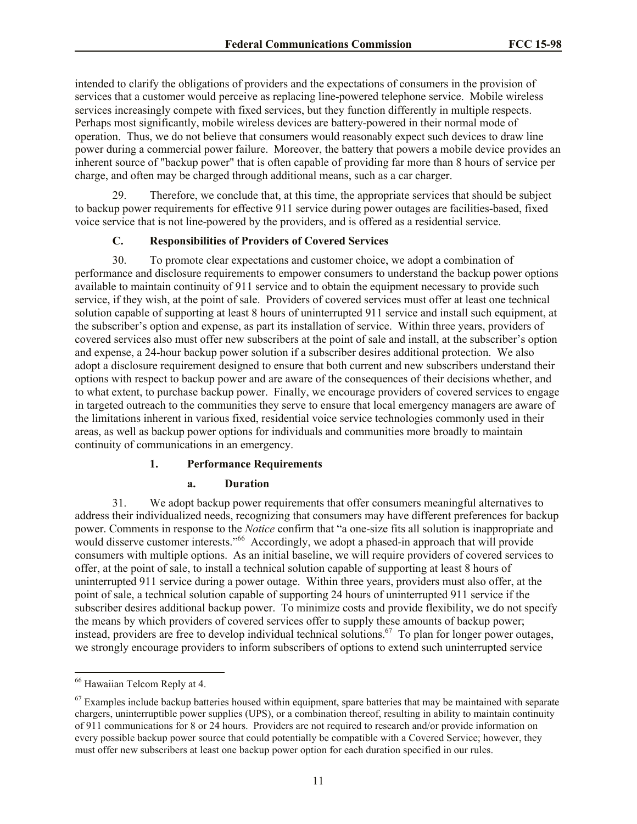intended to clarify the obligations of providers and the expectations of consumers in the provision of services that a customer would perceive as replacing line-powered telephone service. Mobile wireless services increasingly compete with fixed services, but they function differently in multiple respects. Perhaps most significantly, mobile wireless devices are battery-powered in their normal mode of operation. Thus, we do not believe that consumers would reasonably expect such devices to draw line power during a commercial power failure. Moreover, the battery that powers a mobile device provides an inherent source of "backup power" that is often capable of providing far more than 8 hours of service per charge, and often may be charged through additional means, such as a car charger.

29. Therefore, we conclude that, at this time, the appropriate services that should be subject to backup power requirements for effective 911 service during power outages are facilities-based, fixed voice service that is not line-powered by the providers, and is offered as a residential service.

## **C. Responsibilities of Providers of Covered Services**

30. To promote clear expectations and customer choice, we adopt a combination of performance and disclosure requirements to empower consumers to understand the backup power options available to maintain continuity of 911 service and to obtain the equipment necessary to provide such service, if they wish, at the point of sale. Providers of covered services must offer at least one technical solution capable of supporting at least 8 hours of uninterrupted 911 service and install such equipment, at the subscriber's option and expense, as part its installation of service. Within three years, providers of covered services also must offer new subscribers at the point of sale and install, at the subscriber's option and expense, a 24-hour backup power solution if a subscriber desires additional protection. We also adopt a disclosure requirement designed to ensure that both current and new subscribers understand their options with respect to backup power and are aware of the consequences of their decisions whether, and to what extent, to purchase backup power. Finally, we encourage providers of covered services to engage in targeted outreach to the communities they serve to ensure that local emergency managers are aware of the limitations inherent in various fixed, residential voice service technologies commonly used in their areas, as well as backup power options for individuals and communities more broadly to maintain continuity of communications in an emergency.

## **1. Performance Requirements**

#### **a. Duration**

31. We adopt backup power requirements that offer consumers meaningful alternatives to address their individualized needs, recognizing that consumers may have different preferences for backup power. Comments in response to the *Notice* confirm that "a one-size fits all solution is inappropriate and would disserve customer interests."<sup>66</sup> Accordingly, we adopt a phased-in approach that will provide consumers with multiple options. As an initial baseline, we will require providers of covered services to offer, at the point of sale, to install a technical solution capable of supporting at least 8 hours of uninterrupted 911 service during a power outage. Within three years, providers must also offer, at the point of sale, a technical solution capable of supporting 24 hours of uninterrupted 911 service if the subscriber desires additional backup power. To minimize costs and provide flexibility, we do not specify the means by which providers of covered services offer to supply these amounts of backup power; instead, providers are free to develop individual technical solutions.<sup>67</sup> To plan for longer power outages, we strongly encourage providers to inform subscribers of options to extend such uninterrupted service

l

<sup>&</sup>lt;sup>66</sup> Hawaiian Telcom Reply at 4.

 $67$  Examples include backup batteries housed within equipment, spare batteries that may be maintained with separate chargers, uninterruptible power supplies (UPS), or a combination thereof, resulting in ability to maintain continuity of 911 communications for 8 or 24 hours. Providers are not required to research and/or provide information on every possible backup power source that could potentially be compatible with a Covered Service; however, they must offer new subscribers at least one backup power option for each duration specified in our rules.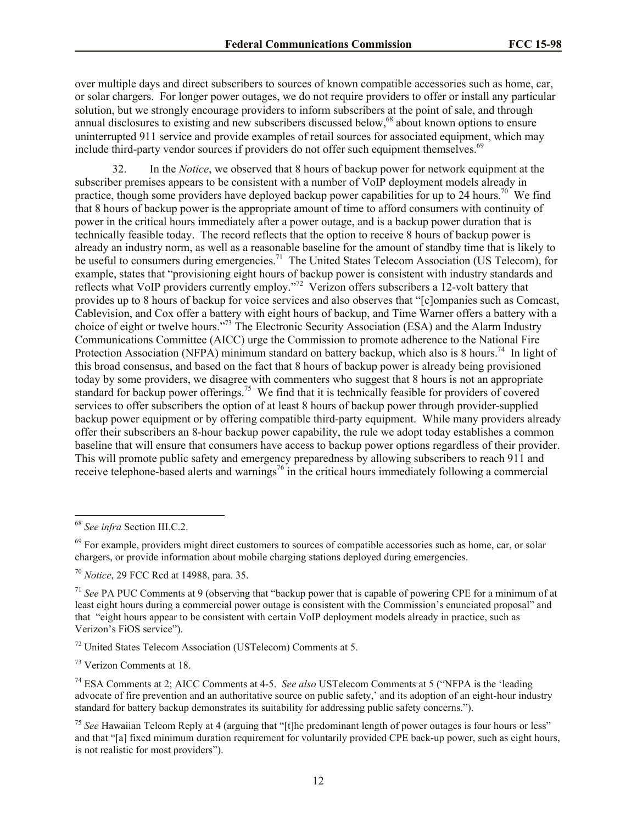over multiple days and direct subscribers to sources of known compatible accessories such as home, car, or solar chargers. For longer power outages, we do not require providers to offer or install any particular solution, but we strongly encourage providers to inform subscribers at the point of sale, and through annual disclosures to existing and new subscribers discussed below,<sup>68</sup> about known options to ensure uninterrupted 911 service and provide examples of retail sources for associated equipment, which may include third-party vendor sources if providers do not offer such equipment themselves.<sup>69</sup>

32. In the *Notice*, we observed that 8 hours of backup power for network equipment at the subscriber premises appears to be consistent with a number of VoIP deployment models already in practice, though some providers have deployed backup power capabilities for up to 24 hours.<sup>70</sup> We find that 8 hours of backup power is the appropriate amount of time to afford consumers with continuity of power in the critical hours immediately after a power outage, and is a backup power duration that is technically feasible today. The record reflects that the option to receive 8 hours of backup power is already an industry norm, as well as a reasonable baseline for the amount of standby time that is likely to be useful to consumers during emergencies.<sup>71</sup> The United States Telecom Association (US Telecom), for example, states that "provisioning eight hours of backup power is consistent with industry standards and reflects what VoIP providers currently employ."<sup>72</sup> Verizon offers subscribers a 12-volt battery that provides up to 8 hours of backup for voice services and also observes that "[c]ompanies such as Comcast, Cablevision, and Cox offer a battery with eight hours of backup, and Time Warner offers a battery with a choice of eight or twelve hours."<sup>73</sup> The Electronic Security Association (ESA) and the Alarm Industry Communications Committee (AICC) urge the Commission to promote adherence to the National Fire Protection Association (NFPA) minimum standard on battery backup, which also is 8 hours.<sup>74</sup> In light of this broad consensus, and based on the fact that 8 hours of backup power is already being provisioned today by some providers, we disagree with commenters who suggest that 8 hours is not an appropriate standard for backup power offerings.<sup>75</sup> We find that it is technically feasible for providers of covered services to offer subscribers the option of at least 8 hours of backup power through provider-supplied backup power equipment or by offering compatible third-party equipment. While many providers already offer their subscribers an 8-hour backup power capability, the rule we adopt today establishes a common baseline that will ensure that consumers have access to backup power options regardless of their provider. This will promote public safety and emergency preparedness by allowing subscribers to reach 911 and receive telephone-based alerts and warnings<sup>76</sup> in the critical hours immediately following a commercial

 $\overline{\phantom{a}}$ 

<sup>68</sup> *See infra* Section III.C.2.

 $69$  For example, providers might direct customers to sources of compatible accessories such as home, car, or solar chargers, or provide information about mobile charging stations deployed during emergencies.

<sup>70</sup> *Notice*, 29 FCC Rcd at 14988, para. 35.

<sup>71</sup> *See* PA PUC Comments at 9 (observing that "backup power that is capable of powering CPE for a minimum of at least eight hours during a commercial power outage is consistent with the Commission's enunciated proposal" and that "eight hours appear to be consistent with certain VoIP deployment models already in practice, such as Verizon's FiOS service").

<sup>72</sup> United States Telecom Association (USTelecom) Comments at 5.

<sup>73</sup> Verizon Comments at 18.

<sup>74</sup> ESA Comments at 2; AICC Comments at 4-5. *See also* USTelecom Comments at 5 ("NFPA is the 'leading advocate of fire prevention and an authoritative source on public safety,' and its adoption of an eight-hour industry standard for battery backup demonstrates its suitability for addressing public safety concerns.").

<sup>75</sup> *See* Hawaiian Telcom Reply at 4 (arguing that "[t]he predominant length of power outages is four hours or less" and that "[a] fixed minimum duration requirement for voluntarily provided CPE back-up power, such as eight hours, is not realistic for most providers").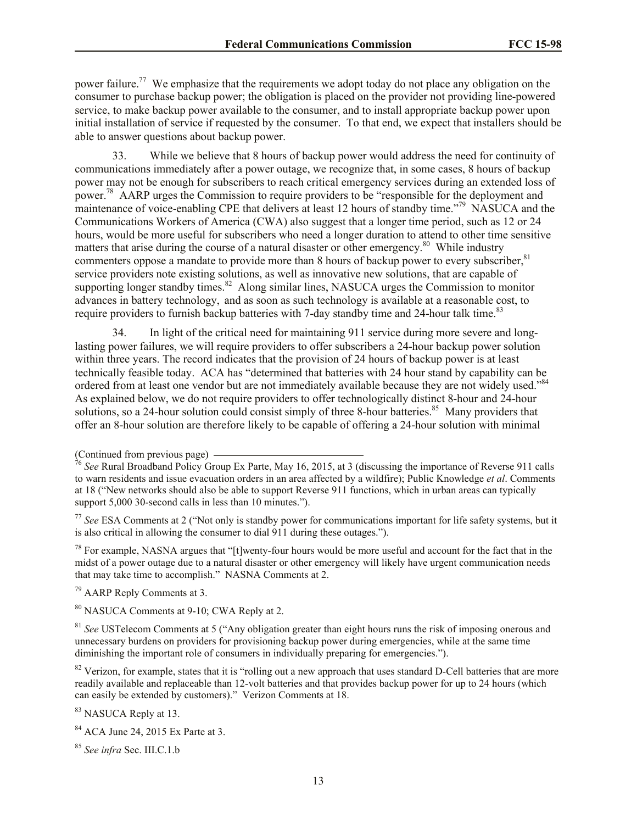power failure.<sup>77</sup> We emphasize that the requirements we adopt today do not place any obligation on the consumer to purchase backup power; the obligation is placed on the provider not providing line-powered service, to make backup power available to the consumer, and to install appropriate backup power upon initial installation of service if requested by the consumer. To that end, we expect that installers should be able to answer questions about backup power.

33. While we believe that 8 hours of backup power would address the need for continuity of communications immediately after a power outage, we recognize that, in some cases, 8 hours of backup power may not be enough for subscribers to reach critical emergency services during an extended loss of power.<sup>78</sup> AARP urges the Commission to require providers to be "responsible for the deployment and maintenance of voice-enabling CPE that delivers at least 12 hours of standby time."<sup>79</sup> NASUCA and the Communications Workers of America (CWA) also suggest that a longer time period, such as 12 or 24 hours, would be more useful for subscribers who need a longer duration to attend to other time sensitive matters that arise during the course of a natural disaster or other emergency.<sup>80</sup> While industry commenters oppose a mandate to provide more than 8 hours of backup power to every subscriber, $81$ service providers note existing solutions, as well as innovative new solutions, that are capable of supporting longer standby times.<sup>82</sup> Along similar lines, NASUCA urges the Commission to monitor advances in battery technology, and as soon as such technology is available at a reasonable cost, to require providers to furnish backup batteries with 7-day standby time and 24-hour talk time.<sup>83</sup>

34. In light of the critical need for maintaining 911 service during more severe and longlasting power failures, we will require providers to offer subscribers a 24-hour backup power solution within three years. The record indicates that the provision of 24 hours of backup power is at least technically feasible today. ACA has "determined that batteries with 24 hour stand by capability can be ordered from at least one vendor but are not immediately available because they are not widely used."<sup>84</sup> As explained below, we do not require providers to offer technologically distinct 8-hour and 24-hour solutions, so a 24-hour solution could consist simply of three 8-hour batteries.<sup>85</sup> Many providers that offer an 8-hour solution are therefore likely to be capable of offering a 24-hour solution with minimal

 $78$  For example, NASNA argues that "[t]wenty-four hours would be more useful and account for the fact that in the midst of a power outage due to a natural disaster or other emergency will likely have urgent communication needs that may take time to accomplish." NASNA Comments at 2.

<sup>79</sup> AARP Reply Comments at 3.

<sup>80</sup> NASUCA Comments at 9-10; CWA Reply at 2.

<sup>81</sup> *See* USTelecom Comments at 5 ("Any obligation greater than eight hours runs the risk of imposing onerous and unnecessary burdens on providers for provisioning backup power during emergencies, while at the same time diminishing the important role of consumers in individually preparing for emergencies.").

 $82$  Verizon, for example, states that it is "rolling out a new approach that uses standard D-Cell batteries that are more readily available and replaceable than 12-volt batteries and that provides backup power for up to 24 hours (which can easily be extended by customers)." Verizon Comments at 18.

<sup>83</sup> NASUCA Reply at 13.

<sup>85</sup> *See infra* Sec. III.C.1.b

<sup>(</sup>Continued from previous page)

<sup>76</sup> *See* Rural Broadband Policy Group Ex Parte, May 16, 2015, at 3 (discussing the importance of Reverse 911 calls to warn residents and issue evacuation orders in an area affected by a wildfire); Public Knowledge *et al*. Comments at 18 ("New networks should also be able to support Reverse 911 functions, which in urban areas can typically support 5,000 30-second calls in less than 10 minutes.").

<sup>77</sup> *See* ESA Comments at 2 ("Not only is standby power for communications important for life safety systems, but it is also critical in allowing the consumer to dial 911 during these outages.").

<sup>84</sup> ACA June 24, 2015 Ex Parte at 3.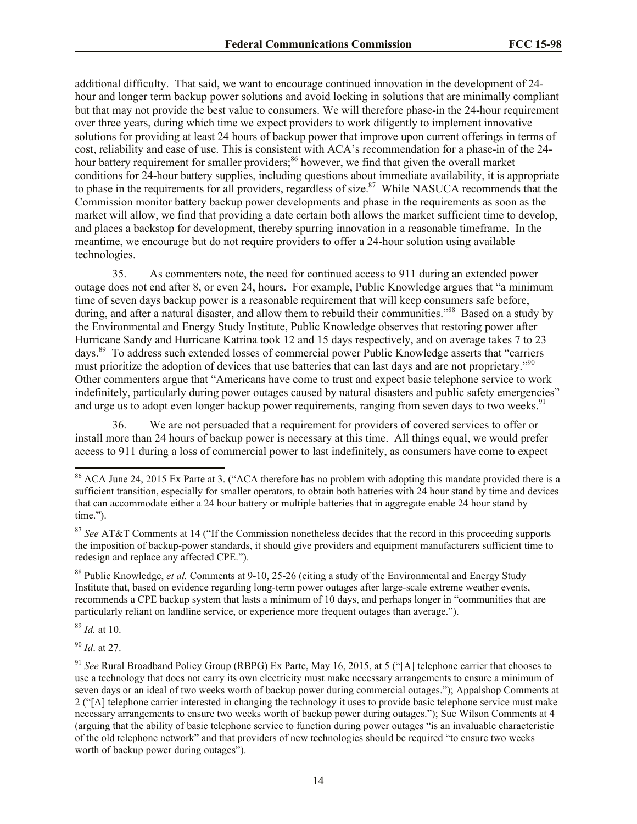additional difficulty. That said, we want to encourage continued innovation in the development of 24 hour and longer term backup power solutions and avoid locking in solutions that are minimally compliant but that may not provide the best value to consumers. We will therefore phase-in the 24-hour requirement over three years, during which time we expect providers to work diligently to implement innovative solutions for providing at least 24 hours of backup power that improve upon current offerings in terms of cost, reliability and ease of use. This is consistent with ACA's recommendation for a phase-in of the 24 hour battery requirement for smaller providers;<sup>86</sup> however, we find that given the overall market conditions for 24-hour battery supplies, including questions about immediate availability, it is appropriate to phase in the requirements for all providers, regardless of size. $87$  While NASUCA recommends that the Commission monitor battery backup power developments and phase in the requirements as soon as the market will allow, we find that providing a date certain both allows the market sufficient time to develop, and places a backstop for development, thereby spurring innovation in a reasonable timeframe. In the meantime, we encourage but do not require providers to offer a 24-hour solution using available technologies.

35. As commenters note, the need for continued access to 911 during an extended power outage does not end after 8, or even 24, hours. For example, Public Knowledge argues that "a minimum time of seven days backup power is a reasonable requirement that will keep consumers safe before, during, and after a natural disaster, and allow them to rebuild their communities."<sup>88</sup> Based on a study by the Environmental and Energy Study Institute, Public Knowledge observes that restoring power after Hurricane Sandy and Hurricane Katrina took 12 and 15 days respectively, and on average takes 7 to 23 days.<sup>89</sup> To address such extended losses of commercial power Public Knowledge asserts that "carriers" must prioritize the adoption of devices that use batteries that can last days and are not proprietary."<sup>90</sup> Other commenters argue that "Americans have come to trust and expect basic telephone service to work indefinitely, particularly during power outages caused by natural disasters and public safety emergencies" and urge us to adopt even longer backup power requirements, ranging from seven days to two weeks.<sup>91</sup>

36. We are not persuaded that a requirement for providers of covered services to offer or install more than 24 hours of backup power is necessary at this time. All things equal, we would prefer access to 911 during a loss of commercial power to last indefinitely, as consumers have come to expect

<sup>89</sup> *Id.* at 10.

 $\overline{\phantom{a}}$ 

<sup>90</sup> *Id*. at 27.

<sup>&</sup>lt;sup>86</sup> ACA June 24, 2015 Ex Parte at 3. ("ACA therefore has no problem with adopting this mandate provided there is a sufficient transition, especially for smaller operators, to obtain both batteries with 24 hour stand by time and devices that can accommodate either a 24 hour battery or multiple batteries that in aggregate enable 24 hour stand by time.").

<sup>87</sup> *See* AT&T Comments at 14 ("If the Commission nonetheless decides that the record in this proceeding supports the imposition of backup-power standards, it should give providers and equipment manufacturers sufficient time to redesign and replace any affected CPE.").

<sup>&</sup>lt;sup>88</sup> Public Knowledge, *et al.* Comments at 9-10, 25-26 (citing a study of the Environmental and Energy Study Institute that, based on evidence regarding long-term power outages after large-scale extreme weather events, recommends a CPE backup system that lasts a minimum of 10 days, and perhaps longer in "communities that are particularly reliant on landline service, or experience more frequent outages than average.").

<sup>&</sup>lt;sup>91</sup> See Rural Broadband Policy Group (RBPG) Ex Parte, May 16, 2015, at 5 ("[A] telephone carrier that chooses to use a technology that does not carry its own electricity must make necessary arrangements to ensure a minimum of seven days or an ideal of two weeks worth of backup power during commercial outages."); Appalshop Comments at 2 ("[A] telephone carrier interested in changing the technology it uses to provide basic telephone service must make necessary arrangements to ensure two weeks worth of backup power during outages."); Sue Wilson Comments at 4 (arguing that the ability of basic telephone service to function during power outages "is an invaluable characteristic of the old telephone network" and that providers of new technologies should be required "to ensure two weeks worth of backup power during outages").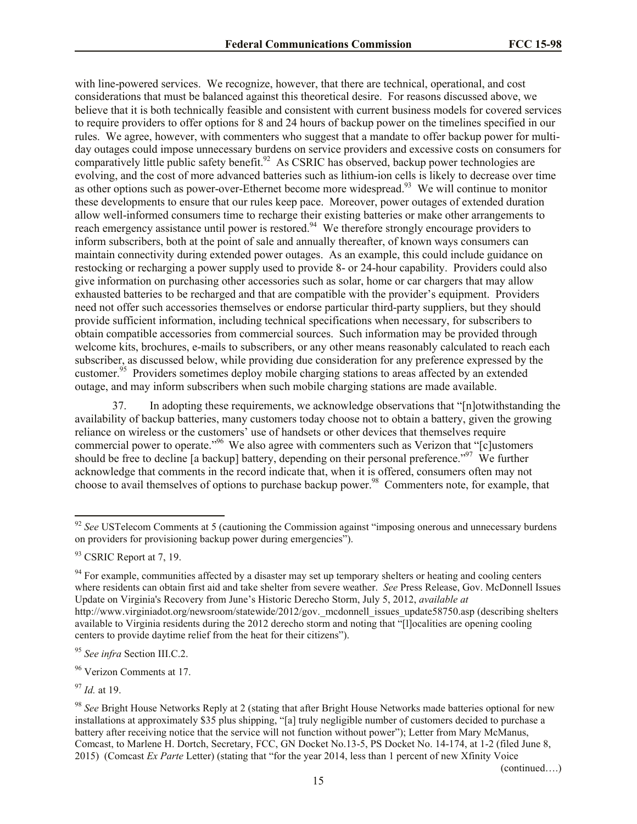with line-powered services. We recognize, however, that there are technical, operational, and cost considerations that must be balanced against this theoretical desire. For reasons discussed above, we believe that it is both technically feasible and consistent with current business models for covered services to require providers to offer options for 8 and 24 hours of backup power on the timelines specified in our rules. We agree, however, with commenters who suggest that a mandate to offer backup power for multiday outages could impose unnecessary burdens on service providers and excessive costs on consumers for comparatively little public safety benefit.<sup>92</sup> As CSRIC has observed, backup power technologies are evolving, and the cost of more advanced batteries such as lithium-ion cells is likely to decrease over time as other options such as power-over-Ethernet become more widespread.<sup>93</sup> We will continue to monitor these developments to ensure that our rules keep pace. Moreover, power outages of extended duration allow well-informed consumers time to recharge their existing batteries or make other arrangements to reach emergency assistance until power is restored.<sup>94</sup> We therefore strongly encourage providers to inform subscribers, both at the point of sale and annually thereafter, of known ways consumers can maintain connectivity during extended power outages. As an example, this could include guidance on restocking or recharging a power supply used to provide 8- or 24-hour capability. Providers could also give information on purchasing other accessories such as solar, home or car chargers that may allow exhausted batteries to be recharged and that are compatible with the provider's equipment. Providers need not offer such accessories themselves or endorse particular third-party suppliers, but they should provide sufficient information, including technical specifications when necessary, for subscribers to obtain compatible accessories from commercial sources. Such information may be provided through welcome kits, brochures, e-mails to subscribers, or any other means reasonably calculated to reach each subscriber, as discussed below, while providing due consideration for any preference expressed by the customer.<sup>95</sup> Providers sometimes deploy mobile charging stations to areas affected by an extended outage, and may inform subscribers when such mobile charging stations are made available.

37. In adopting these requirements, we acknowledge observations that "[n]otwithstanding the availability of backup batteries, many customers today choose not to obtain a battery, given the growing reliance on wireless or the customers' use of handsets or other devices that themselves require commercial power to operate."<sup>96</sup> We also agree with commenters such as Verizon that " $\epsilon$ ] ustomers should be free to decline [a backup] battery, depending on their personal preference."<sup>97</sup> We further acknowledge that comments in the record indicate that, when it is offered, consumers often may not choose to avail themselves of options to purchase backup power.<sup>98</sup> Commenters note, for example, that

<sup>94</sup> For example, communities affected by a disaster may set up temporary shelters or heating and cooling centers where residents can obtain first aid and take shelter from severe weather. *See* Press Release, Gov. McDonnell Issues Update on Virginia's Recovery from June's Historic Derecho Storm, July 5, 2012, *available at* http://www.virginiadot.org/newsroom/statewide/2012/gov. mcdonnell issues update58750.asp (describing shelters available to Virginia residents during the 2012 derecho storm and noting that "[l]ocalities are opening cooling centers to provide daytime relief from the heat for their citizens").

<sup>96</sup> Verizon Comments at 17.

<sup>97</sup> *Id.* at 19.

l

(continued….)

<sup>&</sup>lt;sup>92</sup> See USTelecom Comments at 5 (cautioning the Commission against "imposing onerous and unnecessary burdens" on providers for provisioning backup power during emergencies").

<sup>&</sup>lt;sup>93</sup> CSRIC Report at 7, 19.

<sup>95</sup> *See infra* Section III.C.2.

<sup>98</sup> *See* Bright House Networks Reply at 2 (stating that after Bright House Networks made batteries optional for new installations at approximately \$35 plus shipping, "[a] truly negligible number of customers decided to purchase a battery after receiving notice that the service will not function without power"); Letter from Mary McManus, Comcast, to Marlene H. Dortch, Secretary, FCC, GN Docket No.13-5, PS Docket No. 14-174, at 1-2 (filed June 8, 2015) (Comcast *Ex Parte* Letter) (stating that "for the year 2014, less than 1 percent of new Xfinity Voice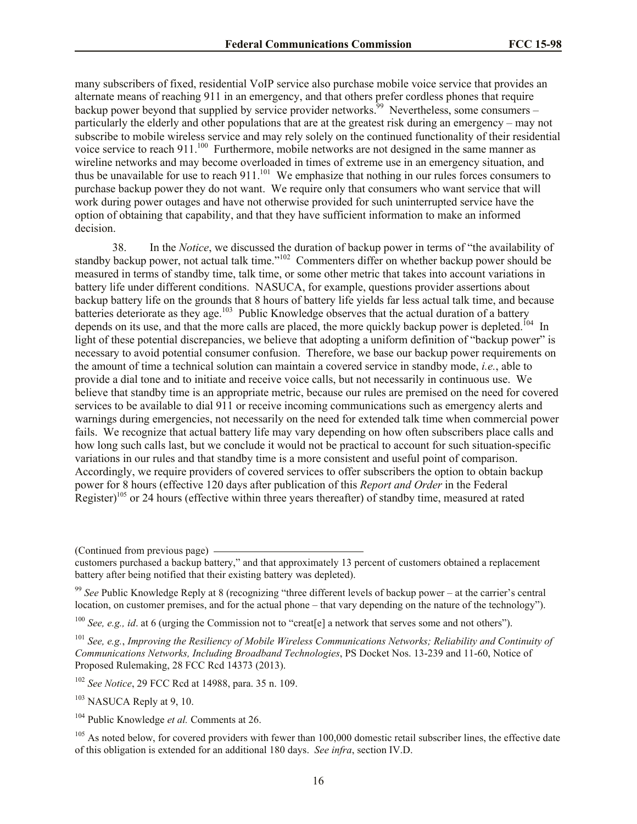many subscribers of fixed, residential VoIP service also purchase mobile voice service that provides an alternate means of reaching 911 in an emergency, and that others prefer cordless phones that require backup power beyond that supplied by service provider networks.<sup>39</sup> Nevertheless, some consumers – particularly the elderly and other populations that are at the greatest risk during an emergency – may not subscribe to mobile wireless service and may rely solely on the continued functionality of their residential voice service to reach 911. $^{100}$  Furthermore, mobile networks are not designed in the same manner as wireline networks and may become overloaded in times of extreme use in an emergency situation, and thus be unavailable for use to reach  $911$ .<sup>101</sup> We emphasize that nothing in our rules forces consumers to purchase backup power they do not want. We require only that consumers who want service that will work during power outages and have not otherwise provided for such uninterrupted service have the option of obtaining that capability, and that they have sufficient information to make an informed decision.

38. In the *Notice*, we discussed the duration of backup power in terms of "the availability of standby backup power, not actual talk time."<sup>102</sup> Commenters differ on whether backup power should be measured in terms of standby time, talk time, or some other metric that takes into account variations in battery life under different conditions. NASUCA, for example, questions provider assertions about backup battery life on the grounds that 8 hours of battery life yields far less actual talk time, and because batteries deteriorate as they age.<sup>103</sup> Public Knowledge observes that the actual duration of a battery depends on its use, and that the more calls are placed, the more quickly backup power is depleted.<sup>104</sup> In light of these potential discrepancies, we believe that adopting a uniform definition of "backup power" is necessary to avoid potential consumer confusion. Therefore, we base our backup power requirements on the amount of time a technical solution can maintain a covered service in standby mode, *i.e.*, able to provide a dial tone and to initiate and receive voice calls, but not necessarily in continuous use. We believe that standby time is an appropriate metric, because our rules are premised on the need for covered services to be available to dial 911 or receive incoming communications such as emergency alerts and warnings during emergencies, not necessarily on the need for extended talk time when commercial power fails. We recognize that actual battery life may vary depending on how often subscribers place calls and how long such calls last, but we conclude it would not be practical to account for such situation-specific variations in our rules and that standby time is a more consistent and useful point of comparison. Accordingly, we require providers of covered services to offer subscribers the option to obtain backup power for 8 hours (effective 120 days after publication of this *Report and Order* in the Federal Register)<sup>105</sup> or 24 hours (effective within three years thereafter) of standby time, measured at rated

(Continued from previous page)

<sup>99</sup> *See* Public Knowledge Reply at 8 (recognizing "three different levels of backup power – at the carrier's central location, on customer premises, and for the actual phone – that vary depending on the nature of the technology").

<sup>100</sup> *See, e.g., id*. at 6 (urging the Commission not to "creat[e] a network that serves some and not others").

<sup>101</sup> *See, e.g.*, *Improving the Resiliency of Mobile Wireless Communications Networks; Reliability and Continuity of Communications Networks, Including Broadband Technologies*, PS Docket Nos. 13-239 and 11-60, Notice of Proposed Rulemaking, 28 FCC Rcd 14373 (2013).

<sup>102</sup> *See Notice*, 29 FCC Rcd at 14988, para. 35 n. 109.

 $103$  NASUCA Reply at 9, 10.

<sup>104</sup> Public Knowledge *et al.* Comments at 26.

<sup>105</sup> As noted below, for covered providers with fewer than 100,000 domestic retail subscriber lines, the effective date of this obligation is extended for an additional 180 days. *See infra*, section IV.D.

customers purchased a backup battery," and that approximately 13 percent of customers obtained a replacement battery after being notified that their existing battery was depleted).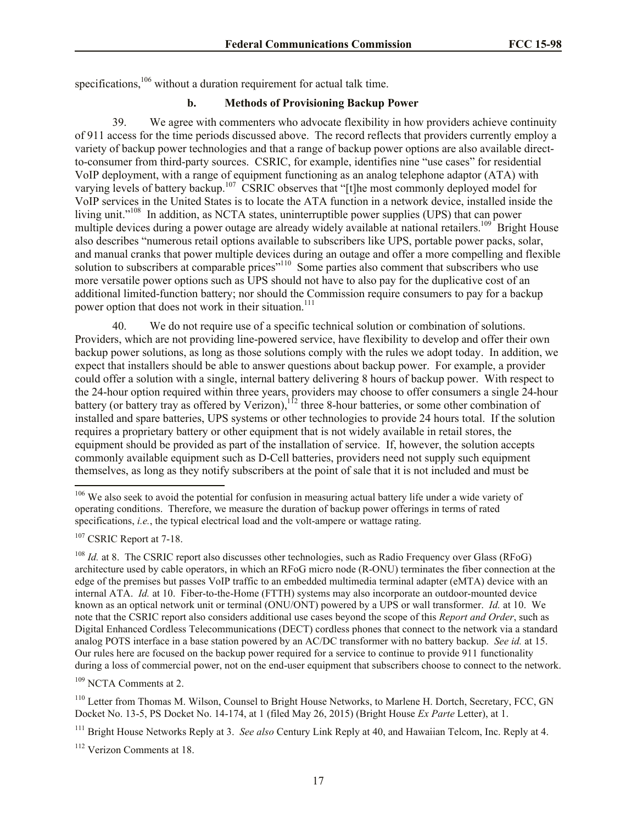specifications,<sup>106</sup> without a duration requirement for actual talk time.

# **b. Methods of Provisioning Backup Power**

39. We agree with commenters who advocate flexibility in how providers achieve continuity of 911 access for the time periods discussed above. The record reflects that providers currently employ a variety of backup power technologies and that a range of backup power options are also available directto-consumer from third-party sources. CSRIC, for example, identifies nine "use cases" for residential VoIP deployment, with a range of equipment functioning as an analog telephone adaptor (ATA) with varying levels of battery backup.<sup>107</sup> CSRIC observes that "[t]he most commonly deployed model for VoIP services in the United States is to locate the ATA function in a network device, installed inside the living unit."<sup>108</sup> In addition, as NCTA states, uninterruptible power supplies (UPS) that can power multiple devices during a power outage are already widely available at national retailers.<sup>109</sup> Bright House also describes "numerous retail options available to subscribers like UPS, portable power packs, solar, and manual cranks that power multiple devices during an outage and offer a more compelling and flexible solution to subscribers at comparable prices"<sup>110</sup> Some parties also comment that subscribers who use more versatile power options such as UPS should not have to also pay for the duplicative cost of an additional limited-function battery; nor should the Commission require consumers to pay for a backup power option that does not work in their situation.<sup>111</sup>

40. We do not require use of a specific technical solution or combination of solutions. Providers, which are not providing line-powered service, have flexibility to develop and offer their own backup power solutions, as long as those solutions comply with the rules we adopt today. In addition, we expect that installers should be able to answer questions about backup power. For example, a provider could offer a solution with a single, internal battery delivering 8 hours of backup power. With respect to the 24-hour option required within three years, providers may choose to offer consumers a single 24-hour battery (or battery tray as offered by Verizon),  $12$  three 8-hour batteries, or some other combination of installed and spare batteries, UPS systems or other technologies to provide 24 hours total. If the solution requires a proprietary battery or other equipment that is not widely available in retail stores, the equipment should be provided as part of the installation of service. If, however, the solution accepts commonly available equipment such as D-Cell batteries, providers need not supply such equipment themselves, as long as they notify subscribers at the point of sale that it is not included and must be

 $\overline{\phantom{a}}$ 

<sup>109</sup> NCTA Comments at 2.

<sup>110</sup> Letter from Thomas M. Wilson, Counsel to Bright House Networks, to Marlene H. Dortch, Secretary, FCC, GN Docket No. 13-5, PS Docket No. 14-174, at 1 (filed May 26, 2015) (Bright House *Ex Parte* Letter), at 1.

<sup>111</sup> Bright House Networks Reply at 3. *See also* Century Link Reply at 40, and Hawaiian Telcom, Inc. Reply at 4.

<sup>112</sup> Verizon Comments at 18.

<sup>&</sup>lt;sup>106</sup> We also seek to avoid the potential for confusion in measuring actual battery life under a wide variety of operating conditions. Therefore, we measure the duration of backup power offerings in terms of rated specifications, *i.e.*, the typical electrical load and the volt-ampere or wattage rating.

<sup>&</sup>lt;sup>107</sup> CSRIC Report at 7-18.

<sup>&</sup>lt;sup>108</sup> *Id.* at 8. The CSRIC report also discusses other technologies, such as Radio Frequency over Glass (RFoG) architecture used by cable operators, in which an RFoG micro node (R-ONU) terminates the fiber connection at the edge of the premises but passes VoIP traffic to an embedded multimedia terminal adapter (eMTA) device with an internal ATA. *Id.* at 10. Fiber-to-the-Home (FTTH) systems may also incorporate an outdoor-mounted device known as an optical network unit or terminal (ONU/ONT) powered by a UPS or wall transformer. *Id.* at 10. We note that the CSRIC report also considers additional use cases beyond the scope of this *Report and Order*, such as Digital Enhanced Cordless Telecommunications (DECT) cordless phones that connect to the network via a standard analog POTS interface in a base station powered by an AC/DC transformer with no battery backup. *See id.* at 15. Our rules here are focused on the backup power required for a service to continue to provide 911 functionality during a loss of commercial power, not on the end-user equipment that subscribers choose to connect to the network.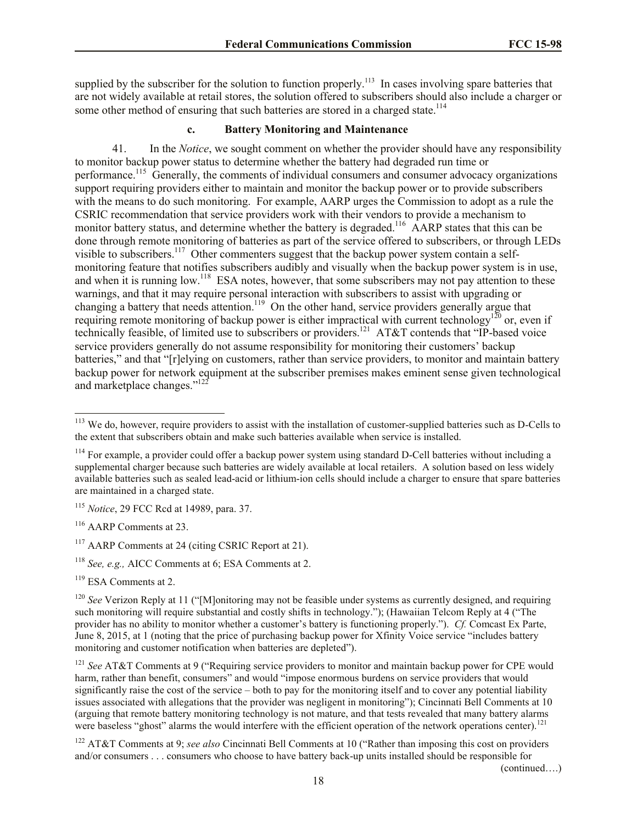supplied by the subscriber for the solution to function properly.<sup>113</sup> In cases involving spare batteries that are not widely available at retail stores, the solution offered to subscribers should also include a charger or some other method of ensuring that such batteries are stored in a charged state.<sup>114</sup>

# **c. Battery Monitoring and Maintenance**

41. In the *Notice*, we sought comment on whether the provider should have any responsibility to monitor backup power status to determine whether the battery had degraded run time or performance.<sup>115</sup> Generally, the comments of individual consumers and consumer advocacy organizations support requiring providers either to maintain and monitor the backup power or to provide subscribers with the means to do such monitoring. For example, AARP urges the Commission to adopt as a rule the CSRIC recommendation that service providers work with their vendors to provide a mechanism to monitor battery status, and determine whether the battery is degraded.<sup>116</sup> AARP states that this can be done through remote monitoring of batteries as part of the service offered to subscribers, or through LEDs visible to subscribers.<sup>117</sup> Other commenters suggest that the backup power system contain a selfmonitoring feature that notifies subscribers audibly and visually when the backup power system is in use, and when it is running low.<sup>118</sup> ESA notes, however, that some subscribers may not pay attention to these warnings, and that it may require personal interaction with subscribers to assist with upgrading or changing a battery that needs attention.<sup>119</sup> On the other hand, service providers generally argue that requiring remote monitoring of backup power is either impractical with current technology<sup>120</sup> or, even if technically feasible, of limited use to subscribers or providers.<sup>121</sup> AT&T contends that "IP-based voice service providers generally do not assume responsibility for monitoring their customers' backup batteries," and that "[r]elying on customers, rather than service providers, to monitor and maintain battery backup power for network equipment at the subscriber premises makes eminent sense given technological and marketplace changes."<sup>122</sup>

<sup>115</sup> *Notice*, 29 FCC Rcd at 14989, para. 37.

<sup>116</sup> AARP Comments at 23.

l

<sup>117</sup> AARP Comments at 24 (citing CSRIC Report at 21).

<sup>118</sup> *See, e.g.,* AICC Comments at 6; ESA Comments at 2.

<sup>119</sup> ESA Comments at 2.

(continued….)

 $113$  We do, however, require providers to assist with the installation of customer-supplied batteries such as D-Cells to the extent that subscribers obtain and make such batteries available when service is installed.

<sup>&</sup>lt;sup>114</sup> For example, a provider could offer a backup power system using standard D-Cell batteries without including a supplemental charger because such batteries are widely available at local retailers. A solution based on less widely available batteries such as sealed lead-acid or lithium-ion cells should include a charger to ensure that spare batteries are maintained in a charged state.

<sup>&</sup>lt;sup>120</sup> *See* Verizon Reply at 11 ("[M]onitoring may not be feasible under systems as currently designed, and requiring such monitoring will require substantial and costly shifts in technology."); (Hawaiian Telcom Reply at 4 ("The provider has no ability to monitor whether a customer's battery is functioning properly."). *Cf.* Comcast Ex Parte, June 8, 2015, at 1 (noting that the price of purchasing backup power for Xfinity Voice service "includes battery monitoring and customer notification when batteries are depleted").

<sup>&</sup>lt;sup>121</sup> *See* AT&T Comments at 9 ("Requiring service providers to monitor and maintain backup power for CPE would harm, rather than benefit, consumers" and would "impose enormous burdens on service providers that would significantly raise the cost of the service – both to pay for the monitoring itself and to cover any potential liability issues associated with allegations that the provider was negligent in monitoring"); Cincinnati Bell Comments at 10 (arguing that remote battery monitoring technology is not mature, and that tests revealed that many battery alarms were baseless "ghost" alarms the would interfere with the efficient operation of the network operations center).<sup>121</sup>

<sup>122</sup> AT&T Comments at 9; *see also* Cincinnati Bell Comments at 10 ("Rather than imposing this cost on providers and/or consumers . . . consumers who choose to have battery back-up units installed should be responsible for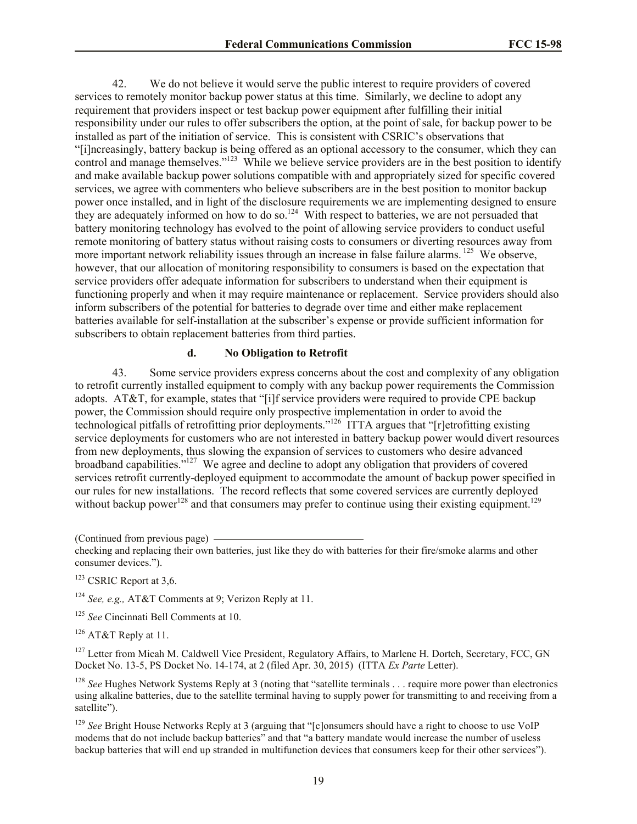42. We do not believe it would serve the public interest to require providers of covered services to remotely monitor backup power status at this time. Similarly, we decline to adopt any requirement that providers inspect or test backup power equipment after fulfilling their initial responsibility under our rules to offer subscribers the option, at the point of sale, for backup power to be installed as part of the initiation of service. This is consistent with CSRIC's observations that "[i]ncreasingly, battery backup is being offered as an optional accessory to the consumer, which they can control and manage themselves."<sup>123</sup> While we believe service providers are in the best position to identify and make available backup power solutions compatible with and appropriately sized for specific covered services, we agree with commenters who believe subscribers are in the best position to monitor backup power once installed, and in light of the disclosure requirements we are implementing designed to ensure they are adequately informed on how to do so.<sup>124</sup> With respect to batteries, we are not persuaded that battery monitoring technology has evolved to the point of allowing service providers to conduct useful remote monitoring of battery status without raising costs to consumers or diverting resources away from more important network reliability issues through an increase in false failure alarms.<sup>125</sup> We observe, however, that our allocation of monitoring responsibility to consumers is based on the expectation that service providers offer adequate information for subscribers to understand when their equipment is functioning properly and when it may require maintenance or replacement. Service providers should also inform subscribers of the potential for batteries to degrade over time and either make replacement batteries available for self-installation at the subscriber's expense or provide sufficient information for subscribers to obtain replacement batteries from third parties.

#### **d. No Obligation to Retrofit**

43. Some service providers express concerns about the cost and complexity of any obligation to retrofit currently installed equipment to comply with any backup power requirements the Commission adopts. AT&T, for example, states that "[i]f service providers were required to provide CPE backup power, the Commission should require only prospective implementation in order to avoid the technological pitfalls of retrofitting prior deployments."<sup>126</sup> ITTA argues that "[r]etrofitting existing service deployments for customers who are not interested in battery backup power would divert resources from new deployments, thus slowing the expansion of services to customers who desire advanced broadband capabilities."<sup>127</sup> We agree and decline to adopt any obligation that providers of covered services retrofit currently-deployed equipment to accommodate the amount of backup power specified in our rules for new installations. The record reflects that some covered services are currently deployed without backup power<sup>128</sup> and that consumers may prefer to continue using their existing equipment.<sup>129</sup>

(Continued from previous page) checking and replacing their own batteries, just like they do with batteries for their fire/smoke alarms and other consumer devices.").

 $123$  CSRIC Report at 3,6.

<sup>124</sup> *See, e.g.,* AT&T Comments at 9; Verizon Reply at 11.

<sup>125</sup> *See* Cincinnati Bell Comments at 10.

<sup>126</sup> AT&T Reply at 11.

<sup>127</sup> Letter from Micah M. Caldwell Vice President, Regulatory Affairs, to Marlene H. Dortch, Secretary, FCC, GN Docket No. 13-5, PS Docket No. 14-174, at 2 (filed Apr. 30, 2015) (ITTA *Ex Parte* Letter).

<sup>128</sup> *See* Hughes Network Systems Reply at 3 (noting that "satellite terminals . . . require more power than electronics using alkaline batteries, due to the satellite terminal having to supply power for transmitting to and receiving from a satellite").

<sup>129</sup> See Bright House Networks Reply at 3 (arguing that "[c]onsumers should have a right to choose to use VoIP modems that do not include backup batteries" and that "a battery mandate would increase the number of useless backup batteries that will end up stranded in multifunction devices that consumers keep for their other services").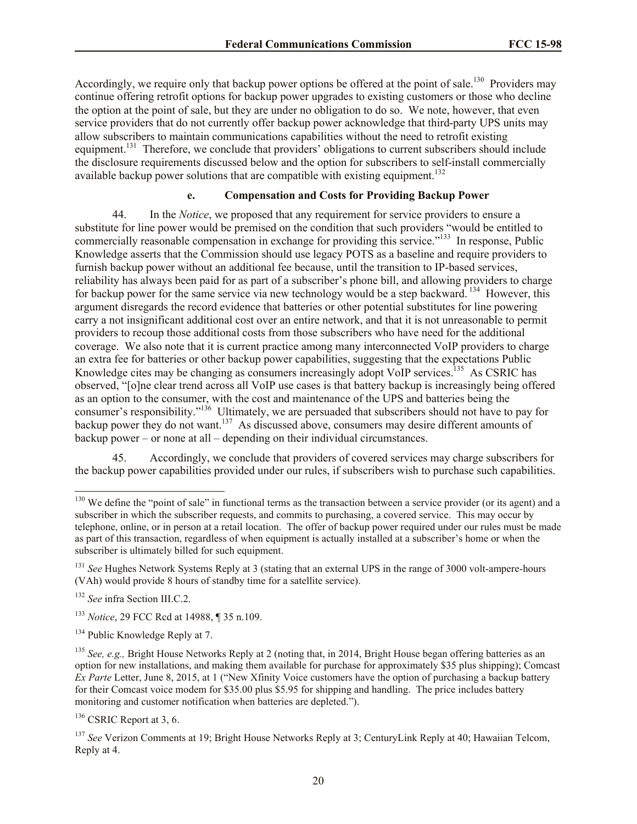Accordingly, we require only that backup power options be offered at the point of sale.<sup>130</sup> Providers may continue offering retrofit options for backup power upgrades to existing customers or those who decline the option at the point of sale, but they are under no obligation to do so. We note, however, that even service providers that do not currently offer backup power acknowledge that third-party UPS units may allow subscribers to maintain communications capabilities without the need to retrofit existing equipment.<sup>131</sup> Therefore, we conclude that providers' obligations to current subscribers should include the disclosure requirements discussed below and the option for subscribers to self-install commercially available backup power solutions that are compatible with existing equipment.<sup>132</sup>

# **e. Compensation and Costs for Providing Backup Power**

44. In the *Notice*, we proposed that any requirement for service providers to ensure a substitute for line power would be premised on the condition that such providers "would be entitled to commercially reasonable compensation in exchange for providing this service."<sup>133</sup> In response, Public Knowledge asserts that the Commission should use legacy POTS as a baseline and require providers to furnish backup power without an additional fee because, until the transition to IP-based services, reliability has always been paid for as part of a subscriber's phone bill, and allowing providers to charge for backup power for the same service via new technology would be a step backward.<sup>134</sup> However, this argument disregards the record evidence that batteries or other potential substitutes for line powering carry a not insignificant additional cost over an entire network, and that it is not unreasonable to permit providers to recoup those additional costs from those subscribers who have need for the additional coverage. We also note that it is current practice among many interconnected VoIP providers to charge an extra fee for batteries or other backup power capabilities, suggesting that the expectations Public Knowledge cites may be changing as consumers increasingly adopt VoIP services.<sup>135</sup> As CSRIC has observed, "[o]ne clear trend across all VoIP use cases is that battery backup is increasingly being offered as an option to the consumer, with the cost and maintenance of the UPS and batteries being the consumer's responsibility."<sup>136</sup> Ultimately, we are persuaded that subscribers should not have to pay for backup power they do not want.<sup>137</sup> As discussed above, consumers may desire different amounts of backup power – or none at all – depending on their individual circumstances.

45. Accordingly, we conclude that providers of covered services may charge subscribers for the backup power capabilities provided under our rules, if subscribers wish to purchase such capabilities.

l

<sup>133</sup> *Notice*, 29 FCC Rcd at 14988, ¶ 35 n.109.

<sup>134</sup> Public Knowledge Reply at 7.

 $136$  CSRIC Report at 3, 6.

 $130$  We define the "point of sale" in functional terms as the transaction between a service provider (or its agent) and a subscriber in which the subscriber requests, and commits to purchasing, a covered service. This may occur by telephone, online, or in person at a retail location. The offer of backup power required under our rules must be made as part of this transaction, regardless of when equipment is actually installed at a subscriber's home or when the subscriber is ultimately billed for such equipment.

<sup>&</sup>lt;sup>131</sup> *See* Hughes Network Systems Reply at 3 (stating that an external UPS in the range of 3000 volt-ampere-hours (VAh) would provide 8 hours of standby time for a satellite service).

<sup>132</sup> *See* infra Section III.C.2.

<sup>135</sup> *See, e.g.,* Bright House Networks Reply at 2 (noting that, in 2014, Bright House began offering batteries as an option for new installations, and making them available for purchase for approximately \$35 plus shipping); Comcast *Ex Parte* Letter, June 8, 2015, at 1 ("New Xfinity Voice customers have the option of purchasing a backup battery for their Comcast voice modem for \$35.00 plus \$5.95 for shipping and handling. The price includes battery monitoring and customer notification when batteries are depleted.").

<sup>137</sup> *See* Verizon Comments at 19; Bright House Networks Reply at 3; CenturyLink Reply at 40; Hawaiian Telcom, Reply at 4.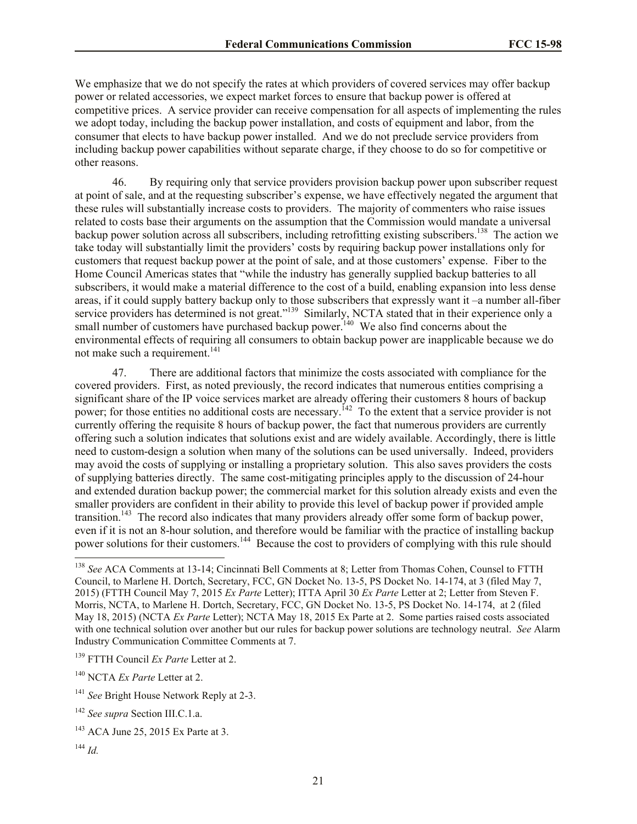We emphasize that we do not specify the rates at which providers of covered services may offer backup power or related accessories, we expect market forces to ensure that backup power is offered at competitive prices. A service provider can receive compensation for all aspects of implementing the rules we adopt today, including the backup power installation, and costs of equipment and labor, from the consumer that elects to have backup power installed. And we do not preclude service providers from including backup power capabilities without separate charge, if they choose to do so for competitive or other reasons.

46. By requiring only that service providers provision backup power upon subscriber request at point of sale, and at the requesting subscriber's expense, we have effectively negated the argument that these rules will substantially increase costs to providers. The majority of commenters who raise issues related to costs base their arguments on the assumption that the Commission would mandate a universal backup power solution across all subscribers, including retrofitting existing subscribers.<sup>138</sup> The action we take today will substantially limit the providers' costs by requiring backup power installations only for customers that request backup power at the point of sale, and at those customers' expense. Fiber to the Home Council Americas states that "while the industry has generally supplied backup batteries to all subscribers, it would make a material difference to the cost of a build, enabling expansion into less dense areas, if it could supply battery backup only to those subscribers that expressly want it –a number all-fiber service providers has determined is not great."<sup>139</sup> Similarly, NCTA stated that in their experience only a small number of customers have purchased backup power.<sup>140</sup> We also find concerns about the environmental effects of requiring all consumers to obtain backup power are inapplicable because we do not make such a requirement.<sup>141</sup>

47. There are additional factors that minimize the costs associated with compliance for the covered providers. First, as noted previously, the record indicates that numerous entities comprising a significant share of the IP voice services market are already offering their customers 8 hours of backup power; for those entities no additional costs are necessary.<sup>142</sup> To the extent that a service provider is not currently offering the requisite 8 hours of backup power, the fact that numerous providers are currently offering such a solution indicates that solutions exist and are widely available. Accordingly, there is little need to custom-design a solution when many of the solutions can be used universally. Indeed, providers may avoid the costs of supplying or installing a proprietary solution. This also saves providers the costs of supplying batteries directly. The same cost-mitigating principles apply to the discussion of 24-hour and extended duration backup power; the commercial market for this solution already exists and even the smaller providers are confident in their ability to provide this level of backup power if provided ample transition.<sup>143</sup> The record also indicates that many providers already offer some form of backup power, even if it is not an 8-hour solution, and therefore would be familiar with the practice of installing backup power solutions for their customers.<sup>144</sup> Because the cost to providers of complying with this rule should

 $\overline{\phantom{a}}$ 

<sup>138</sup> *See* ACA Comments at 13-14; Cincinnati Bell Comments at 8; Letter from Thomas Cohen, Counsel to FTTH Council, to Marlene H. Dortch, Secretary, FCC, GN Docket No. 13-5, PS Docket No. 14-174, at 3 (filed May 7, 2015) (FTTH Council May 7, 2015 *Ex Parte* Letter); ITTA April 30 *Ex Parte* Letter at 2; Letter from Steven F. Morris, NCTA, to Marlene H. Dortch, Secretary, FCC, GN Docket No. 13-5, PS Docket No. 14-174, at 2 (filed May 18, 2015) (NCTA *Ex Parte* Letter); NCTA May 18, 2015 Ex Parte at 2. Some parties raised costs associated with one technical solution over another but our rules for backup power solutions are technology neutral. *See* Alarm Industry Communication Committee Comments at 7.

<sup>139</sup> FTTH Council *Ex Parte* Letter at 2.

<sup>140</sup> NCTA *Ex Parte* Letter at 2.

<sup>&</sup>lt;sup>141</sup> See Bright House Network Reply at 2-3.

<sup>142</sup> *See supra* Section III.C.1.a.

<sup>&</sup>lt;sup>143</sup> ACA June 25, 2015 Ex Parte at 3.

<sup>144</sup> *Id.*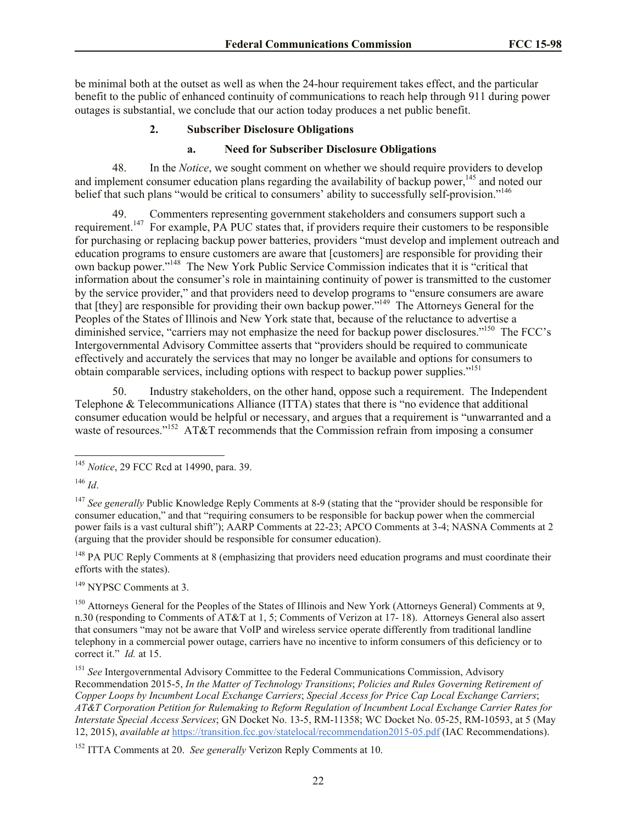be minimal both at the outset as well as when the 24-hour requirement takes effect, and the particular benefit to the public of enhanced continuity of communications to reach help through 911 during power outages is substantial, we conclude that our action today produces a net public benefit.

# **2. Subscriber Disclosure Obligations**

## **a. Need for Subscriber Disclosure Obligations**

48. In the *Notice*, we sought comment on whether we should require providers to develop and implement consumer education plans regarding the availability of backup power,<sup>145</sup> and noted our belief that such plans "would be critical to consumers' ability to successfully self-provision."<sup>146</sup>

49. Commenters representing government stakeholders and consumers support such a requirement.<sup>147</sup> For example, PA PUC states that, if providers require their customers to be responsible for purchasing or replacing backup power batteries, providers "must develop and implement outreach and education programs to ensure customers are aware that [customers] are responsible for providing their own backup power."<sup>148</sup> The New York Public Service Commission indicates that it is "critical that information about the consumer's role in maintaining continuity of power is transmitted to the customer by the service provider," and that providers need to develop programs to "ensure consumers are aware that [they] are responsible for providing their own backup power."<sup>149</sup> The Attorneys General for the Peoples of the States of Illinois and New York state that, because of the reluctance to advertise a diminished service, "carriers may not emphasize the need for backup power disclosures."<sup>150</sup> The FCC's Intergovernmental Advisory Committee asserts that "providers should be required to communicate effectively and accurately the services that may no longer be available and options for consumers to obtain comparable services, including options with respect to backup power supplies.<sup>"151</sup>

50. Industry stakeholders, on the other hand, oppose such a requirement. The Independent Telephone & Telecommunications Alliance (ITTA) states that there is "no evidence that additional consumer education would be helpful or necessary, and argues that a requirement is "unwarranted and a waste of resources."<sup>152</sup> AT&T recommends that the Commission refrain from imposing a consumer

 $\overline{\phantom{a}}$ 

<sup>148</sup> PA PUC Reply Comments at 8 (emphasizing that providers need education programs and must coordinate their efforts with the states).

<sup>149</sup> NYPSC Comments at 3.

<sup>150</sup> Attorneys General for the Peoples of the States of Illinois and New York (Attorneys General) Comments at 9, n.30 (responding to Comments of AT&T at 1, 5; Comments of Verizon at 17- 18). Attorneys General also assert that consumers "may not be aware that VoIP and wireless service operate differently from traditional landline telephony in a commercial power outage, carriers have no incentive to inform consumers of this deficiency or to correct it." *Id.* at 15.

<sup>151</sup> See Intergovernmental Advisory Committee to the Federal Communications Commission, Advisory Recommendation 2015-5, *In the Matter of Technology Transitions*; *Policies and Rules Governing Retirement of Copper Loops by Incumbent Local Exchange Carriers*; *Special Access for Price Cap Local Exchange Carriers*; *AT&T Corporation Petition for Rulemaking to Reform Regulation of Incumbent Local Exchange Carrier Rates for Interstate Special Access Services*; GN Docket No. 13-5, RM-11358; WC Docket No. 05-25, RM-10593, at 5 (May 12, 2015), *available at* https://transition.fcc.gov/statelocal/recommendation2015-05.pdf (IAC Recommendations).

<sup>145</sup> *Notice*, 29 FCC Rcd at 14990, para. 39.

<sup>146</sup> *Id*.

<sup>&</sup>lt;sup>147</sup> *See generally* Public Knowledge Reply Comments at 8-9 (stating that the "provider should be responsible for consumer education," and that "requiring consumers to be responsible for backup power when the commercial power fails is a vast cultural shift"); AARP Comments at 22-23; APCO Comments at 3-4; NASNA Comments at 2 (arguing that the provider should be responsible for consumer education).

<sup>152</sup> ITTA Comments at 20. *See generally* Verizon Reply Comments at 10.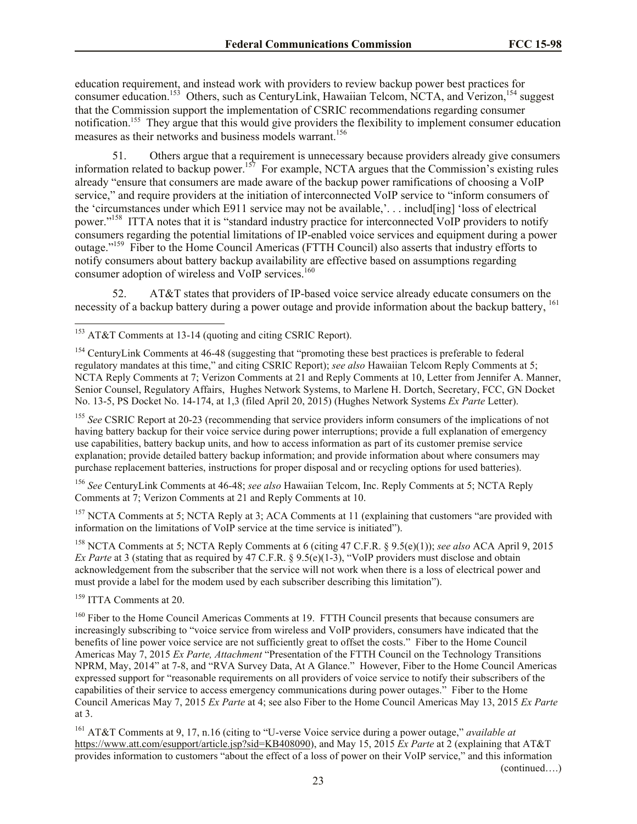education requirement, and instead work with providers to review backup power best practices for consumer education.<sup>153</sup> Others, such as CenturyLink, Hawaiian Telcom, NCTA, and Verizon,<sup>154</sup> suggest that the Commission support the implementation of CSRIC recommendations regarding consumer notification.<sup>155</sup> They argue that this would give providers the flexibility to implement consumer education measures as their networks and business models warrant.<sup>156</sup>

51. Others argue that a requirement is unnecessary because providers already give consumers information related to backup power.<sup>157</sup> For example, NCTA argues that the Commission's existing rules already "ensure that consumers are made aware of the backup power ramifications of choosing a VoIP service," and require providers at the initiation of interconnected VoIP service to "inform consumers of the 'circumstances under which E911 service may not be available,'. . . includ[ing] 'loss of electrical power."<sup>158</sup> ITTA notes that it is "standard industry practice for interconnected VoIP providers to notify consumers regarding the potential limitations of IP-enabled voice services and equipment during a power outage."<sup>159</sup> Fiber to the Home Council Americas (FTTH Council) also asserts that industry efforts to notify consumers about battery backup availability are effective based on assumptions regarding consumer adoption of wireless and VoIP services.<sup>160</sup>

52. AT&T states that providers of IP-based voice service already educate consumers on the necessity of a backup battery during a power outage and provide information about the backup battery, <sup>161</sup>

<sup>155</sup> See CSRIC Report at 20-23 (recommending that service providers inform consumers of the implications of not having battery backup for their voice service during power interruptions; provide a full explanation of emergency use capabilities, battery backup units, and how to access information as part of its customer premise service explanation; provide detailed battery backup information; and provide information about where consumers may purchase replacement batteries, instructions for proper disposal and or recycling options for used batteries).

<sup>156</sup> *See* CenturyLink Comments at 46-48; *see also* Hawaiian Telcom, Inc. Reply Comments at 5; NCTA Reply Comments at 7; Verizon Comments at 21 and Reply Comments at 10.

<sup>157</sup> NCTA Comments at 5; NCTA Reply at 3; ACA Comments at 11 (explaining that customers "are provided with information on the limitations of VoIP service at the time service is initiated").

<sup>158</sup> NCTA Comments at 5; NCTA Reply Comments at 6 (citing 47 C.F.R. § 9.5(e)(1)); *see also* ACA April 9, 2015 *Ex Parte* at 3 (stating that as required by 47 C.F.R. § 9.5(e)(1-3), "VoIP providers must disclose and obtain acknowledgement from the subscriber that the service will not work when there is a loss of electrical power and must provide a label for the modem used by each subscriber describing this limitation").

<sup>159</sup> ITTA Comments at 20.

l

<sup>160</sup> Fiber to the Home Council Americas Comments at 19. FTTH Council presents that because consumers are increasingly subscribing to "voice service from wireless and VoIP providers, consumers have indicated that the benefits of line power voice service are not sufficiently great to offset the costs." Fiber to the Home Council Americas May 7, 2015 *Ex Parte, Attachment* "Presentation of the FTTH Council on the Technology Transitions NPRM, May, 2014" at 7-8, and "RVA Survey Data, At A Glance." However, Fiber to the Home Council Americas expressed support for "reasonable requirements on all providers of voice service to notify their subscribers of the capabilities of their service to access emergency communications during power outages." Fiber to the Home Council Americas May 7, 2015 *Ex Parte* at 4; see also Fiber to the Home Council Americas May 13, 2015 *Ex Parte* at 3.

<sup>161</sup> AT&T Comments at 9, 17, n.16 (citing to "U-verse Voice service during a power outage," *available at* https://www.att.com/esupport/article.jsp?sid=KB408090), and May 15, 2015 *Ex Parte* at 2 (explaining that AT&T provides information to customers "about the effect of a loss of power on their VoIP service," and this information

(continued….)

<sup>&</sup>lt;sup>153</sup> AT&T Comments at 13-14 (quoting and citing CSRIC Report).

<sup>&</sup>lt;sup>154</sup> CenturyLink Comments at 46-48 (suggesting that "promoting these best practices is preferable to federal regulatory mandates at this time," and citing CSRIC Report); *see also* Hawaiian Telcom Reply Comments at 5; NCTA Reply Comments at 7; Verizon Comments at 21 and Reply Comments at 10, Letter from Jennifer A. Manner, Senior Counsel, Regulatory Affairs, Hughes Network Systems, to Marlene H. Dortch, Secretary, FCC, GN Docket No. 13-5, PS Docket No. 14-174, at 1,3 (filed April 20, 2015) (Hughes Network Systems *Ex Parte* Letter).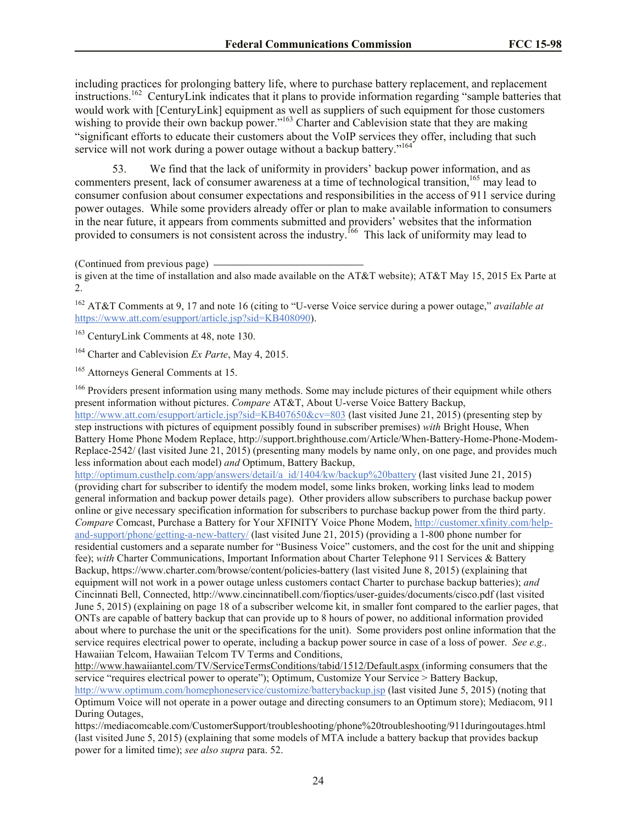including practices for prolonging battery life, where to purchase battery replacement, and replacement instructions.<sup>162</sup> CenturyLink indicates that it plans to provide information regarding "sample batteries that would work with [CenturyLink] equipment as well as suppliers of such equipment for those customers wishing to provide their own backup power."<sup>163</sup> Charter and Cablevision state that they are making "significant efforts to educate their customers about the VoIP services they offer, including that such service will not work during a power outage without a backup battery."<sup>164</sup>

53. We find that the lack of uniformity in providers' backup power information, and as commenters present, lack of consumer awareness at a time of technological transition,<sup>165</sup> may lead to consumer confusion about consumer expectations and responsibilities in the access of 911 service during power outages. While some providers already offer or plan to make available information to consumers in the near future, it appears from comments submitted and providers' websites that the information provided to consumers is not consistent across the industry.<sup>166</sup> This lack of uniformity may lead to

<sup>162</sup> AT&T Comments at 9, 17 and note 16 (citing to "U-verse Voice service during a power outage," *available at* https://www.att.com/esupport/article.jsp?sid=KB408090).

<sup>163</sup> CenturyLink Comments at 48, note 130.

<sup>164</sup> Charter and Cablevision *Ex Parte*, May 4, 2015.

<sup>165</sup> Attorneys General Comments at 15.

<sup>166</sup> Providers present information using many methods. Some may include pictures of their equipment while others present information without pictures. *Compare* AT&T, About U-verse Voice Battery Backup,

http://www.att.com/esupport/article.jsp?sid=KB407650&cv=803 (last visited June 21, 2015) (presenting step by step instructions with pictures of equipment possibly found in subscriber premises) *with* Bright House, When Battery Home Phone Modem Replace, http://support.brighthouse.com/Article/When-Battery-Home-Phone-Modem-Replace-2542/ (last visited June 21, 2015) (presenting many models by name only, on one page, and provides much less information about each model) *and* Optimum, Battery Backup,

http://optimum.custhelp.com/app/answers/detail/a\_id/1404/kw/backup%20battery (last visited June 21, 2015) (providing chart for subscriber to identify the modem model, some links broken, working links lead to modem general information and backup power details page). Other providers allow subscribers to purchase backup power online or give necessary specification information for subscribers to purchase backup power from the third party. *Compare* Comcast, Purchase a Battery for Your XFINITY Voice Phone Modem, http://customer.xfinity.com/helpand-support/phone/getting-a-new-battery/ (last visited June 21, 2015) (providing a 1-800 phone number for residential customers and a separate number for "Business Voice" customers, and the cost for the unit and shipping fee); *with* Charter Communications, Important Information about Charter Telephone 911 Services & Battery Backup, https://www.charter.com/browse/content/policies-battery (last visited June 8, 2015) (explaining that equipment will not work in a power outage unless customers contact Charter to purchase backup batteries); *and*  Cincinnati Bell, Connected, http://www.cincinnatibell.com/fioptics/user-guides/documents/cisco.pdf (last visited June 5, 2015) (explaining on page 18 of a subscriber welcome kit, in smaller font compared to the earlier pages, that ONTs are capable of battery backup that can provide up to 8 hours of power, no additional information provided about where to purchase the unit or the specifications for the unit). Some providers post online information that the service requires electrical power to operate, including a backup power source in case of a loss of power. *See e.g.,* Hawaiian Telcom, Hawaiian Telcom TV Terms and Conditions,

http://www.hawaiiantel.com/TV/ServiceTermsConditions/tabid/1512/Default.aspx (informing consumers that the service "requires electrical power to operate"); Optimum, Customize Your Service > Battery Backup, http://www.optimum.com/homephoneservice/customize/batterybackup.jsp (last visited June 5, 2015) (noting that Optimum Voice will not operate in a power outage and directing consumers to an Optimum store); Mediacom, 911 During Outages,

https://mediacomcable.com/CustomerSupport/troubleshooting/phone%20troubleshooting/911duringoutages.html (last visited June 5, 2015) (explaining that some models of MTA include a battery backup that provides backup power for a limited time); *see also supra* para. 52.

<sup>(</sup>Continued from previous page)

is given at the time of installation and also made available on the AT&T website); AT&T May 15, 2015 Ex Parte at 2.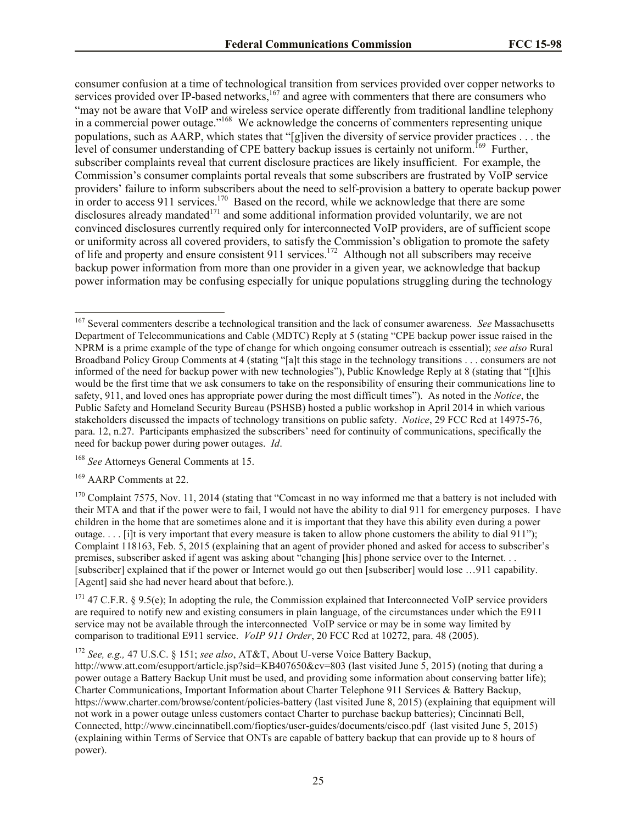consumer confusion at a time of technological transition from services provided over copper networks to services provided over IP-based networks,<sup>167</sup> and agree with commenters that there are consumers who "may not be aware that VoIP and wireless service operate differently from traditional landline telephony in a commercial power outage."<sup>168</sup> We acknowledge the concerns of commenters representing unique populations, such as AARP, which states that "[g]iven the diversity of service provider practices . . . the level of consumer understanding of CPE battery backup issues is certainly not uniform.<sup>169</sup> Further, subscriber complaints reveal that current disclosure practices are likely insufficient. For example, the Commission's consumer complaints portal reveals that some subscribers are frustrated by VoIP service providers' failure to inform subscribers about the need to self-provision a battery to operate backup power in order to access 911 services.<sup>170</sup> Based on the record, while we acknowledge that there are some disclosures already mandated<sup>171</sup> and some additional information provided voluntarily, we are not convinced disclosures currently required only for interconnected VoIP providers, are of sufficient scope or uniformity across all covered providers, to satisfy the Commission's obligation to promote the safety of life and property and ensure consistent 911 services.<sup>172</sup> Although not all subscribers may receive backup power information from more than one provider in a given year, we acknowledge that backup power information may be confusing especially for unique populations struggling during the technology

<sup>168</sup> *See* Attorneys General Comments at 15.

<sup>169</sup> AARP Comments at 22.

 $\overline{\phantom{a}}$ 

 $170$  Complaint 7575, Nov. 11, 2014 (stating that "Comcast in no way informed me that a battery is not included with their MTA and that if the power were to fail, I would not have the ability to dial 911 for emergency purposes. I have children in the home that are sometimes alone and it is important that they have this ability even during a power outage.... [i]t is very important that every measure is taken to allow phone customers the ability to dial  $911$ "); Complaint 118163, Feb. 5, 2015 (explaining that an agent of provider phoned and asked for access to subscriber's premises, subscriber asked if agent was asking about "changing [his] phone service over to the Internet. . . [subscriber] explained that if the power or Internet would go out then [subscriber] would lose …911 capability. [Agent] said she had never heard about that before.).

 $171$  47 C.F.R. § 9.5(e); In adopting the rule, the Commission explained that Interconnected VoIP service providers are required to notify new and existing consumers in plain language, of the circumstances under which the E911 service may not be available through the interconnected VoIP service or may be in some way limited by comparison to traditional E911 service. *VoIP 911 Order*, 20 FCC Rcd at 10272, para. 48 (2005).

<sup>172</sup> *See, e.g.,* 47 U.S.C. § 151; *see also*, AT&T, About U-verse Voice Battery Backup,

http://www.att.com/esupport/article.jsp?sid=KB407650&cv=803 (last visited June 5, 2015) (noting that during a power outage a Battery Backup Unit must be used, and providing some information about conserving batter life); Charter Communications, Important Information about Charter Telephone 911 Services & Battery Backup, https://www.charter.com/browse/content/policies-battery (last visited June 8, 2015) (explaining that equipment will not work in a power outage unless customers contact Charter to purchase backup batteries); Cincinnati Bell, Connected, http://www.cincinnatibell.com/fioptics/user-guides/documents/cisco.pdf (last visited June 5, 2015) (explaining within Terms of Service that ONTs are capable of battery backup that can provide up to 8 hours of power).

<sup>167</sup> Several commenters describe a technological transition and the lack of consumer awareness. *See* Massachusetts Department of Telecommunications and Cable (MDTC) Reply at 5 (stating "CPE backup power issue raised in the NPRM is a prime example of the type of change for which ongoing consumer outreach is essential); *see also* Rural Broadband Policy Group Comments at 4 (stating "[a]t this stage in the technology transitions . . . consumers are not informed of the need for backup power with new technologies"), Public Knowledge Reply at 8 (stating that "[t]his would be the first time that we ask consumers to take on the responsibility of ensuring their communications line to safety, 911, and loved ones has appropriate power during the most difficult times"). As noted in the *Notice*, the Public Safety and Homeland Security Bureau (PSHSB) hosted a public workshop in April 2014 in which various stakeholders discussed the impacts of technology transitions on public safety. *Notice*, 29 FCC Rcd at 14975-76, para. 12, n.27. Participants emphasized the subscribers' need for continuity of communications, specifically the need for backup power during power outages. *Id*.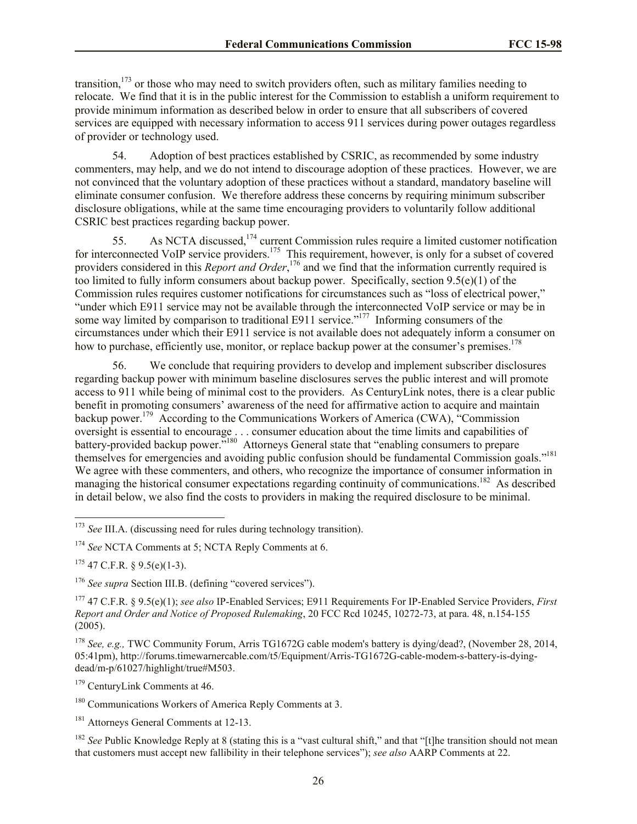transition,<sup>173</sup> or those who may need to switch providers often, such as military families needing to relocate. We find that it is in the public interest for the Commission to establish a uniform requirement to provide minimum information as described below in order to ensure that all subscribers of covered services are equipped with necessary information to access 911 services during power outages regardless of provider or technology used.

54. Adoption of best practices established by CSRIC, as recommended by some industry commenters, may help, and we do not intend to discourage adoption of these practices. However, we are not convinced that the voluntary adoption of these practices without a standard, mandatory baseline will eliminate consumer confusion. We therefore address these concerns by requiring minimum subscriber disclosure obligations, while at the same time encouraging providers to voluntarily follow additional CSRIC best practices regarding backup power.

55. As NCTA discussed,  $174$  current Commission rules require a limited customer notification for interconnected VoIP service providers.<sup>175</sup> This requirement, however, is only for a subset of covered providers considered in this *Report and Order*,<sup>176</sup> and we find that the information currently required is too limited to fully inform consumers about backup power. Specifically, section 9.5(e)(1) of the Commission rules requires customer notifications for circumstances such as "loss of electrical power," "under which E911 service may not be available through the interconnected VoIP service or may be in some way limited by comparison to traditional E911 service."<sup>177</sup> Informing consumers of the circumstances under which their E911 service is not available does not adequately inform a consumer on how to purchase, efficiently use, monitor, or replace backup power at the consumer's premises.<sup>178</sup>

56. We conclude that requiring providers to develop and implement subscriber disclosures regarding backup power with minimum baseline disclosures serves the public interest and will promote access to 911 while being of minimal cost to the providers. As CenturyLink notes, there is a clear public benefit in promoting consumers' awareness of the need for affirmative action to acquire and maintain backup power.<sup>179</sup> According to the Communications Workers of America (CWA), "Commission oversight is essential to encourage . . . consumer education about the time limits and capabilities of battery-provided backup power."<sup>180</sup> Attorneys General state that "enabling consumers to prepare themselves for emergencies and avoiding public confusion should be fundamental Commission goals."<sup>181</sup> We agree with these commenters, and others, who recognize the importance of consumer information in managing the historical consumer expectations regarding continuity of communications.<sup>182</sup> As described in detail below, we also find the costs to providers in making the required disclosure to be minimal.

<sup>174</sup> *See* NCTA Comments at 5; NCTA Reply Comments at 6.

 $175$  47 C.F.R. § 9.5(e)(1-3).

l

<sup>176</sup> *See supra* Section III.B. (defining "covered services").

<sup>177</sup> 47 C.F.R. § 9.5(e)(1); *see also* IP-Enabled Services; E911 Requirements For IP-Enabled Service Providers, *First Report and Order and Notice of Proposed Rulemaking*, 20 FCC Rcd 10245, 10272-73, at para. 48, n.154-155 (2005).

<sup>178</sup> *See, e.g.,* TWC Community Forum, Arris TG1672G cable modem's battery is dying/dead?, (November 28, 2014, 05:41pm), http://forums.timewarnercable.com/t5/Equipment/Arris-TG1672G-cable-modem-s-battery-is-dyingdead/m-p/61027/highlight/true#M503.

<sup>179</sup> CenturyLink Comments at 46.

<sup>181</sup> Attorneys General Comments at 12-13.

<sup>182</sup> See Public Knowledge Reply at 8 (stating this is a "vast cultural shift," and that "[t]he transition should not mean that customers must accept new fallibility in their telephone services"); *see also* AARP Comments at 22.

<sup>&</sup>lt;sup>173</sup> *See III.A.* (discussing need for rules during technology transition).

<sup>&</sup>lt;sup>180</sup> Communications Workers of America Reply Comments at 3.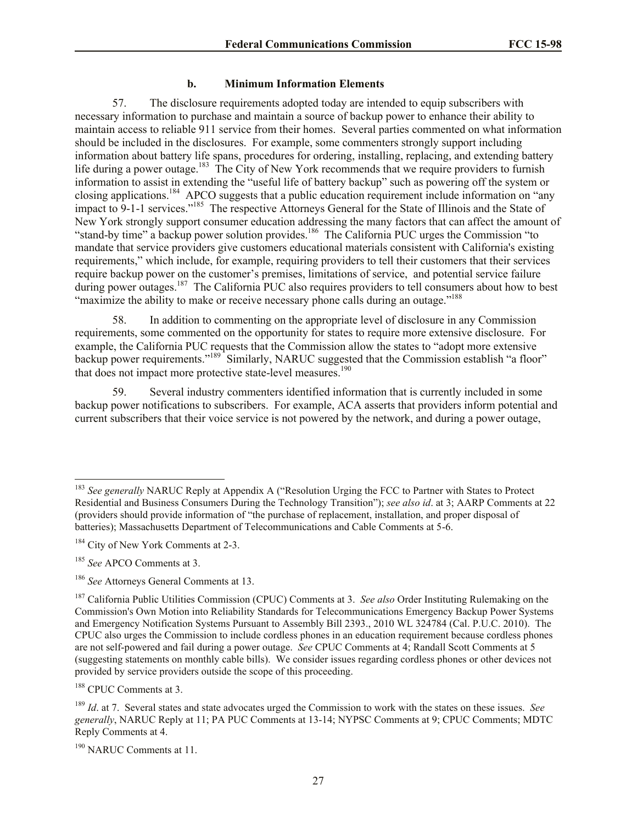#### **b. Minimum Information Elements**

57. The disclosure requirements adopted today are intended to equip subscribers with necessary information to purchase and maintain a source of backup power to enhance their ability to maintain access to reliable 911 service from their homes. Several parties commented on what information should be included in the disclosures. For example, some commenters strongly support including information about battery life spans, procedures for ordering, installing, replacing, and extending battery life during a power outage.<sup>183</sup> The City of New York recommends that we require providers to furnish information to assist in extending the "useful life of battery backup" such as powering off the system or closing applications.<sup>184</sup> APCO suggests that a public education requirement include information on "any impact to 9-1-1 services."<sup>185</sup> The respective Attorneys General for the State of Illinois and the State of New York strongly support consumer education addressing the many factors that can affect the amount of "stand-by time" a backup power solution provides.<sup>186</sup> The California PUC urges the Commission "to mandate that service providers give customers educational materials consistent with California's existing requirements," which include, for example, requiring providers to tell their customers that their services require backup power on the customer's premises, limitations of service, and potential service failure during power outages.<sup>187</sup> The California PUC also requires providers to tell consumers about how to best "maximize the ability to make or receive necessary phone calls during an outage."<sup>188</sup>

58. In addition to commenting on the appropriate level of disclosure in any Commission requirements, some commented on the opportunity for states to require more extensive disclosure. For example, the California PUC requests that the Commission allow the states to "adopt more extensive backup power requirements."<sup>189</sup> Similarly, NARUC suggested that the Commission establish "a floor" that does not impact more protective state-level measures.<sup>190</sup>

59. Several industry commenters identified information that is currently included in some backup power notifications to subscribers. For example, ACA asserts that providers inform potential and current subscribers that their voice service is not powered by the network, and during a power outage,

 $\overline{\phantom{a}}$ 

<sup>188</sup> CPUC Comments at 3.

<sup>&</sup>lt;sup>183</sup> See generally NARUC Reply at Appendix A ("Resolution Urging the FCC to Partner with States to Protect Residential and Business Consumers During the Technology Transition"); *see also id*. at 3; AARP Comments at 22 (providers should provide information of "the purchase of replacement, installation, and proper disposal of batteries); Massachusetts Department of Telecommunications and Cable Comments at 5-6.

<sup>&</sup>lt;sup>184</sup> City of New York Comments at 2-3.

<sup>185</sup> *See* APCO Comments at 3.

<sup>186</sup> *See* Attorneys General Comments at 13.

<sup>187</sup> California Public Utilities Commission (CPUC) Comments at 3. *See also* Order Instituting Rulemaking on the Commission's Own Motion into Reliability Standards for Telecommunications Emergency Backup Power Systems and Emergency Notification Systems Pursuant to Assembly Bill 2393., 2010 WL 324784 (Cal. P.U.C. 2010). The CPUC also urges the Commission to include cordless phones in an education requirement because cordless phones are not self-powered and fail during a power outage. *See* CPUC Comments at 4; Randall Scott Comments at 5 (suggesting statements on monthly cable bills). We consider issues regarding cordless phones or other devices not provided by service providers outside the scope of this proceeding.

<sup>189</sup> *Id*. at 7. Several states and state advocates urged the Commission to work with the states on these issues. *See generally*, NARUC Reply at 11; PA PUC Comments at 13-14; NYPSC Comments at 9; CPUC Comments; MDTC Reply Comments at 4.

<sup>&</sup>lt;sup>190</sup> NARUC Comments at 11.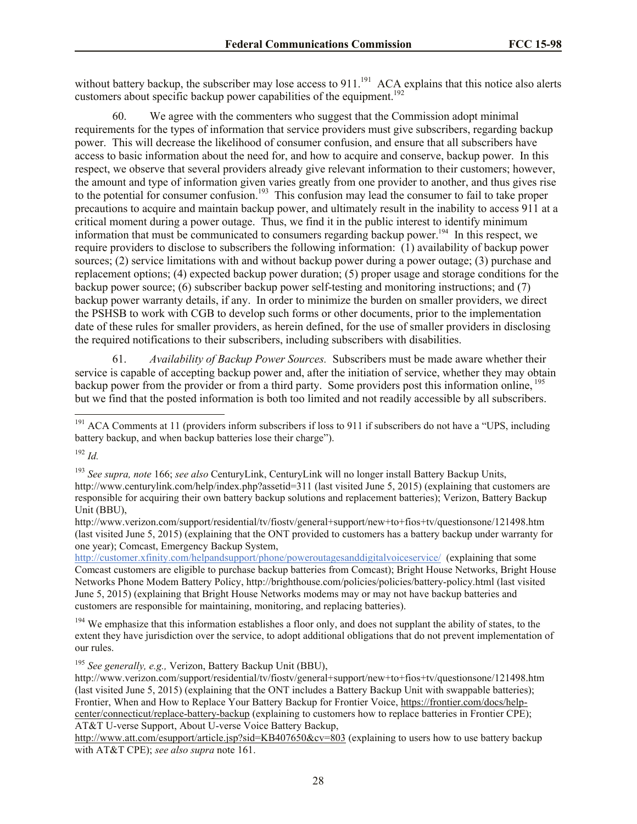without battery backup, the subscriber may lose access to  $911$ .<sup>191</sup> ACA explains that this notice also alerts customers about specific backup power capabilities of the equipment.<sup>192</sup>

60. We agree with the commenters who suggest that the Commission adopt minimal requirements for the types of information that service providers must give subscribers, regarding backup power. This will decrease the likelihood of consumer confusion, and ensure that all subscribers have access to basic information about the need for, and how to acquire and conserve, backup power. In this respect, we observe that several providers already give relevant information to their customers; however, the amount and type of information given varies greatly from one provider to another, and thus gives rise to the potential for consumer confusion.<sup>193</sup> This confusion may lead the consumer to fail to take proper precautions to acquire and maintain backup power, and ultimately result in the inability to access 911 at a critical moment during a power outage. Thus, we find it in the public interest to identify minimum information that must be communicated to consumers regarding backup power.<sup>194</sup> In this respect, we require providers to disclose to subscribers the following information: (1) availability of backup power sources; (2) service limitations with and without backup power during a power outage; (3) purchase and replacement options; (4) expected backup power duration; (5) proper usage and storage conditions for the backup power source; (6) subscriber backup power self-testing and monitoring instructions; and (7) backup power warranty details, if any. In order to minimize the burden on smaller providers, we direct the PSHSB to work with CGB to develop such forms or other documents, prior to the implementation date of these rules for smaller providers, as herein defined, for the use of smaller providers in disclosing the required notifications to their subscribers, including subscribers with disabilities.

61. *Availability of Backup Power Sources.* Subscribers must be made aware whether their service is capable of accepting backup power and, after the initiation of service, whether they may obtain backup power from the provider or from a third party. Some providers post this information online, <sup>195</sup> but we find that the posted information is both too limited and not readily accessible by all subscribers.

<sup>192</sup> *Id.*

l

 $191$  ACA Comments at 11 (providers inform subscribers if loss to 911 if subscribers do not have a "UPS, including battery backup, and when backup batteries lose their charge").

<sup>193</sup> *See supra, note* 166; *see also* CenturyLink, CenturyLink will no longer install Battery Backup Units, http://www.centurylink.com/help/index.php?assetid=311 (last visited June 5, 2015) (explaining that customers are responsible for acquiring their own battery backup solutions and replacement batteries); Verizon, Battery Backup Unit (BBU),

http://www.verizon.com/support/residential/tv/fiostv/general+support/new+to+fios+tv/questionsone/121498.htm (last visited June 5, 2015) (explaining that the ONT provided to customers has a battery backup under warranty for one year); Comcast, Emergency Backup System,

http://customer.xfinity.com/helpandsupport/phone/poweroutagesanddigitalvoiceservice/ (explaining that some Comcast customers are eligible to purchase backup batteries from Comcast); Bright House Networks, Bright House Networks Phone Modem Battery Policy, http://brighthouse.com/policies/policies/battery-policy.html (last visited June 5, 2015) (explaining that Bright House Networks modems may or may not have backup batteries and customers are responsible for maintaining, monitoring, and replacing batteries).

<sup>&</sup>lt;sup>194</sup> We emphasize that this information establishes a floor only, and does not supplant the ability of states, to the extent they have jurisdiction over the service, to adopt additional obligations that do not prevent implementation of our rules.

<sup>195</sup> *See generally, e.g.,* Verizon, Battery Backup Unit (BBU),

http://www.verizon.com/support/residential/tv/fiostv/general+support/new+to+fios+tv/questionsone/121498.htm (last visited June 5, 2015) (explaining that the ONT includes a Battery Backup Unit with swappable batteries); Frontier, When and How to Replace Your Battery Backup for Frontier Voice, https://frontier.com/docs/helpcenter/connecticut/replace-battery-backup (explaining to customers how to replace batteries in Frontier CPE); AT&T U-verse Support, About U-verse Voice Battery Backup,

http://www.att.com/esupport/article.jsp?sid=KB407650&cv=803 (explaining to users how to use battery backup with AT&T CPE); *see also supra* note 161.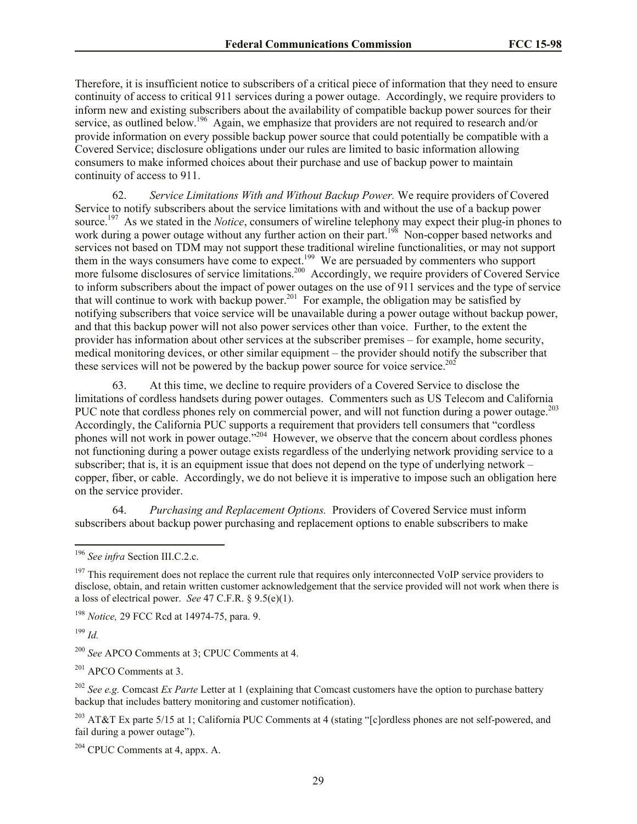Therefore, it is insufficient notice to subscribers of a critical piece of information that they need to ensure continuity of access to critical 911 services during a power outage. Accordingly, we require providers to inform new and existing subscribers about the availability of compatible backup power sources for their service, as outlined below.<sup>196</sup> Again, we emphasize that providers are not required to research and/or provide information on every possible backup power source that could potentially be compatible with a Covered Service; disclosure obligations under our rules are limited to basic information allowing consumers to make informed choices about their purchase and use of backup power to maintain continuity of access to 911.

62. *Service Limitations With and Without Backup Power.* We require providers of Covered Service to notify subscribers about the service limitations with and without the use of a backup power source.<sup>197</sup> As we stated in the *Notice*, consumers of wireline telephony may expect their plug-in phones to work during a power outage without any further action on their part.<sup>198</sup> Non-copper based networks and services not based on TDM may not support these traditional wireline functionalities, or may not support them in the ways consumers have come to expect.<sup>199</sup> We are persuaded by commenters who support more fulsome disclosures of service limitations.<sup>200</sup> Accordingly, we require providers of Covered Service to inform subscribers about the impact of power outages on the use of 911 services and the type of service that will continue to work with backup power.<sup>201</sup> For example, the obligation may be satisfied by notifying subscribers that voice service will be unavailable during a power outage without backup power, and that this backup power will not also power services other than voice. Further, to the extent the provider has information about other services at the subscriber premises – for example, home security, medical monitoring devices, or other similar equipment – the provider should notify the subscriber that these services will not be powered by the backup power source for voice service.<sup>202</sup>

63. At this time, we decline to require providers of a Covered Service to disclose the limitations of cordless handsets during power outages. Commenters such as US Telecom and California PUC note that cordless phones rely on commercial power, and will not function during a power outage.<sup>203</sup> Accordingly, the California PUC supports a requirement that providers tell consumers that "cordless phones will not work in power outage."<sup>204</sup> However, we observe that the concern about cordless phones not functioning during a power outage exists regardless of the underlying network providing service to a subscriber; that is, it is an equipment issue that does not depend on the type of underlying network – copper, fiber, or cable. Accordingly, we do not believe it is imperative to impose such an obligation here on the service provider.

64. *Purchasing and Replacement Options.* Providers of Covered Service must inform subscribers about backup power purchasing and replacement options to enable subscribers to make

<sup>198</sup> *Notice,* 29 FCC Rcd at 14974-75, para. 9.

<sup>199</sup> *Id.* 

 $\overline{\phantom{a}}$ 

<sup>200</sup> *See* APCO Comments at 3; CPUC Comments at 4.

<sup>201</sup> APCO Comments at 3.

<sup>202</sup> *See e.g.* Comcast *Ex Parte* Letter at 1 (explaining that Comcast customers have the option to purchase battery backup that includes battery monitoring and customer notification).

<sup>203</sup> AT&T Ex parte 5/15 at 1; California PUC Comments at 4 (stating "[c]ordless phones are not self-powered, and fail during a power outage").

 $204$  CPUC Comments at 4, appx. A.

<sup>196</sup> *See infra* Section III.C.2.c.

 $197$  This requirement does not replace the current rule that requires only interconnected VoIP service providers to disclose, obtain, and retain written customer acknowledgement that the service provided will not work when there is a loss of electrical power. *See* 47 C.F.R. § 9.5(e)(1).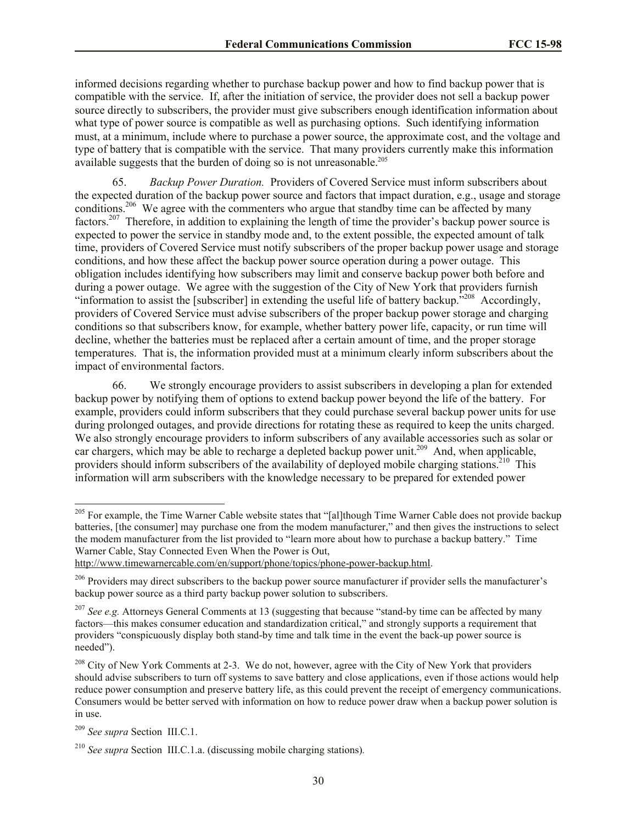informed decisions regarding whether to purchase backup power and how to find backup power that is compatible with the service. If, after the initiation of service, the provider does not sell a backup power source directly to subscribers, the provider must give subscribers enough identification information about what type of power source is compatible as well as purchasing options. Such identifying information must, at a minimum, include where to purchase a power source, the approximate cost, and the voltage and type of battery that is compatible with the service. That many providers currently make this information available suggests that the burden of doing so is not unreasonable.<sup>205</sup>

65. *Backup Power Duration.* Providers of Covered Service must inform subscribers about the expected duration of the backup power source and factors that impact duration, e.g., usage and storage conditions.<sup>206</sup> We agree with the commenters who argue that standby time can be affected by many factors.<sup>207</sup> Therefore, in addition to explaining the length of time the provider's backup power source is expected to power the service in standby mode and, to the extent possible, the expected amount of talk time, providers of Covered Service must notify subscribers of the proper backup power usage and storage conditions, and how these affect the backup power source operation during a power outage. This obligation includes identifying how subscribers may limit and conserve backup power both before and during a power outage. We agree with the suggestion of the City of New York that providers furnish "information to assist the [subscriber] in extending the useful life of battery backup.<sup>5208</sup> Accordingly, providers of Covered Service must advise subscribers of the proper backup power storage and charging conditions so that subscribers know, for example, whether battery power life, capacity, or run time will decline, whether the batteries must be replaced after a certain amount of time, and the proper storage temperatures. That is, the information provided must at a minimum clearly inform subscribers about the impact of environmental factors.

66. We strongly encourage providers to assist subscribers in developing a plan for extended backup power by notifying them of options to extend backup power beyond the life of the battery. For example, providers could inform subscribers that they could purchase several backup power units for use during prolonged outages, and provide directions for rotating these as required to keep the units charged. We also strongly encourage providers to inform subscribers of any available accessories such as solar or car chargers, which may be able to recharge a depleted backup power unit.<sup>209</sup> And, when applicable, providers should inform subscribers of the availability of deployed mobile charging stations.<sup>210</sup> This information will arm subscribers with the knowledge necessary to be prepared for extended power

 $\overline{a}$ 

<sup>&</sup>lt;sup>205</sup> For example, the Time Warner Cable website states that "[al]though Time Warner Cable does not provide backup batteries, [the consumer] may purchase one from the modem manufacturer," and then gives the instructions to select the modem manufacturer from the list provided to "learn more about how to purchase a backup battery." Time Warner Cable, Stay Connected Even When the Power is Out,

http://www.timewarnercable.com/en/support/phone/topics/phone-power-backup.html.

<sup>&</sup>lt;sup>206</sup> Providers may direct subscribers to the backup power source manufacturer if provider sells the manufacturer's backup power source as a third party backup power solution to subscribers.

<sup>&</sup>lt;sup>207</sup> *See e.g.* Attorneys General Comments at 13 (suggesting that because "stand-by time can be affected by many factors—this makes consumer education and standardization critical," and strongly supports a requirement that providers "conspicuously display both stand-by time and talk time in the event the back-up power source is needed").

<sup>&</sup>lt;sup>208</sup> City of New York Comments at 2-3. We do not, however, agree with the City of New York that providers should advise subscribers to turn off systems to save battery and close applications, even if those actions would help reduce power consumption and preserve battery life, as this could prevent the receipt of emergency communications. Consumers would be better served with information on how to reduce power draw when a backup power solution is in use.

<sup>209</sup> *See supra* Section III.C.1.

<sup>210</sup> *See supra* Section III.C.1.a. (discussing mobile charging stations)*.*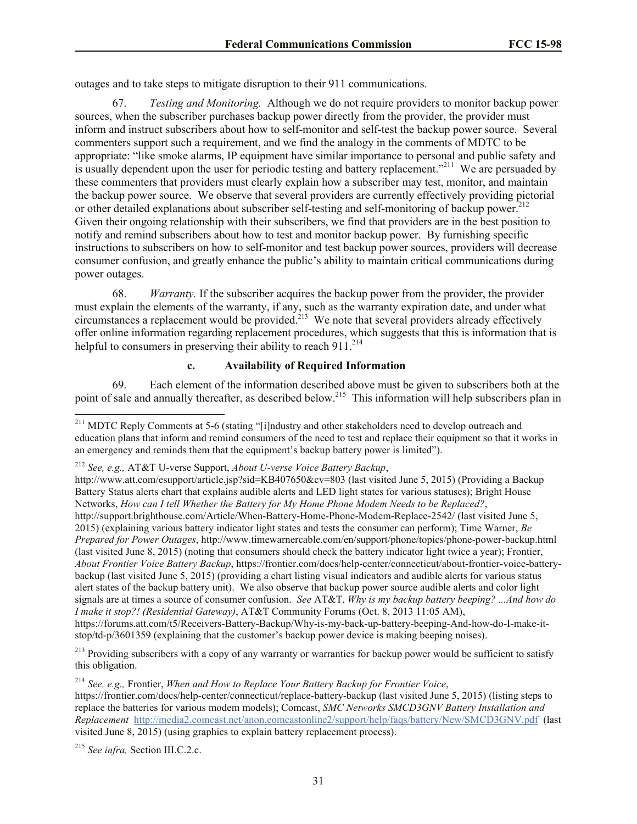outages and to take steps to mitigate disruption to their 911 communications.

67. *Testing and Monitoring.* Although we do not require providers to monitor backup power sources, when the subscriber purchases backup power directly from the provider, the provider must inform and instruct subscribers about how to self-monitor and self-test the backup power source. Several commenters support such a requirement, and we find the analogy in the comments of MDTC to be appropriate: "like smoke alarms, IP equipment have similar importance to personal and public safety and is usually dependent upon the user for periodic testing and battery replacement."<sup>211</sup> We are persuaded by these commenters that providers must clearly explain how a subscriber may test, monitor, and maintain the backup power source. We observe that several providers are currently effectively providing pictorial or other detailed explanations about subscriber self-testing and self-monitoring of backup power.<sup>212</sup> Given their ongoing relationship with their subscribers, we find that providers are in the best position to notify and remind subscribers about how to test and monitor backup power. By furnishing specific instructions to subscribers on how to self-monitor and test backup power sources, providers will decrease consumer confusion, and greatly enhance the public's ability to maintain critical communications during power outages.

68. *Warranty.* If the subscriber acquires the backup power from the provider, the provider must explain the elements of the warranty, if any, such as the warranty expiration date, and under what circumstances a replacement would be provided.<sup>213</sup> We note that several providers already effectively offer online information regarding replacement procedures, which suggests that this is information that is helpful to consumers in preserving their ability to reach 911.<sup>214</sup>

# **c. Availability of Required Information**

69. Each element of the information described above must be given to subscribers both at the point of sale and annually thereafter, as described below.<sup>215</sup> This information will help subscribers plan in

<sup>213</sup> Providing subscribers with a copy of any warranty or warranties for backup power would be sufficient to satisfy this obligation.

<sup>214</sup> *See, e.g.,* Frontier, *When and How to Replace Your Battery Backup for Frontier Voice*, https://frontier.com/docs/help-center/connecticut/replace-battery-backup (last visited June 5, 2015) (listing steps to replace the batteries for various modem models); Comcast, *SMC Networks SMCD3GNV Battery Installation and Replacement* http://media2.comcast.net/anon.comcastonline2/support/help/faqs/battery/New/SMCD3GNV.pdf (last visited June 8, 2015) (using graphics to explain battery replacement process).

<sup>215</sup> *See infra,* Section III.C.2.c.

 $\overline{a}$ 

<sup>&</sup>lt;sup>211</sup> MDTC Reply Comments at 5-6 (stating "[i]ndustry and other stakeholders need to develop outreach and education plans that inform and remind consumers of the need to test and replace their equipment so that it works in an emergency and reminds them that the equipment's backup battery power is limited").

<sup>212</sup> *See, e.g.,* AT&T U-verse Support, *About U-verse Voice Battery Backup*,

http://www.att.com/esupport/article.jsp?sid=KB407650&cv=803 (last visited June 5, 2015) (Providing a Backup Battery Status alerts chart that explains audible alerts and LED light states for various statuses); Bright House Networks, *How can I tell Whether the Battery for My Home Phone Modem Needs to be Replaced?*, http://support.brighthouse.com/Article/When-Battery-Home-Phone-Modem-Replace-2542/ (last visited June 5, 2015) (explaining various battery indicator light states and tests the consumer can perform); Time Warner, *Be Prepared for Power Outages*, http://www.timewarnercable.com/en/support/phone/topics/phone-power-backup.html (last visited June 8, 2015) (noting that consumers should check the battery indicator light twice a year); Frontier, *About Frontier Voice Battery Backup*, https://frontier.com/docs/help-center/connecticut/about-frontier-voice-batterybackup (last visited June 5, 2015) (providing a chart listing visual indicators and audible alerts for various status alert states of the backup battery unit). We also observe that backup power source audible alerts and color light signals are at times a source of consumer confusion. *See* AT&T, *Why is my backup battery beeping? ...And how do I make it stop?! (Residential Gateway)*, AT&T Community Forums (Oct. 8, 2013 11:05 AM), https://forums.att.com/t5/Receivers-Battery-Backup/Why-is-my-back-up-battery-beeping-And-how-do-I-make-itstop/td-p/3601359 (explaining that the customer's backup power device is making beeping noises).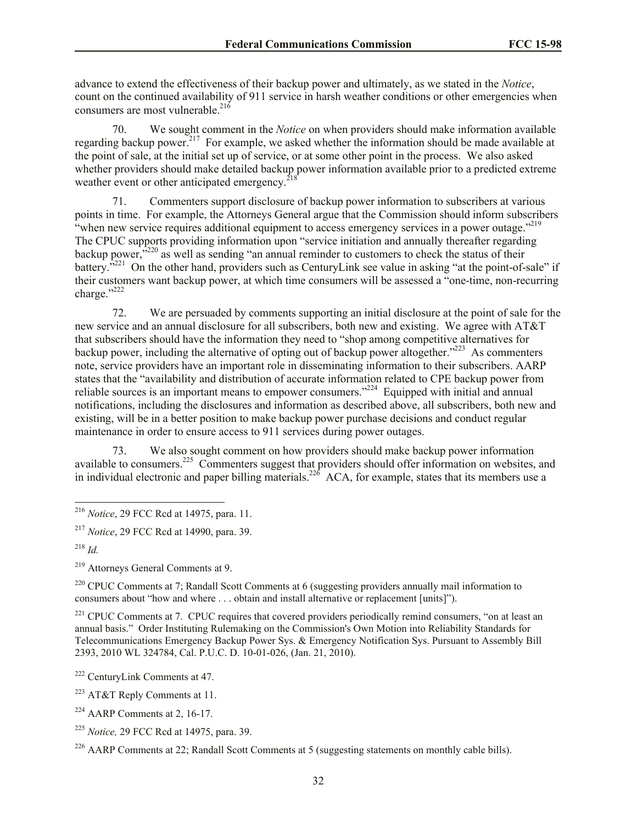advance to extend the effectiveness of their backup power and ultimately, as we stated in the *Notice*, count on the continued availability of 911 service in harsh weather conditions or other emergencies when consumers are most vulnerable. $216$ 

70. We sought comment in the *Notice* on when providers should make information available regarding backup power.<sup>217</sup> For example, we asked whether the information should be made available at the point of sale, at the initial set up of service, or at some other point in the process. We also asked whether providers should make detailed backup power information available prior to a predicted extreme weather event or other anticipated emergency. $^{218}$ 

71. Commenters support disclosure of backup power information to subscribers at various points in time. For example, the Attorneys General argue that the Commission should inform subscribers "when new service requires additional equipment to access emergency services in a power outage."<sup>219</sup> The CPUC supports providing information upon "service initiation and annually thereafter regarding backup power,<sup>3220</sup> as well as sending "an annual reminder to customers to check the status of their battery.<sup>5221</sup> On the other hand, providers such as CenturyLink see value in asking "at the point-of-sale" if their customers want backup power, at which time consumers will be assessed a "one-time, non-recurring charge."<sup>222</sup>

72. We are persuaded by comments supporting an initial disclosure at the point of sale for the new service and an annual disclosure for all subscribers, both new and existing. We agree with AT&T that subscribers should have the information they need to "shop among competitive alternatives for backup power, including the alternative of opting out of backup power altogether."<sup>223</sup> As commenters note, service providers have an important role in disseminating information to their subscribers. AARP states that the "availability and distribution of accurate information related to CPE backup power from reliable sources is an important means to empower consumers."<sup>224</sup> Equipped with initial and annual notifications, including the disclosures and information as described above, all subscribers, both new and existing, will be in a better position to make backup power purchase decisions and conduct regular maintenance in order to ensure access to 911 services during power outages.

73. We also sought comment on how providers should make backup power information available to consumers.<sup>225</sup> Commenters suggest that providers should offer information on websites, and in individual electronic and paper billing materials.<sup>226</sup> ACA, for example, states that its members use a

 $\overline{\phantom{a}}$ 

<sup>219</sup> Attorneys General Comments at 9.

<sup>220</sup> CPUC Comments at 7; Randall Scott Comments at 6 (suggesting providers annually mail information to consumers about "how and where . . . obtain and install alternative or replacement [units]").

<sup>221</sup> CPUC Comments at 7. CPUC requires that covered providers periodically remind consumers, "on at least an annual basis." Order Instituting Rulemaking on the Commission's Own Motion into Reliability Standards for Telecommunications Emergency Backup Power Sys. & Emergency Notification Sys. Pursuant to Assembly Bill 2393, 2010 WL 324784, Cal. P.U.C. D. 10-01-026, (Jan. 21, 2010).

<sup>225</sup> *Notice,* 29 FCC Rcd at 14975, para. 39.

<sup>216</sup> *Notice*, 29 FCC Rcd at 14975, para. 11.

<sup>217</sup> *Notice*, 29 FCC Rcd at 14990, para. 39.

<sup>218</sup> *Id.*

<sup>222</sup> CenturyLink Comments at 47.

<sup>223</sup> AT&T Reply Comments at 11.

 $224$  AARP Comments at 2, 16-17.

<sup>&</sup>lt;sup>226</sup> AARP Comments at 22; Randall Scott Comments at 5 (suggesting statements on monthly cable bills).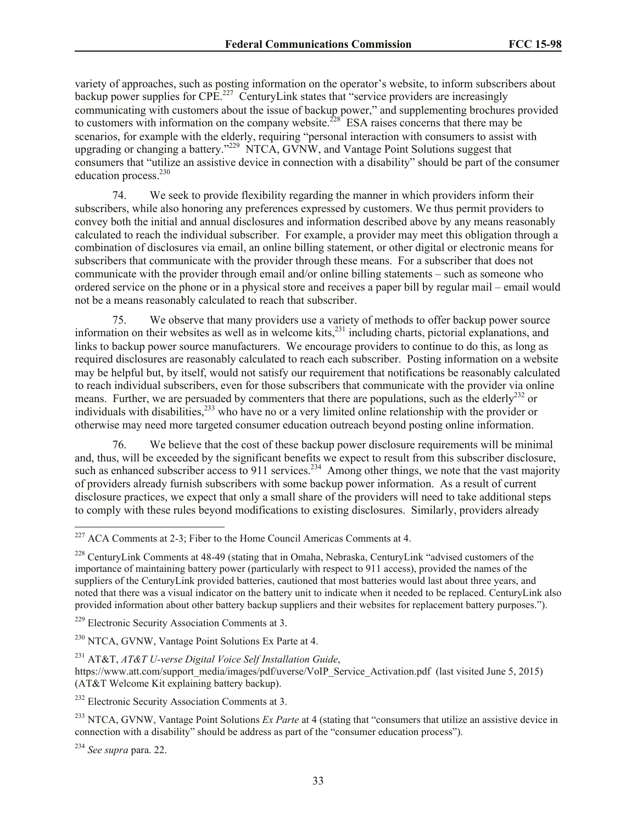variety of approaches, such as posting information on the operator's website, to inform subscribers about backup power supplies for  $\text{CPE.}^{227}$  CenturyLink states that "service providers are increasingly communicating with customers about the issue of backup power," and supplementing brochures provided to customers with information on the company website.<sup> $228^\circ$ </sup> ESA raises concerns that there may be scenarios, for example with the elderly, requiring "personal interaction with consumers to assist with upgrading or changing a battery."<sup>229</sup> NTCA, GVNW, and Vantage Point Solutions suggest that consumers that "utilize an assistive device in connection with a disability" should be part of the consumer education process.<sup>230</sup>

74. We seek to provide flexibility regarding the manner in which providers inform their subscribers, while also honoring any preferences expressed by customers. We thus permit providers to convey both the initial and annual disclosures and information described above by any means reasonably calculated to reach the individual subscriber. For example, a provider may meet this obligation through a combination of disclosures via email, an online billing statement, or other digital or electronic means for subscribers that communicate with the provider through these means. For a subscriber that does not communicate with the provider through email and/or online billing statements – such as someone who ordered service on the phone or in a physical store and receives a paper bill by regular mail – email would not be a means reasonably calculated to reach that subscriber.

75. We observe that many providers use a variety of methods to offer backup power source information on their websites as well as in welcome kits,<sup>231</sup> including charts, pictorial explanations, and links to backup power source manufacturers. We encourage providers to continue to do this, as long as required disclosures are reasonably calculated to reach each subscriber. Posting information on a website may be helpful but, by itself, would not satisfy our requirement that notifications be reasonably calculated to reach individual subscribers, even for those subscribers that communicate with the provider via online means. Further, we are persuaded by commenters that there are populations, such as the elderly<sup>232</sup> or individuals with disabilities,<sup>233</sup> who have no or a very limited online relationship with the provider or otherwise may need more targeted consumer education outreach beyond posting online information.

76. We believe that the cost of these backup power disclosure requirements will be minimal and, thus, will be exceeded by the significant benefits we expect to result from this subscriber disclosure, such as enhanced subscriber access to 911 services.<sup>234</sup> Among other things, we note that the vast majority of providers already furnish subscribers with some backup power information. As a result of current disclosure practices, we expect that only a small share of the providers will need to take additional steps to comply with these rules beyond modifications to existing disclosures. Similarly, providers already

 $\overline{\phantom{a}}$ 

<sup>&</sup>lt;sup>227</sup> ACA Comments at 2-3; Fiber to the Home Council Americas Comments at 4.

<sup>228</sup> CenturyLink Comments at 48-49 (stating that in Omaha, Nebraska, CenturyLink "advised customers of the importance of maintaining battery power (particularly with respect to 911 access), provided the names of the suppliers of the CenturyLink provided batteries, cautioned that most batteries would last about three years, and noted that there was a visual indicator on the battery unit to indicate when it needed to be replaced. CenturyLink also provided information about other battery backup suppliers and their websites for replacement battery purposes.").

<sup>229</sup> Electronic Security Association Comments at 3.

<sup>&</sup>lt;sup>230</sup> NTCA, GVNW, Vantage Point Solutions Ex Parte at 4.

<sup>231</sup> AT&T, *AT&T U-verse Digital Voice Self Installation Guide*,

https://www.att.com/support\_media/images/pdf/uverse/VoIP\_Service\_Activation.pdf (last visited June 5, 2015) (AT&T Welcome Kit explaining battery backup).

<sup>&</sup>lt;sup>232</sup> Electronic Security Association Comments at 3.

<sup>233</sup> NTCA, GVNW, Vantage Point Solutions *Ex Parte* at 4 (stating that "consumers that utilize an assistive device in connection with a disability" should be address as part of the "consumer education process").

<sup>234</sup> *See supra* para. 22.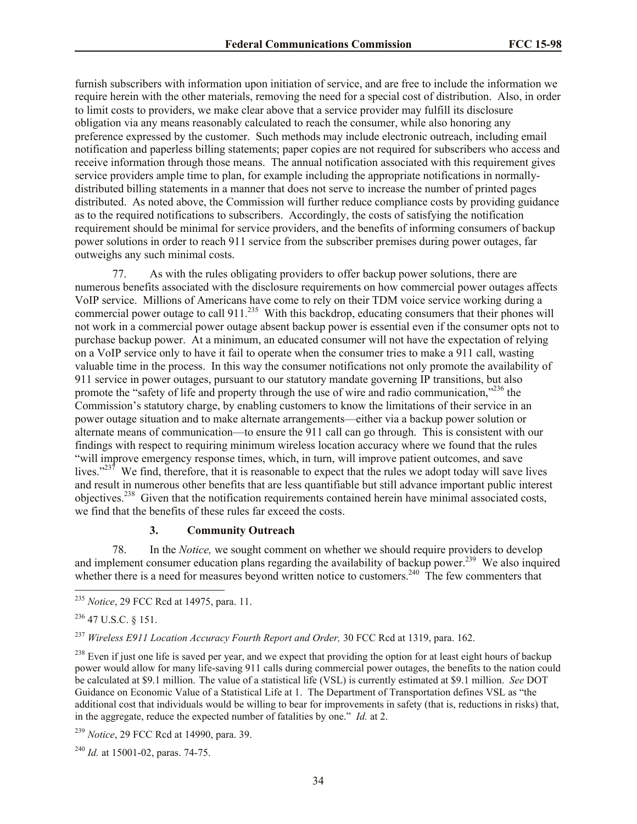furnish subscribers with information upon initiation of service, and are free to include the information we require herein with the other materials, removing the need for a special cost of distribution. Also, in order to limit costs to providers, we make clear above that a service provider may fulfill its disclosure obligation via any means reasonably calculated to reach the consumer, while also honoring any preference expressed by the customer. Such methods may include electronic outreach, including email notification and paperless billing statements; paper copies are not required for subscribers who access and receive information through those means. The annual notification associated with this requirement gives service providers ample time to plan, for example including the appropriate notifications in normallydistributed billing statements in a manner that does not serve to increase the number of printed pages distributed. As noted above, the Commission will further reduce compliance costs by providing guidance as to the required notifications to subscribers. Accordingly, the costs of satisfying the notification requirement should be minimal for service providers, and the benefits of informing consumers of backup power solutions in order to reach 911 service from the subscriber premises during power outages, far outweighs any such minimal costs.

77. As with the rules obligating providers to offer backup power solutions, there are numerous benefits associated with the disclosure requirements on how commercial power outages affects VoIP service. Millions of Americans have come to rely on their TDM voice service working during a commercial power outage to call  $911.^{235}$  With this backdrop, educating consumers that their phones will not work in a commercial power outage absent backup power is essential even if the consumer opts not to purchase backup power. At a minimum, an educated consumer will not have the expectation of relying on a VoIP service only to have it fail to operate when the consumer tries to make a 911 call, wasting valuable time in the process. In this way the consumer notifications not only promote the availability of 911 service in power outages, pursuant to our statutory mandate governing IP transitions, but also promote the "safety of life and property through the use of wire and radio communication," $^{236}$  the Commission's statutory charge, by enabling customers to know the limitations of their service in an power outage situation and to make alternate arrangements—either via a backup power solution or alternate means of communication—to ensure the 911 call can go through. This is consistent with our findings with respect to requiring minimum wireless location accuracy where we found that the rules "will improve emergency response times, which, in turn, will improve patient outcomes, and save lives." $23^7$  We find, therefore, that it is reasonable to expect that the rules we adopt today will save lives and result in numerous other benefits that are less quantifiable but still advance important public interest objectives.<sup>238</sup> Given that the notification requirements contained herein have minimal associated costs, we find that the benefits of these rules far exceed the costs.

#### **3. Community Outreach**

78. In the *Notice,* we sought comment on whether we should require providers to develop and implement consumer education plans regarding the availability of backup power.<sup>239</sup> We also inquired whether there is a need for measures beyond written notice to customers.<sup>240</sup> The few commenters that

 $\overline{a}$ 

<sup>237</sup> *Wireless E911 Location Accuracy Fourth Report and Order,* 30 FCC Rcd at 1319, para. 162.

<sup>238</sup> Even if just one life is saved per year, and we expect that providing the option for at least eight hours of backup power would allow for many life-saving 911 calls during commercial power outages, the benefits to the nation could be calculated at \$9.1 million. The value of a statistical life (VSL) is currently estimated at \$9.1 million. *See* DOT Guidance on Economic Value of a Statistical Life at 1. The Department of Transportation defines VSL as "the additional cost that individuals would be willing to bear for improvements in safety (that is, reductions in risks) that, in the aggregate, reduce the expected number of fatalities by one." *Id.* at 2.

<sup>240</sup> *Id.* at 15001-02, paras. 74-75.

<sup>235</sup> *Notice*, 29 FCC Rcd at 14975, para. 11.

 $236$  47 U.S.C. § 151.

<sup>239</sup> *Notice*, 29 FCC Rcd at 14990, para. 39.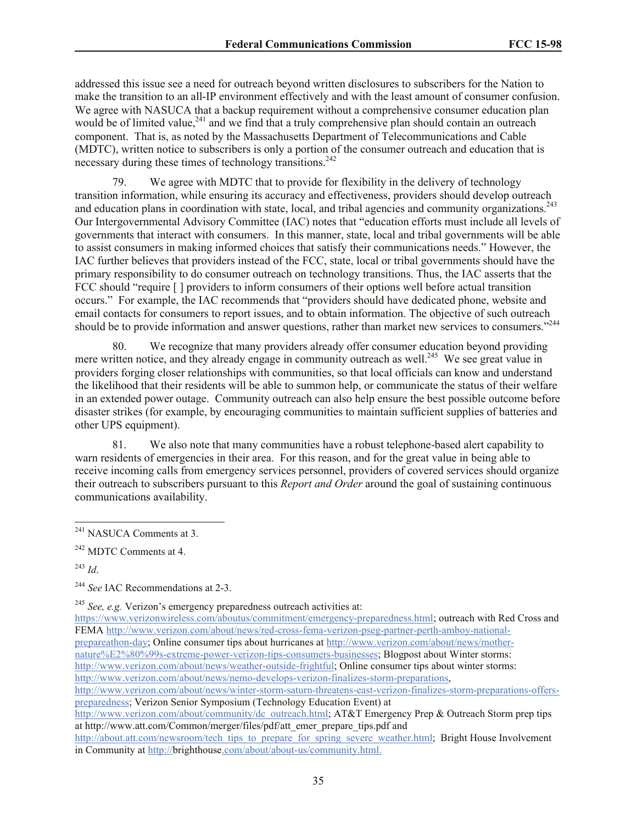addressed this issue see a need for outreach beyond written disclosures to subscribers for the Nation to make the transition to an all-IP environment effectively and with the least amount of consumer confusion. We agree with NASUCA that a backup requirement without a comprehensive consumer education plan would be of limited value,<sup>241</sup> and we find that a truly comprehensive plan should contain an outreach component. That is, as noted by the Massachusetts Department of Telecommunications and Cable (MDTC), written notice to subscribers is only a portion of the consumer outreach and education that is necessary during these times of technology transitions.<sup>242</sup>

79. We agree with MDTC that to provide for flexibility in the delivery of technology transition information, while ensuring its accuracy and effectiveness, providers should develop outreach and education plans in coordination with state, local, and tribal agencies and community organizations.<sup>243</sup> Our Intergovernmental Advisory Committee (IAC) notes that "education efforts must include all levels of governments that interact with consumers. In this manner, state, local and tribal governments will be able to assist consumers in making informed choices that satisfy their communications needs." However, the IAC further believes that providers instead of the FCC, state, local or tribal governments should have the primary responsibility to do consumer outreach on technology transitions. Thus, the IAC asserts that the FCC should "require [ ] providers to inform consumers of their options well before actual transition occurs." For example, the IAC recommends that "providers should have dedicated phone, website and email contacts for consumers to report issues, and to obtain information. The objective of such outreach should be to provide information and answer questions, rather than market new services to consumers."<sup>244</sup>

80. We recognize that many providers already offer consumer education beyond providing mere written notice, and they already engage in community outreach as well.<sup>245</sup> We see great value in providers forging closer relationships with communities, so that local officials can know and understand the likelihood that their residents will be able to summon help, or communicate the status of their welfare in an extended power outage. Community outreach can also help ensure the best possible outcome before disaster strikes (for example, by encouraging communities to maintain sufficient supplies of batteries and other UPS equipment).

81. We also note that many communities have a robust telephone-based alert capability to warn residents of emergencies in their area. For this reason, and for the great value in being able to receive incoming calls from emergency services personnel, providers of covered services should organize their outreach to subscribers pursuant to this *Report and Order* around the goal of sustaining continuous communications availability.

 $\overline{a}$ 

<sup>245</sup> *See, e.g.* Verizon's emergency preparedness outreach activities at:

https://www.verizonwireless.com/aboutus/commitment/emergency-preparedness.html; outreach with Red Cross and FEMA http://www.verizon.com/about/news/red-cross-fema-verizon-pseg-partner-perth-amboy-nationalprepareathon-day; Online consumer tips about hurricanes at http://www.verizon.com/about/news/mothernature%E2%80%99s-extreme-power-verizon-tips-consumers-businesses; Blogpost about Winter storms: http://www.verizon.com/about/news/weather-outside-frightful; Online consumer tips about winter storms: http://www.verizon.com/about/news/nemo-develops-verizon-finalizes-storm-preparations,

<sup>&</sup>lt;sup>241</sup> NASUCA Comments at 3.

<sup>242</sup> MDTC Comments at 4.

<sup>243</sup> *Id*.

<sup>&</sup>lt;sup>244</sup> See IAC Recommendations at 2-3.

http://www.verizon.com/about/news/winter-storm-saturn-threatens-east-verizon-finalizes-storm-preparations-offerspreparedness; Verizon Senior Symposium (Technology Education Event) at

http://www.verizon.com/about/community/dc\_outreach.html; AT&T Emergency Prep & Outreach Storm prep tips at http://www.att.com/Common/merger/files/pdf/att\_emer\_prepare\_tips.pdf and

http://about.att.com/newsroom/tech\_tips\_to\_prepare\_for\_spring\_severe\_weather.html; Bright House Involvement in Community at http://brighthouse.com/about/about-us/community.html.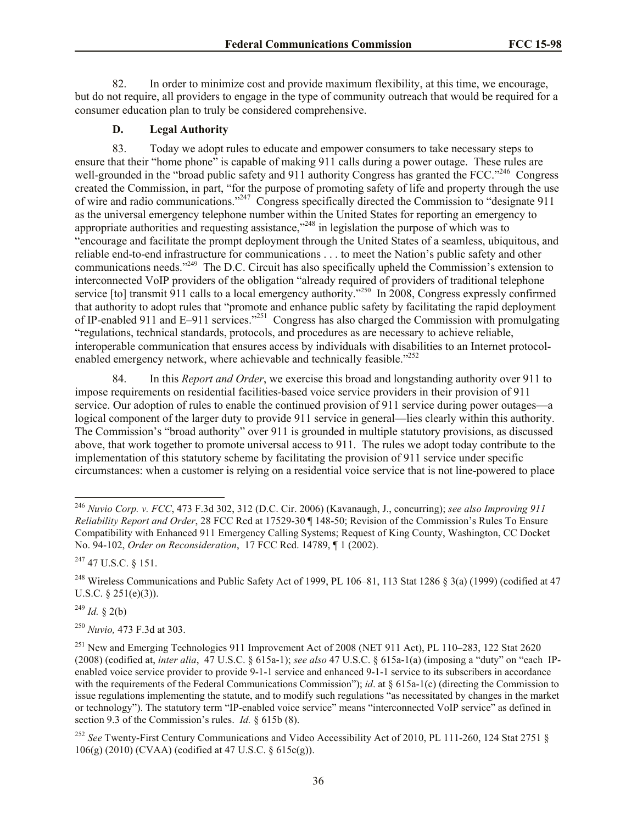82. In order to minimize cost and provide maximum flexibility, at this time, we encourage, but do not require, all providers to engage in the type of community outreach that would be required for a consumer education plan to truly be considered comprehensive.

#### **D. Legal Authority**

83. Today we adopt rules to educate and empower consumers to take necessary steps to ensure that their "home phone" is capable of making 911 calls during a power outage. These rules are well-grounded in the "broad public safety and 911 authority Congress has granted the FCC."<sup>246</sup> Congress created the Commission, in part, "for the purpose of promoting safety of life and property through the use of wire and radio communications."<sup>247</sup> Congress specifically directed the Commission to "designate 911 as the universal emergency telephone number within the United States for reporting an emergency to appropriate authorities and requesting assistance,<sup>"248</sup> in legislation the purpose of which was to "encourage and facilitate the prompt deployment through the United States of a seamless, ubiquitous, and reliable end-to-end infrastructure for communications . . . to meet the Nation's public safety and other communications needs."<sup>249</sup> The D.C. Circuit has also specifically upheld the Commission's extension to interconnected VoIP providers of the obligation "already required of providers of traditional telephone service [to] transmit 911 calls to a local emergency authority."<sup>250</sup> In 2008, Congress expressly confirmed that authority to adopt rules that "promote and enhance public safety by facilitating the rapid deployment of IP-enabled 911 and E–911 services."<sup>251</sup> Congress has also charged the Commission with promulgating "regulations, technical standards, protocols, and procedures as are necessary to achieve reliable, interoperable communication that ensures access by individuals with disabilities to an Internet protocolenabled emergency network, where achievable and technically feasible.<sup>"252</sup>

84. In this *Report and Order*, we exercise this broad and longstanding authority over 911 to impose requirements on residential facilities-based voice service providers in their provision of 911 service. Our adoption of rules to enable the continued provision of 911 service during power outages—a logical component of the larger duty to provide 911 service in general—lies clearly within this authority. The Commission's "broad authority" over 911 is grounded in multiple statutory provisions, as discussed above, that work together to promote universal access to 911. The rules we adopt today contribute to the implementation of this statutory scheme by facilitating the provision of 911 service under specific circumstances: when a customer is relying on a residential voice service that is not line-powered to place

<sup>247</sup> 47 U.S.C. § 151.

<sup>248</sup> Wireless Communications and Public Safety Act of 1999, PL 106–81, 113 Stat 1286  $\S$  3(a) (1999) (codified at 47 U.S.C.  $\S 251(e)(3)$ ).

 $^{249}$  *Id.* § 2(b)

 $\overline{a}$ 

<sup>250</sup> *Nuvio,* 473 F.3d at 303.

<sup>246</sup> *Nuvio Corp. v. FCC*, 473 F.3d 302, 312 (D.C. Cir. 2006) (Kavanaugh, J., concurring); *see also Improving 911 Reliability Report and Order*, 28 FCC Rcd at 17529-30 ¶ 148-50; Revision of the Commission's Rules To Ensure Compatibility with Enhanced 911 Emergency Calling Systems; Request of King County, Washington, CC Docket No. 94-102, *Order on Reconsideration*, 17 FCC Rcd. 14789, ¶ 1 (2002).

<sup>&</sup>lt;sup>251</sup> New and Emerging Technologies 911 Improvement Act of 2008 (NET 911 Act), PL 110–283, 122 Stat 2620 (2008) (codified at, *inter alia*, 47 U.S.C. § 615a-1); *see also* 47 U.S.C. § 615a-1(a) (imposing a "duty" on "each IPenabled voice service provider to provide 9-1-1 service and enhanced 9-1-1 service to its subscribers in accordance with the requirements of the Federal Communications Commission"); *id.* at § 615a-1(c) (directing the Commission to issue regulations implementing the statute, and to modify such regulations "as necessitated by changes in the market or technology"). The statutory term "IP-enabled voice service" means "interconnected VoIP service" as defined in section 9.3 of the Commission's rules. *Id.* § 615b (8).

<sup>&</sup>lt;sup>252</sup> See Twenty-First Century Communications and Video Accessibility Act of 2010, PL 111-260, 124 Stat 2751 § 106(g) (2010) (CVAA) (codified at 47 U.S.C. § 615c(g)).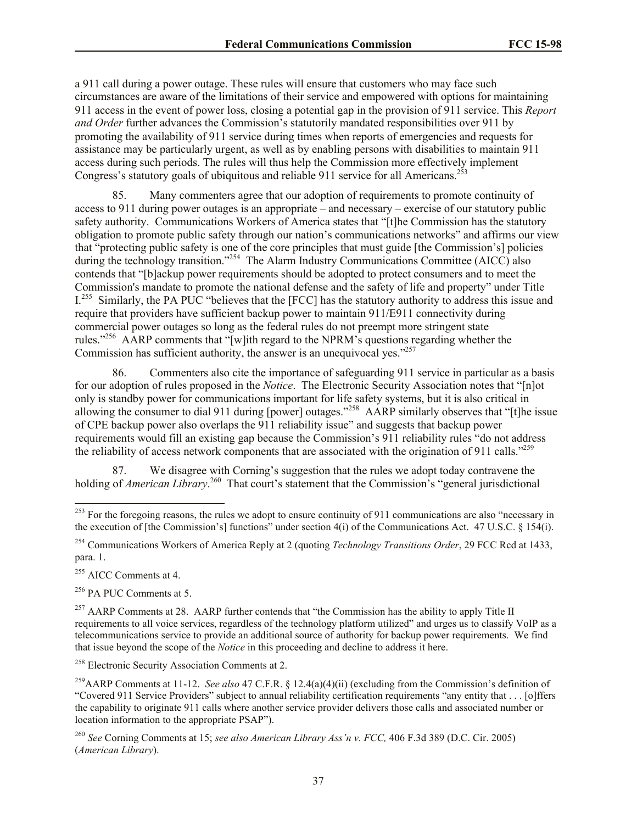a 911 call during a power outage. These rules will ensure that customers who may face such circumstances are aware of the limitations of their service and empowered with options for maintaining 911 access in the event of power loss, closing a potential gap in the provision of 911 service. This *Report and Order* further advances the Commission's statutorily mandated responsibilities over 911 by promoting the availability of 911 service during times when reports of emergencies and requests for assistance may be particularly urgent, as well as by enabling persons with disabilities to maintain 911 access during such periods. The rules will thus help the Commission more effectively implement Congress's statutory goals of ubiquitous and reliable 911 service for all Americans.<sup>25</sup>

85. Many commenters agree that our adoption of requirements to promote continuity of access to 911 during power outages is an appropriate – and necessary – exercise of our statutory public safety authority. Communications Workers of America states that "[t]he Commission has the statutory obligation to promote public safety through our nation's communications networks" and affirms our view that "protecting public safety is one of the core principles that must guide [the Commission's] policies during the technology transition."<sup>254</sup> The Alarm Industry Communications Committee (AICC) also contends that "[b]ackup power requirements should be adopted to protect consumers and to meet the Commission's mandate to promote the national defense and the safety of life and property" under Title I.<sup>255</sup> Similarly, the PA PUC "believes that the [FCC] has the statutory authority to address this issue and require that providers have sufficient backup power to maintain 911/E911 connectivity during commercial power outages so long as the federal rules do not preempt more stringent state rules."<sup>256</sup> AARP comments that "[w]ith regard to the NPRM's questions regarding whether the Commission has sufficient authority, the answer is an unequivocal yes. $^{257}$ 

86. Commenters also cite the importance of safeguarding 911 service in particular as a basis for our adoption of rules proposed in the *Notice*. The Electronic Security Association notes that "[n]ot only is standby power for communications important for life safety systems, but it is also critical in allowing the consumer to dial 911 during [power] outages."<sup>258</sup> AARP similarly observes that "[t]he issue of CPE backup power also overlaps the 911 reliability issue" and suggests that backup power requirements would fill an existing gap because the Commission's 911 reliability rules "do not address the reliability of access network components that are associated with the origination of 911 calls.<sup> $259$ </sup>

87. We disagree with Corning's suggestion that the rules we adopt today contravene the holding of *American Library*.<sup>260</sup> That court's statement that the Commission's "general jurisdictional

<sup>255</sup> AICC Comments at 4

 $\overline{a}$ 

 $256$  PA PUC Comments at 5.

<sup>258</sup> Electronic Security Association Comments at 2.

<sup>&</sup>lt;sup>253</sup> For the foregoing reasons, the rules we adopt to ensure continuity of 911 communications are also "necessary in the execution of [the Commission's] functions" under section 4(i) of the Communications Act. 47 U.S.C. § 154(i).

<sup>254</sup> Communications Workers of America Reply at 2 (quoting *Technology Transitions Order*, 29 FCC Rcd at 1433, para. 1.

<sup>&</sup>lt;sup>257</sup> AARP Comments at 28. AARP further contends that "the Commission has the ability to apply Title II requirements to all voice services, regardless of the technology platform utilized" and urges us to classify VoIP as a telecommunications service to provide an additional source of authority for backup power requirements. We find that issue beyond the scope of the *Notice* in this proceeding and decline to address it here.

<sup>259</sup>AARP Comments at 11-12. *See also* 47 C.F.R. § 12.4(a)(4)(ii) (excluding from the Commission's definition of "Covered 911 Service Providers" subject to annual reliability certification requirements "any entity that . . . [o]ffers the capability to originate 911 calls where another service provider delivers those calls and associated number or location information to the appropriate PSAP").

<sup>260</sup> *See* Corning Comments at 15; *see also American Library Ass'n v. FCC,* 406 F.3d 389 (D.C. Cir. 2005) (*American Library*).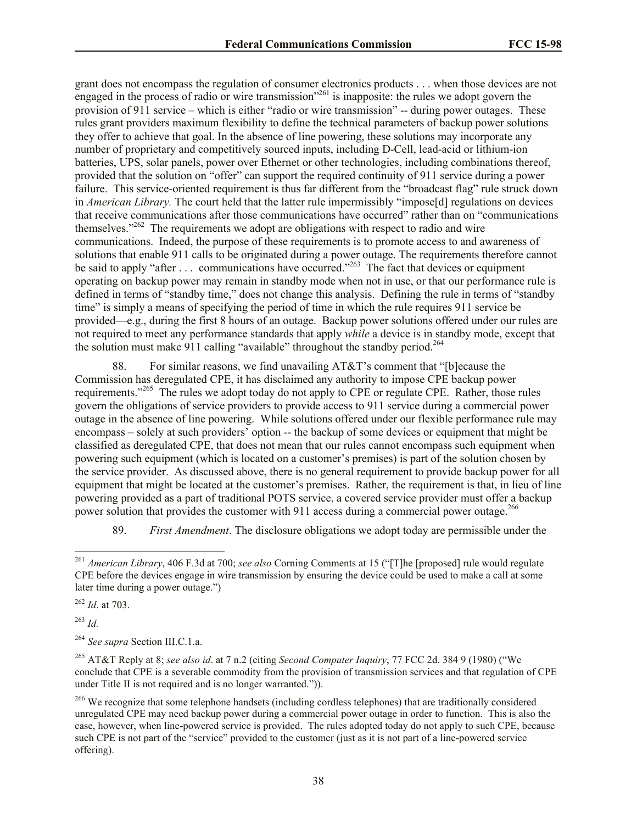grant does not encompass the regulation of consumer electronics products . . . when those devices are not engaged in the process of radio or wire transmission"<sup>261</sup> is inapposite: the rules we adopt govern the provision of 911 service – which is either "radio or wire transmission" -- during power outages. These rules grant providers maximum flexibility to define the technical parameters of backup power solutions they offer to achieve that goal. In the absence of line powering, these solutions may incorporate any number of proprietary and competitively sourced inputs, including D-Cell, lead-acid or lithium-ion batteries, UPS, solar panels, power over Ethernet or other technologies, including combinations thereof, provided that the solution on "offer" can support the required continuity of 911 service during a power failure. This service-oriented requirement is thus far different from the "broadcast flag" rule struck down in *American Library.* The court held that the latter rule impermissibly "impose[d] regulations on devices that receive communications after those communications have occurred" rather than on "communications themselves." $262$  The requirements we adopt are obligations with respect to radio and wire communications. Indeed, the purpose of these requirements is to promote access to and awareness of solutions that enable 911 calls to be originated during a power outage. The requirements therefore cannot be said to apply "after . . . communications have occurred."<sup>263</sup> The fact that devices or equipment operating on backup power may remain in standby mode when not in use, or that our performance rule is defined in terms of "standby time," does not change this analysis. Defining the rule in terms of "standby time" is simply a means of specifying the period of time in which the rule requires 911 service be provided—e.g., during the first 8 hours of an outage. Backup power solutions offered under our rules are not required to meet any performance standards that apply *while* a device is in standby mode, except that the solution must make 911 calling "available" throughout the standby period.<sup>264</sup>

88. For similar reasons, we find unavailing AT&T's comment that "[b]ecause the Commission has deregulated CPE, it has disclaimed any authority to impose CPE backup power requirements."<sup>265</sup> The rules we adopt today do not apply to CPE or regulate CPE. Rather, those rules govern the obligations of service providers to provide access to 911 service during a commercial power outage in the absence of line powering. While solutions offered under our flexible performance rule may encompass – solely at such providers' option -- the backup of some devices or equipment that might be classified as deregulated CPE, that does not mean that our rules cannot encompass such equipment when powering such equipment (which is located on a customer's premises) is part of the solution chosen by the service provider. As discussed above, there is no general requirement to provide backup power for all equipment that might be located at the customer's premises. Rather, the requirement is that, in lieu of line powering provided as a part of traditional POTS service, a covered service provider must offer a backup power solution that provides the customer with 911 access during a commercial power outage.<sup>266</sup>

89. *First Amendment*. The disclosure obligations we adopt today are permissible under the

<sup>263</sup> *Id.*

 $\overline{a}$ 

<sup>261</sup> *American Library*, 406 F.3d at 700; *see also* Corning Comments at 15 ("[T]he [proposed] rule would regulate CPE before the devices engage in wire transmission by ensuring the device could be used to make a call at some later time during a power outage.")

<sup>262</sup> *Id*. at 703.

<sup>264</sup> *See supra* Section III.C.1.a.

<sup>265</sup> AT&T Reply at 8; *see also id*. at 7 n.2 (citing *Second Computer Inquiry*, 77 FCC 2d. 384 9 (1980) ("We conclude that CPE is a severable commodity from the provision of transmission services and that regulation of CPE under Title II is not required and is no longer warranted.")).

<sup>&</sup>lt;sup>266</sup> We recognize that some telephone handsets (including cordless telephones) that are traditionally considered unregulated CPE may need backup power during a commercial power outage in order to function. This is also the case, however, when line-powered service is provided. The rules adopted today do not apply to such CPE, because such CPE is not part of the "service" provided to the customer (just as it is not part of a line-powered service offering).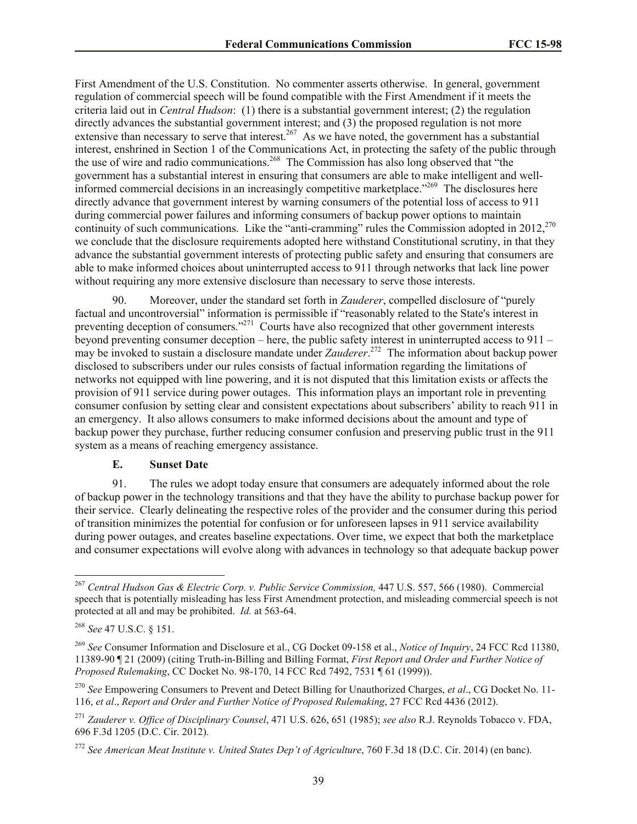First Amendment of the U.S. Constitution. No commenter asserts otherwise. In general, government regulation of commercial speech will be found compatible with the First Amendment if it meets the criteria laid out in *Central Hudson*: (1) there is a substantial government interest; (2) the regulation directly advances the substantial government interest; and (3) the proposed regulation is not more extensive than necessary to serve that interest.<sup>267</sup> As we have noted, the government has a substantial interest, enshrined in Section 1 of the Communications Act, in protecting the safety of the public through the use of wire and radio communications.<sup>268</sup> The Commission has also long observed that "the government has a substantial interest in ensuring that consumers are able to make intelligent and wellinformed commercial decisions in an increasingly competitive marketplace."<sup>269</sup> The disclosures here directly advance that government interest by warning consumers of the potential loss of access to 911 during commercial power failures and informing consumers of backup power options to maintain continuity of such communications. Like the "anti-cramming" rules the Commission adopted in 2012,<sup>270</sup> we conclude that the disclosure requirements adopted here withstand Constitutional scrutiny, in that they advance the substantial government interests of protecting public safety and ensuring that consumers are able to make informed choices about uninterrupted access to 911 through networks that lack line power without requiring any more extensive disclosure than necessary to serve those interests.

90. Moreover, under the standard set forth in *Zauderer*, compelled disclosure of "purely factual and uncontroversial" information is permissible if "reasonably related to the State's interest in preventing deception of consumers."<sup>271</sup> Courts have also recognized that other government interests beyond preventing consumer deception – here, the public safety interest in uninterrupted access to 911 – may be invoked to sustain a disclosure mandate under *Zauderer*. 272 The information about backup power disclosed to subscribers under our rules consists of factual information regarding the limitations of networks not equipped with line powering, and it is not disputed that this limitation exists or affects the provision of 911 service during power outages. This information plays an important role in preventing consumer confusion by setting clear and consistent expectations about subscribers' ability to reach 911 in an emergency. It also allows consumers to make informed decisions about the amount and type of backup power they purchase, further reducing consumer confusion and preserving public trust in the 911 system as a means of reaching emergency assistance.

## **E. Sunset Date**

91. The rules we adopt today ensure that consumers are adequately informed about the role of backup power in the technology transitions and that they have the ability to purchase backup power for their service. Clearly delineating the respective roles of the provider and the consumer during this period of transition minimizes the potential for confusion or for unforeseen lapses in 911 service availability during power outages, and creates baseline expectations. Over time, we expect that both the marketplace and consumer expectations will evolve along with advances in technology so that adequate backup power

 $\overline{a}$ 

<sup>267</sup> *Central Hudson Gas & Electric Corp. v. Public Service Commission,* 447 U.S. 557, 566 (1980). Commercial speech that is potentially misleading has less First Amendment protection, and misleading commercial speech is not protected at all and may be prohibited. *Id.* at 563-64.

<sup>268</sup> *See* 47 U.S.C. § 151.

<sup>269</sup> *See* Consumer Information and Disclosure et al., CG Docket 09-158 et al., *Notice of Inquiry*, 24 FCC Rcd 11380, 11389-90 ¶ 21 (2009) (citing Truth-in-Billing and Billing Format, *First Report and Order and Further Notice of Proposed Rulemaking*, CC Docket No. 98-170, 14 FCC Rcd 7492, 7531 ¶ 61 (1999)).

<sup>270</sup> *See* Empowering Consumers to Prevent and Detect Billing for Unauthorized Charges, *et al*., CG Docket No. 11- 116, *et al*., *Report and Order and Further Notice of Proposed Rulemaking*, 27 FCC Rcd 4436 (2012).

<sup>271</sup> *Zauderer v. Office of Disciplinary Counsel*, 471 U.S. 626, 651 (1985); *see also* R.J. Reynolds Tobacco v. FDA, 696 F.3d 1205 (D.C. Cir. 2012).

<sup>272</sup> *See American Meat Institute v. United States Dep't of Agriculture*, 760 F.3d 18 (D.C. Cir. 2014) (en banc).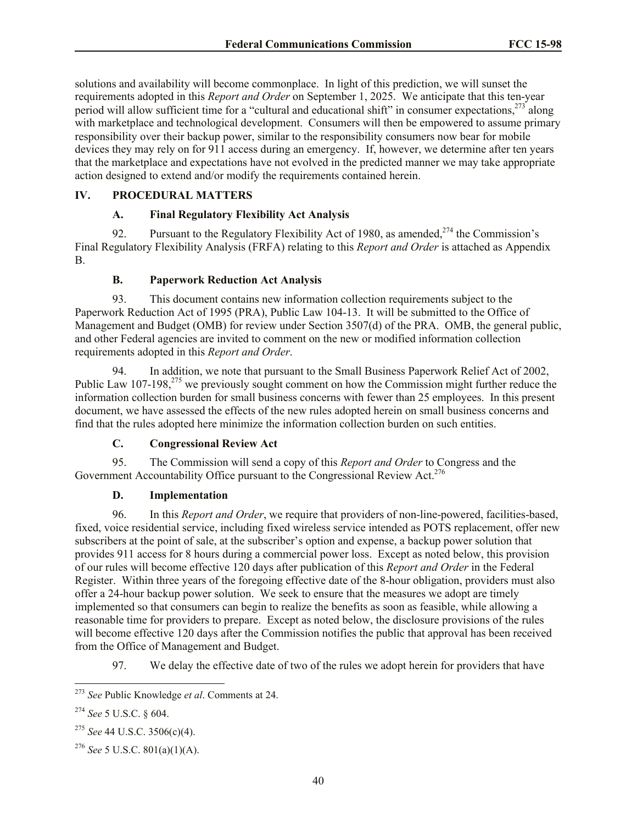solutions and availability will become commonplace. In light of this prediction, we will sunset the requirements adopted in this *Report and Order* on September 1, 2025. We anticipate that this ten-year period will allow sufficient time for a "cultural and educational shift" in consumer expectations.<sup>273</sup> along with marketplace and technological development. Consumers will then be empowered to assume primary responsibility over their backup power, similar to the responsibility consumers now bear for mobile devices they may rely on for 911 access during an emergency. If, however, we determine after ten years that the marketplace and expectations have not evolved in the predicted manner we may take appropriate action designed to extend and/or modify the requirements contained herein.

# **IV. PROCEDURAL MATTERS**

# **A. Final Regulatory Flexibility Act Analysis**

92. Pursuant to the Regulatory Flexibility Act of 1980, as amended,  $274$  the Commission's Final Regulatory Flexibility Analysis (FRFA) relating to this *Report and Order* is attached as Appendix B.

# **B. Paperwork Reduction Act Analysis**

93. This document contains new information collection requirements subject to the Paperwork Reduction Act of 1995 (PRA), Public Law 104-13. It will be submitted to the Office of Management and Budget (OMB) for review under Section 3507(d) of the PRA. OMB, the general public, and other Federal agencies are invited to comment on the new or modified information collection requirements adopted in this *Report and Order*.

94. In addition, we note that pursuant to the Small Business Paperwork Relief Act of 2002, Public Law 107-198, $^{275}$  we previously sought comment on how the Commission might further reduce the information collection burden for small business concerns with fewer than 25 employees. In this present document, we have assessed the effects of the new rules adopted herein on small business concerns and find that the rules adopted here minimize the information collection burden on such entities.

# **C. Congressional Review Act**

95. The Commission will send a copy of this *Report and Order* to Congress and the Government Accountability Office pursuant to the Congressional Review Act.<sup>276</sup>

## **D. Implementation**

96. In this *Report and Order*, we require that providers of non-line-powered, facilities-based, fixed, voice residential service, including fixed wireless service intended as POTS replacement, offer new subscribers at the point of sale, at the subscriber's option and expense, a backup power solution that provides 911 access for 8 hours during a commercial power loss. Except as noted below, this provision of our rules will become effective 120 days after publication of this *Report and Order* in the Federal Register. Within three years of the foregoing effective date of the 8-hour obligation, providers must also offer a 24-hour backup power solution. We seek to ensure that the measures we adopt are timely implemented so that consumers can begin to realize the benefits as soon as feasible, while allowing a reasonable time for providers to prepare. Except as noted below, the disclosure provisions of the rules will become effective 120 days after the Commission notifies the public that approval has been received from the Office of Management and Budget.

97. We delay the effective date of two of the rules we adopt herein for providers that have

 $\overline{\phantom{a}}$ <sup>273</sup> *See* Public Knowledge *et al*. Comments at 24.

<sup>274</sup> *See* 5 U.S.C. § 604.

<sup>275</sup> *See* 44 U.S.C. 3506(c)(4).

<sup>276</sup> *See* 5 U.S.C. 801(a)(1)(A).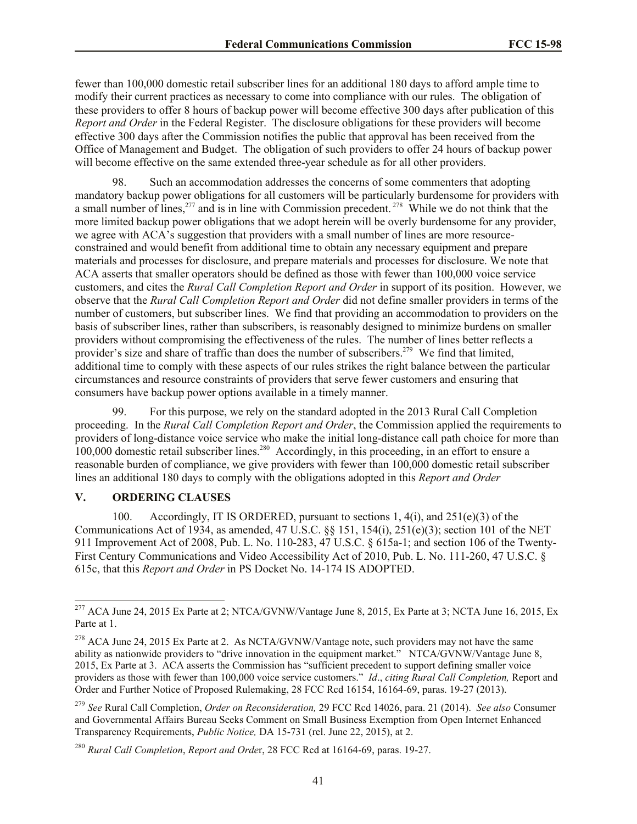fewer than 100,000 domestic retail subscriber lines for an additional 180 days to afford ample time to modify their current practices as necessary to come into compliance with our rules. The obligation of these providers to offer 8 hours of backup power will become effective 300 days after publication of this *Report and Order* in the Federal Register. The disclosure obligations for these providers will become effective 300 days after the Commission notifies the public that approval has been received from the Office of Management and Budget. The obligation of such providers to offer 24 hours of backup power will become effective on the same extended three-year schedule as for all other providers.

98. Such an accommodation addresses the concerns of some commenters that adopting mandatory backup power obligations for all customers will be particularly burdensome for providers with a small number of lines,  $277$  and is in line with Commission precedent.  $278$  While we do not think that the more limited backup power obligations that we adopt herein will be overly burdensome for any provider, we agree with ACA's suggestion that providers with a small number of lines are more resourceconstrained and would benefit from additional time to obtain any necessary equipment and prepare materials and processes for disclosure, and prepare materials and processes for disclosure. We note that ACA asserts that smaller operators should be defined as those with fewer than 100,000 voice service customers, and cites the *Rural Call Completion Report and Order* in support of its position. However, we observe that the *Rural Call Completion Report and Order* did not define smaller providers in terms of the number of customers, but subscriber lines. We find that providing an accommodation to providers on the basis of subscriber lines, rather than subscribers, is reasonably designed to minimize burdens on smaller providers without compromising the effectiveness of the rules. The number of lines better reflects a provider's size and share of traffic than does the number of subscribers.<sup>279</sup> We find that limited, additional time to comply with these aspects of our rules strikes the right balance between the particular circumstances and resource constraints of providers that serve fewer customers and ensuring that consumers have backup power options available in a timely manner.

99. For this purpose, we rely on the standard adopted in the 2013 Rural Call Completion proceeding. In the *Rural Call Completion Report and Order*, the Commission applied the requirements to providers of long-distance voice service who make the initial long-distance call path choice for more than 100,000 domestic retail subscriber lines.<sup>280</sup> Accordingly, in this proceeding, in an effort to ensure a reasonable burden of compliance, we give providers with fewer than 100,000 domestic retail subscriber lines an additional 180 days to comply with the obligations adopted in this *Report and Order*

# **V. ORDERING CLAUSES**

 $\overline{a}$ 

100. Accordingly, IT IS ORDERED, pursuant to sections 1, 4(i), and 251(e)(3) of the Communications Act of 1934, as amended, 47 U.S.C. §§ 151, 154(i), 251(e)(3); section 101 of the NET 911 Improvement Act of 2008, Pub. L. No. 110-283, 47 U.S.C. § 615a-1; and section 106 of the Twenty-First Century Communications and Video Accessibility Act of 2010, Pub. L. No. 111-260, 47 U.S.C. § 615c, that this *Report and Order* in PS Docket No. 14-174 IS ADOPTED.

<sup>&</sup>lt;sup>277</sup> ACA June 24, 2015 Ex Parte at 2; NTCA/GVNW/Vantage June 8, 2015, Ex Parte at 3; NCTA June 16, 2015, Ex Parte at 1.

<sup>&</sup>lt;sup>278</sup> ACA June 24, 2015 Ex Parte at 2. As NCTA/GVNW/Vantage note, such providers may not have the same ability as nationwide providers to "drive innovation in the equipment market." NTCA/GVNW/Vantage June 8, 2015, Ex Parte at 3. ACA asserts the Commission has "sufficient precedent to support defining smaller voice providers as those with fewer than 100,000 voice service customers." *Id*., *citing Rural Call Completion,* Report and Order and Further Notice of Proposed Rulemaking, 28 FCC Rcd 16154, 16164-69, paras. 19-27 (2013).

<sup>279</sup> *See* Rural Call Completion, *Order on Reconsideration,* 29 FCC Rcd 14026, para. 21 (2014). *See also* Consumer and Governmental Affairs Bureau Seeks Comment on Small Business Exemption from Open Internet Enhanced Transparency Requirements, *Public Notice,* DA 15-731 (rel. June 22, 2015), at 2.

<sup>280</sup> *Rural Call Completion*, *Report and Orde*r, 28 FCC Rcd at 16164-69, paras. 19-27.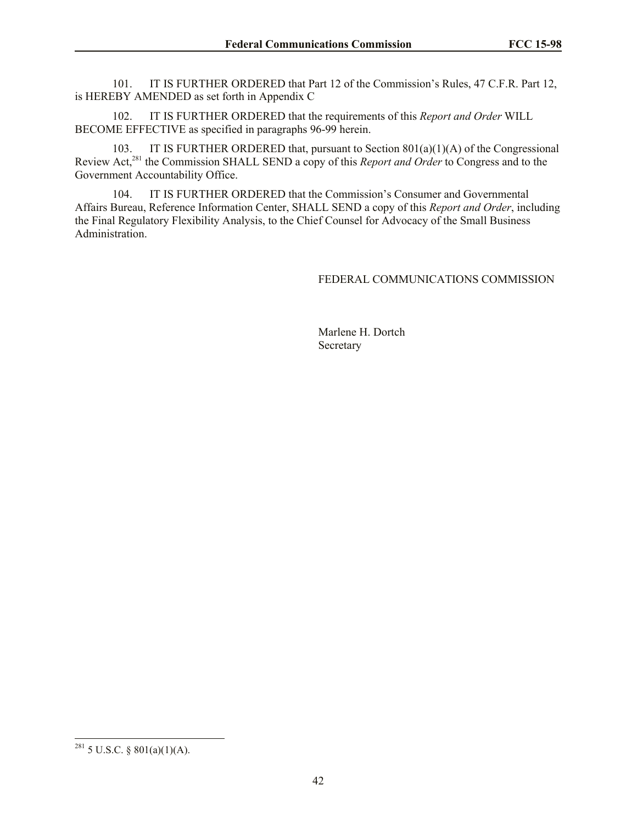101. IT IS FURTHER ORDERED that Part 12 of the Commission's Rules, 47 C.F.R. Part 12, is HEREBY AMENDED as set forth in Appendix C

102. IT IS FURTHER ORDERED that the requirements of this *Report and Order* WILL BECOME EFFECTIVE as specified in paragraphs 96-99 herein.

103. IT IS FURTHER ORDERED that, pursuant to Section 801(a)(1)(A) of the Congressional Review Act,<sup>281</sup> the Commission SHALL SEND a copy of this *Report and Order* to Congress and to the Government Accountability Office.

104. IT IS FURTHER ORDERED that the Commission's Consumer and Governmental Affairs Bureau, Reference Information Center, SHALL SEND a copy of this *Report and Order*, including the Final Regulatory Flexibility Analysis, to the Chief Counsel for Advocacy of the Small Business Administration.

#### FEDERAL COMMUNICATIONS COMMISSION

Marlene H. Dortch **Secretary** 

 $\overline{\phantom{a}}$ 

 $^{281}$  5 U.S.C. § 801(a)(1)(A).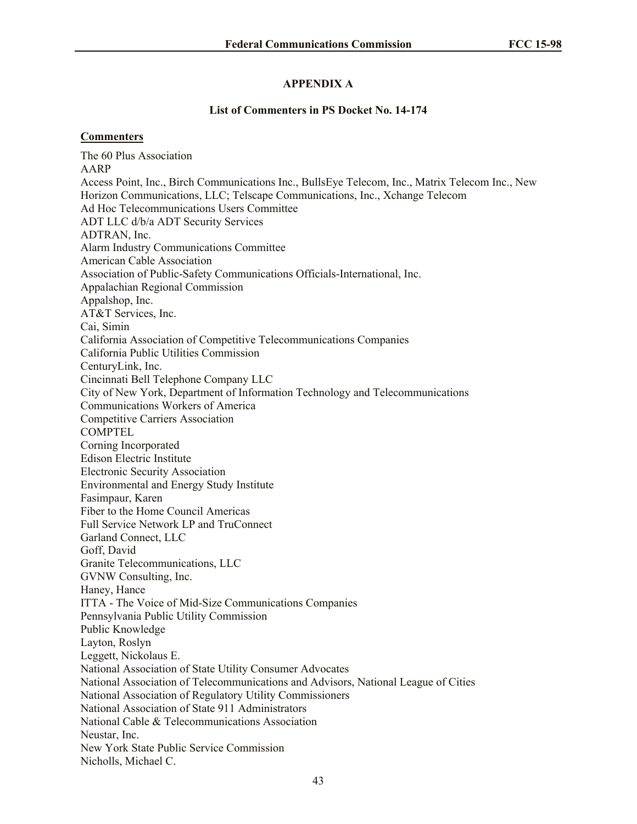# **APPENDIX A**

#### **List of Commenters in PS Docket No. 14-174**

#### **Commenters**

The 60 Plus Association AARP Access Point, Inc., Birch Communications Inc., BullsEye Telecom, Inc., Matrix Telecom Inc., New Horizon Communications, LLC; Telscape Communications, Inc., Xchange Telecom Ad Hoc Telecommunications Users Committee ADT LLC d/b/a ADT Security Services ADTRAN, Inc. Alarm Industry Communications Committee American Cable Association Association of Public-Safety Communications Officials-International, Inc. Appalachian Regional Commission Appalshop, Inc. AT&T Services, Inc. Cai, Simin California Association of Competitive Telecommunications Companies California Public Utilities Commission CenturyLink, Inc. Cincinnati Bell Telephone Company LLC City of New York, Department of Information Technology and Telecommunications Communications Workers of America Competitive Carriers Association **COMPTEL** Corning Incorporated Edison Electric Institute Electronic Security Association Environmental and Energy Study Institute Fasimpaur, Karen Fiber to the Home Council Americas Full Service Network LP and TruConnect Garland Connect, LLC Goff, David Granite Telecommunications, LLC GVNW Consulting, Inc. Haney, Hance ITTA - The Voice of Mid-Size Communications Companies Pennsylvania Public Utility Commission Public Knowledge Layton, Roslyn Leggett, Nickolaus E. National Association of State Utility Consumer Advocates National Association of Telecommunications and Advisors, National League of Cities National Association of Regulatory Utility Commissioners National Association of State 911 Administrators National Cable & Telecommunications Association Neustar, Inc. New York State Public Service Commission Nicholls, Michael C.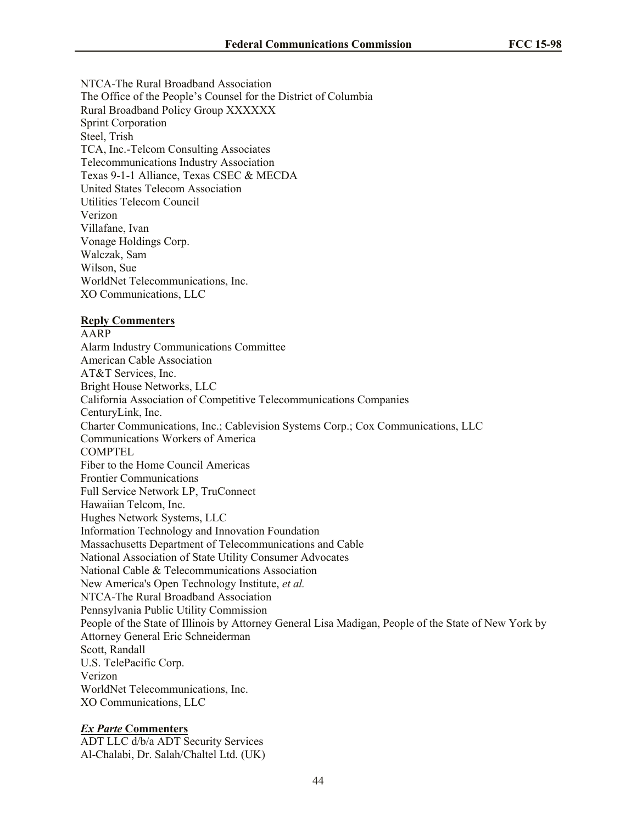NTCA-The Rural Broadband Association The Office of the People's Counsel for the District of Columbia Rural Broadband Policy Group XXXXXX Sprint Corporation Steel, Trish TCA, Inc.-Telcom Consulting Associates Telecommunications Industry Association Texas 9-1-1 Alliance, Texas CSEC & MECDA United States Telecom Association Utilities Telecom Council Verizon Villafane, Ivan Vonage Holdings Corp. Walczak, Sam Wilson, Sue WorldNet Telecommunications, Inc. XO Communications, LLC

#### **Reply Commenters**

AARP Alarm Industry Communications Committee American Cable Association AT&T Services, Inc. Bright House Networks, LLC California Association of Competitive Telecommunications Companies CenturyLink, Inc. Charter Communications, Inc.; Cablevision Systems Corp.; Cox Communications, LLC Communications Workers of America COMPTEL Fiber to the Home Council Americas Frontier Communications Full Service Network LP, TruConnect Hawaiian Telcom, Inc. Hughes Network Systems, LLC Information Technology and Innovation Foundation Massachusetts Department of Telecommunications and Cable National Association of State Utility Consumer Advocates National Cable & Telecommunications Association New America's Open Technology Institute, *et al.* NTCA-The Rural Broadband Association Pennsylvania Public Utility Commission People of the State of Illinois by Attorney General Lisa Madigan, People of the State of New York by Attorney General Eric Schneiderman Scott, Randall U.S. TelePacific Corp. Verizon WorldNet Telecommunications, Inc. XO Communications, LLC

## *Ex Parte* **Commenters**

ADT LLC d/b/a ADT Security Services Al-Chalabi, Dr. Salah/Chaltel Ltd. (UK)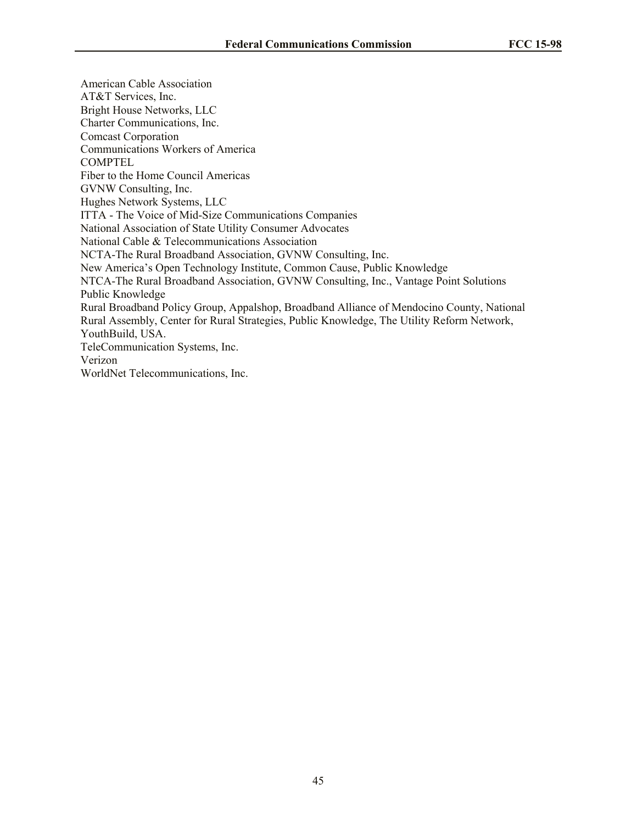American Cable Association AT&T Services, Inc. Bright House Networks, LLC Charter Communications, Inc. Comcast Corporation Communications Workers of America COMPTEL Fiber to the Home Council Americas GVNW Consulting, Inc. Hughes Network Systems, LLC ITTA - The Voice of Mid-Size Communications Companies National Association of State Utility Consumer Advocates National Cable & Telecommunications Association NCTA-The Rural Broadband Association, GVNW Consulting, Inc. New America's Open Technology Institute, Common Cause, Public Knowledge NTCA-The Rural Broadband Association, GVNW Consulting, Inc., Vantage Point Solutions Public Knowledge Rural Broadband Policy Group, Appalshop, Broadband Alliance of Mendocino County, National Rural Assembly, Center for Rural Strategies, Public Knowledge, The Utility Reform Network, YouthBuild, USA. TeleCommunication Systems, Inc. Verizon WorldNet Telecommunications, Inc.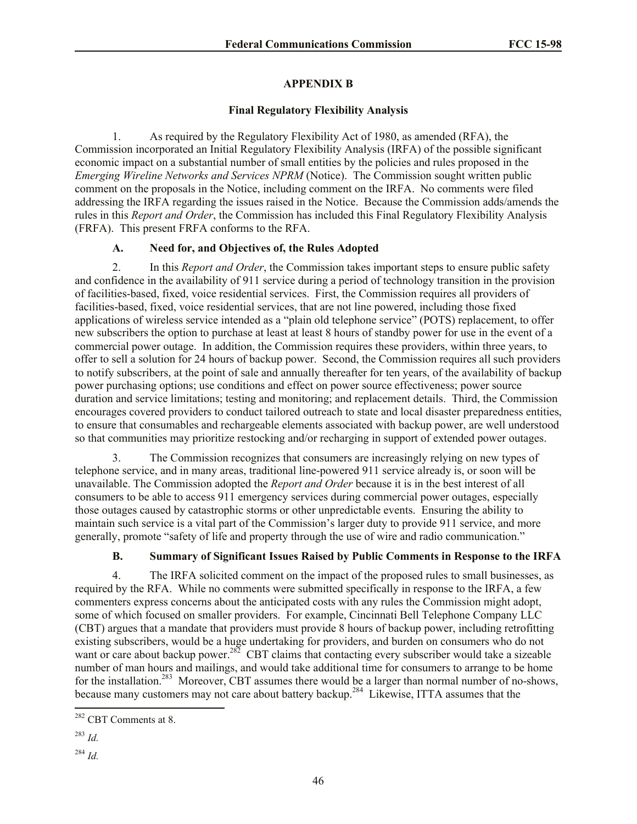# **APPENDIX B**

# **Final Regulatory Flexibility Analysis**

1. As required by the Regulatory Flexibility Act of 1980, as amended (RFA), the Commission incorporated an Initial Regulatory Flexibility Analysis (IRFA) of the possible significant economic impact on a substantial number of small entities by the policies and rules proposed in the *Emerging Wireline Networks and Services NPRM* (Notice). The Commission sought written public comment on the proposals in the Notice, including comment on the IRFA. No comments were filed addressing the IRFA regarding the issues raised in the Notice. Because the Commission adds/amends the rules in this *Report and Order*, the Commission has included this Final Regulatory Flexibility Analysis (FRFA). This present FRFA conforms to the RFA.

# **A. Need for, and Objectives of, the Rules Adopted**

2. In this *Report and Order*, the Commission takes important steps to ensure public safety and confidence in the availability of 911 service during a period of technology transition in the provision of facilities-based, fixed, voice residential services. First, the Commission requires all providers of facilities-based, fixed, voice residential services, that are not line powered, including those fixed applications of wireless service intended as a "plain old telephone service" (POTS) replacement, to offer new subscribers the option to purchase at least at least 8 hours of standby power for use in the event of a commercial power outage. In addition, the Commission requires these providers, within three years, to offer to sell a solution for 24 hours of backup power. Second, the Commission requires all such providers to notify subscribers, at the point of sale and annually thereafter for ten years, of the availability of backup power purchasing options; use conditions and effect on power source effectiveness; power source duration and service limitations; testing and monitoring; and replacement details. Third, the Commission encourages covered providers to conduct tailored outreach to state and local disaster preparedness entities, to ensure that consumables and rechargeable elements associated with backup power, are well understood so that communities may prioritize restocking and/or recharging in support of extended power outages.

3. The Commission recognizes that consumers are increasingly relying on new types of telephone service, and in many areas, traditional line-powered 911 service already is, or soon will be unavailable. The Commission adopted the *Report and Order* because it is in the best interest of all consumers to be able to access 911 emergency services during commercial power outages, especially those outages caused by catastrophic storms or other unpredictable events. Ensuring the ability to maintain such service is a vital part of the Commission's larger duty to provide 911 service, and more generally, promote "safety of life and property through the use of wire and radio communication."

# **B. Summary of Significant Issues Raised by Public Comments in Response to the IRFA**

4. The IRFA solicited comment on the impact of the proposed rules to small businesses, as required by the RFA. While no comments were submitted specifically in response to the IRFA, a few commenters express concerns about the anticipated costs with any rules the Commission might adopt, some of which focused on smaller providers. For example, Cincinnati Bell Telephone Company LLC (CBT) argues that a mandate that providers must provide 8 hours of backup power, including retrofitting existing subscribers, would be a huge undertaking for providers, and burden on consumers who do not want or care about backup power.<sup>282</sup> CBT claims that contacting every subscriber would take a sizeable number of man hours and mailings, and would take additional time for consumers to arrange to be home for the installation.<sup>283</sup> Moreover, CBT assumes there would be a larger than normal number of no-shows, because many customers may not care about battery backup.<sup>284</sup> Likewise, ITTA assumes that the

 $\overline{a}$ <sup>282</sup> CBT Comments at 8.

<sup>283</sup> *Id.*

<sup>284</sup> *Id.*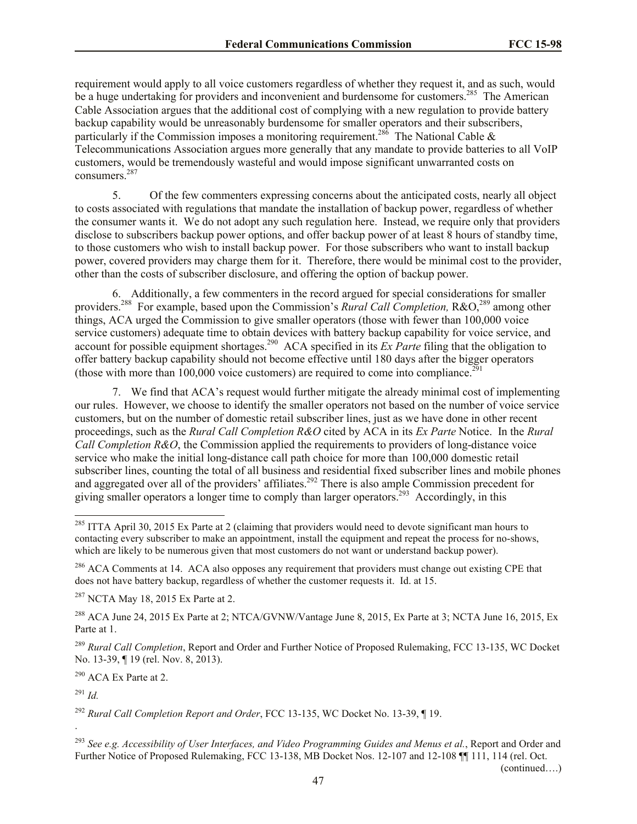requirement would apply to all voice customers regardless of whether they request it, and as such, would be a huge undertaking for providers and inconvenient and burdensome for customers.<sup>285</sup> The American Cable Association argues that the additional cost of complying with a new regulation to provide battery backup capability would be unreasonably burdensome for smaller operators and their subscribers, particularly if the Commission imposes a monitoring requirement.<sup>286</sup> The National Cable  $\&$ Telecommunications Association argues more generally that any mandate to provide batteries to all VoIP customers, would be tremendously wasteful and would impose significant unwarranted costs on consumers.<sup>287</sup>

5. Of the few commenters expressing concerns about the anticipated costs, nearly all object to costs associated with regulations that mandate the installation of backup power, regardless of whether the consumer wants it. We do not adopt any such regulation here. Instead, we require only that providers disclose to subscribers backup power options, and offer backup power of at least 8 hours of standby time, to those customers who wish to install backup power. For those subscribers who want to install backup power, covered providers may charge them for it. Therefore, there would be minimal cost to the provider, other than the costs of subscriber disclosure, and offering the option of backup power.

6. Additionally, a few commenters in the record argued for special considerations for smaller providers.<sup>288</sup> For example, based upon the Commission's *Rural Call Completion*, R&O,<sup>289</sup> among other things, ACA urged the Commission to give smaller operators (those with fewer than 100,000 voice service customers) adequate time to obtain devices with battery backup capability for voice service, and account for possible equipment shortages.<sup>290</sup> ACA specified in its *Ex Parte* filing that the obligation to offer battery backup capability should not become effective until 180 days after the bigger operators (those with more than  $100,000$  voice customers) are required to come into compliance.<sup>291</sup>

7. We find that ACA's request would further mitigate the already minimal cost of implementing our rules. However, we choose to identify the smaller operators not based on the number of voice service customers, but on the number of domestic retail subscriber lines, just as we have done in other recent proceedings, such as the *Rural Call Completion R&O* cited by ACA in its *Ex Parte* Notice. In the *Rural Call Completion R&O*, the Commission applied the requirements to providers of long-distance voice service who make the initial long-distance call path choice for more than 100,000 domestic retail subscriber lines, counting the total of all business and residential fixed subscriber lines and mobile phones and aggregated over all of the providers' affiliates.<sup>292</sup> There is also ample Commission precedent for giving smaller operators a longer time to comply than larger operators.<sup>293</sup> Accordingly, in this

 $287$  NCTA May 18, 2015 Ex Parte at 2.

<sup>288</sup> ACA June 24, 2015 Ex Parte at 2; NTCA/GVNW/Vantage June 8, 2015, Ex Parte at 3; NCTA June 16, 2015, Ex Parte at 1.

<sup>289</sup> *Rural Call Completion*, Report and Order and Further Notice of Proposed Rulemaking, FCC 13-135, WC Docket No. 13-39, ¶ 19 (rel. Nov. 8, 2013).

<sup>290</sup> ACA Ex Parte at 2.

<sup>291</sup> *Id.*

.

 $\overline{\phantom{a}}$ 

<sup>292</sup> *Rural Call Completion Report and Order*, FCC 13-135, WC Docket No. 13-39, ¶ 19.

<sup>293</sup> *See e.g. Accessibility of User Interfaces, and Video Programming Guides and Menus et al.*, Report and Order and Further Notice of Proposed Rulemaking, FCC 13-138, MB Docket Nos. 12-107 and 12-108 ¶[111, 114 (rel. Oct.)

(continued….)

 $^{285}$  ITTA April 30, 2015 Ex Parte at 2 (claiming that providers would need to devote significant man hours to contacting every subscriber to make an appointment, install the equipment and repeat the process for no-shows, which are likely to be numerous given that most customers do not want or understand backup power).

<sup>&</sup>lt;sup>286</sup> ACA Comments at 14. ACA also opposes any requirement that providers must change out existing CPE that does not have battery backup, regardless of whether the customer requests it. Id. at 15.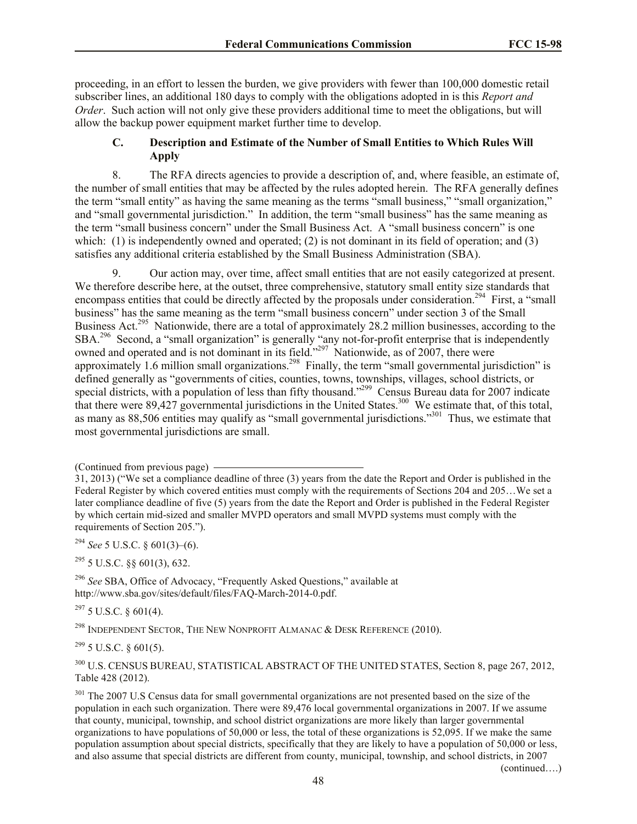proceeding, in an effort to lessen the burden, we give providers with fewer than 100,000 domestic retail subscriber lines, an additional 180 days to comply with the obligations adopted in is this *Report and Order*. Such action will not only give these providers additional time to meet the obligations, but will allow the backup power equipment market further time to develop.

# **C. Description and Estimate of the Number of Small Entities to Which Rules Will Apply**

8. The RFA directs agencies to provide a description of, and, where feasible, an estimate of, the number of small entities that may be affected by the rules adopted herein. The RFA generally defines the term "small entity" as having the same meaning as the terms "small business," "small organization," and "small governmental jurisdiction." In addition, the term "small business" has the same meaning as the term "small business concern" under the Small Business Act. A "small business concern" is one which: (1) is independently owned and operated; (2) is not dominant in its field of operation; and (3) satisfies any additional criteria established by the Small Business Administration (SBA).

9. Our action may, over time, affect small entities that are not easily categorized at present. We therefore describe here, at the outset, three comprehensive, statutory small entity size standards that encompass entities that could be directly affected by the proposals under consideration.<sup>294</sup> First, a "small business" has the same meaning as the term "small business concern" under section 3 of the Small Business Act.<sup>295</sup> Nationwide, there are a total of approximately 28.2 million businesses, according to the SBA.<sup>296</sup> Second, a "small organization" is generally "any not-for-profit enterprise that is independently owned and operated and is not dominant in its field."<sup>297</sup> Nationwide, as of 2007, there were approximately 1.6 million small organizations.<sup>298</sup> Finally, the term "small governmental jurisdiction" is defined generally as "governments of cities, counties, towns, townships, villages, school districts, or special districts, with a population of less than fifty thousand."<sup>299</sup> Census Bureau data for 2007 indicate that there were 89,427 governmental jurisdictions in the United States.<sup>300</sup> We estimate that, of this total, as many as 88,506 entities may qualify as "small governmental jurisdictions."<sup>301</sup> Thus, we estimate that most governmental jurisdictions are small.

<sup>294</sup> *See* 5 U.S.C. § 601(3)–(6).

 $295$  5 U.S.C.  $88$  601(3), 632.

<sup>296</sup> *See* SBA, Office of Advocacy, "Frequently Asked Questions," available at http://www.sba.gov/sites/default/files/FAQ-March-2014-0.pdf.

 $297$  5 U.S.C. § 601(4).

<sup>298</sup> INDEPENDENT SECTOR, THE NEW NONPROFIT ALMANAC  $\&$  DESK REFERENCE (2010).

 $299$  5 U.S.C. § 601(5).

<sup>300</sup> U.S. CENSUS BUREAU, STATISTICAL ABSTRACT OF THE UNITED STATES, Section 8, page 267, 2012, Table 428 (2012).

<sup>301</sup> The 2007 U.S Census data for small governmental organizations are not presented based on the size of the population in each such organization. There were 89,476 local governmental organizations in 2007. If we assume that county, municipal, township, and school district organizations are more likely than larger governmental organizations to have populations of 50,000 or less, the total of these organizations is 52,095. If we make the same population assumption about special districts, specifically that they are likely to have a population of 50,000 or less, and also assume that special districts are different from county, municipal, township, and school districts, in 2007

(continued….)

<sup>(</sup>Continued from previous page)

<sup>31, 2013) (&</sup>quot;We set a compliance deadline of three (3) years from the date the Report and Order is published in the Federal Register by which covered entities must comply with the requirements of Sections 204 and 205…We set a later compliance deadline of five (5) years from the date the Report and Order is published in the Federal Register by which certain mid-sized and smaller MVPD operators and small MVPD systems must comply with the requirements of Section 205.").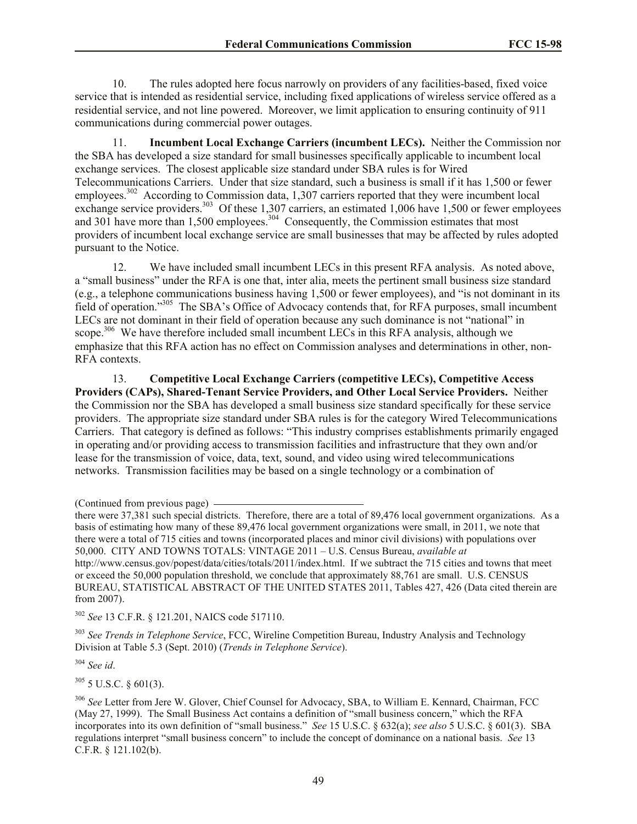10. The rules adopted here focus narrowly on providers of any facilities-based, fixed voice service that is intended as residential service, including fixed applications of wireless service offered as a residential service, and not line powered. Moreover, we limit application to ensuring continuity of 911 communications during commercial power outages.

11. **Incumbent Local Exchange Carriers (incumbent LECs).** Neither the Commission nor the SBA has developed a size standard for small businesses specifically applicable to incumbent local exchange services. The closest applicable size standard under SBA rules is for Wired Telecommunications Carriers. Under that size standard, such a business is small if it has 1,500 or fewer employees.<sup>302</sup> According to Commission data, 1,307 carriers reported that they were incumbent local exchange service providers.<sup>303</sup> Of these 1,307 carriers, an estimated 1,006 have 1,500 or fewer employees and 301 have more than 1,500 employees.<sup>304</sup> Consequently, the Commission estimates that most providers of incumbent local exchange service are small businesses that may be affected by rules adopted pursuant to the Notice.

12. We have included small incumbent LECs in this present RFA analysis. As noted above, a "small business" under the RFA is one that, inter alia, meets the pertinent small business size standard (e.g., a telephone communications business having 1,500 or fewer employees), and "is not dominant in its field of operation."<sup>305</sup> The SBA's Office of Advocacy contends that, for RFA purposes, small incumbent LECs are not dominant in their field of operation because any such dominance is not "national" in scope.<sup>306</sup> We have therefore included small incumbent LECs in this RFA analysis, although we emphasize that this RFA action has no effect on Commission analyses and determinations in other, non-RFA contexts.

13. **Competitive Local Exchange Carriers (competitive LECs), Competitive Access Providers (CAPs), Shared-Tenant Service Providers, and Other Local Service Providers.** Neither the Commission nor the SBA has developed a small business size standard specifically for these service providers. The appropriate size standard under SBA rules is for the category Wired Telecommunications Carriers. That category is defined as follows: "This industry comprises establishments primarily engaged in operating and/or providing access to transmission facilities and infrastructure that they own and/or lease for the transmission of voice, data, text, sound, and video using wired telecommunications networks. Transmission facilities may be based on a single technology or a combination of

<sup>302</sup> *See* 13 C.F.R. § 121.201, NAICS code 517110.

<sup>303</sup> *See Trends in Telephone Service*, FCC, Wireline Competition Bureau, Industry Analysis and Technology Division at Table 5.3 (Sept. 2010) (*Trends in Telephone Service*).

<sup>304</sup> *See id*.

 $305$  5 U.S.C. § 601(3).

<sup>306</sup> *See* Letter from Jere W. Glover, Chief Counsel for Advocacy, SBA, to William E. Kennard, Chairman, FCC (May 27, 1999). The Small Business Act contains a definition of "small business concern," which the RFA incorporates into its own definition of "small business." *See* 15 U.S.C. § 632(a); *see also* 5 U.S.C. § 601(3). SBA regulations interpret "small business concern" to include the concept of dominance on a national basis. *See* 13 C.F.R. § 121.102(b).

<sup>(</sup>Continued from previous page)

there were 37,381 such special districts. Therefore, there are a total of 89,476 local government organizations. As a basis of estimating how many of these 89,476 local government organizations were small, in 2011, we note that there were a total of 715 cities and towns (incorporated places and minor civil divisions) with populations over 50,000. CITY AND TOWNS TOTALS: VINTAGE 2011 – U.S. Census Bureau, *available at*  http://www.census.gov/popest/data/cities/totals/2011/index.html. If we subtract the 715 cities and towns that meet or exceed the 50,000 population threshold, we conclude that approximately 88,761 are small. U.S. CENSUS BUREAU, STATISTICAL ABSTRACT OF THE UNITED STATES 2011, Tables 427, 426 (Data cited therein are from 2007).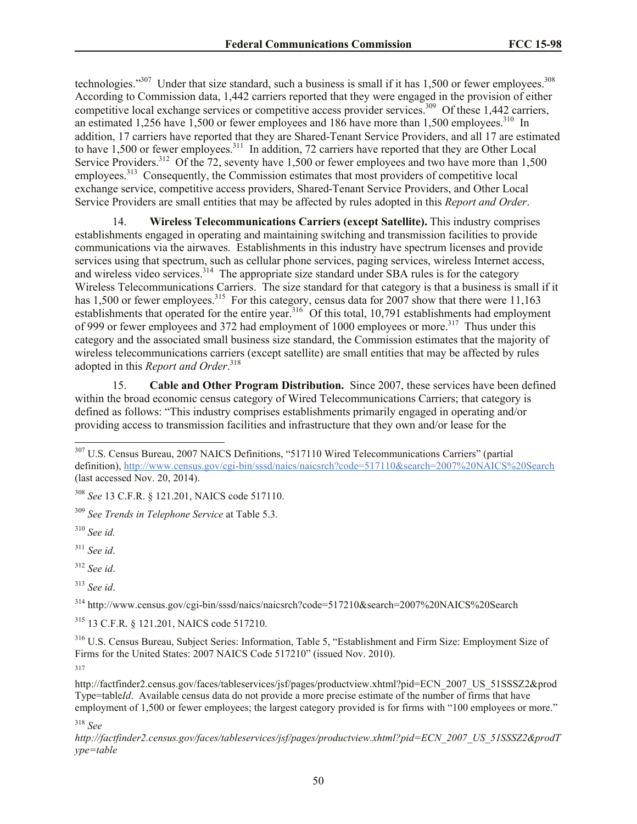technologies."<sup>307</sup> Under that size standard, such a business is small if it has 1,500 or fewer employees.<sup>308</sup> According to Commission data, 1,442 carriers reported that they were engaged in the provision of either competitive local exchange services or competitive access provider services.<sup>309</sup> Of these 1,442 carriers, an estimated 1,256 have  $1,500$  or fewer employees and 186 have more than 1,500 employees.<sup>310</sup> In addition, 17 carriers have reported that they are Shared-Tenant Service Providers, and all 17 are estimated to have 1,500 or fewer employees.<sup>311</sup> In addition, 72 carriers have reported that they are Other Local Service Providers.<sup>312</sup> Of the 72, seventy have 1,500 or fewer employees and two have more than 1,500 employees.<sup>313</sup> Consequently, the Commission estimates that most providers of competitive local exchange service, competitive access providers, Shared-Tenant Service Providers, and Other Local Service Providers are small entities that may be affected by rules adopted in this *Report and Order*.

14. **Wireless Telecommunications Carriers (except Satellite).** This industry comprises establishments engaged in operating and maintaining switching and transmission facilities to provide communications via the airwaves. Establishments in this industry have spectrum licenses and provide services using that spectrum, such as cellular phone services, paging services, wireless Internet access, and wireless video services.<sup>314</sup> The appropriate size standard under SBA rules is for the category Wireless Telecommunications Carriers. The size standard for that category is that a business is small if it has 1,500 or fewer employees.<sup>315</sup> For this category, census data for 2007 show that there were 11,163 establishments that operated for the entire year.<sup>316</sup> Of this total, 10,791 establishments had employment of 999 or fewer employees and 372 had employment of 1000 employees or more.<sup>317</sup> Thus under this category and the associated small business size standard, the Commission estimates that the majority of wireless telecommunications carriers (except satellite) are small entities that may be affected by rules adopted in this *Report and Order*. 318

15. **Cable and Other Program Distribution.** Since 2007, these services have been defined within the broad economic census category of Wired Telecommunications Carriers; that category is defined as follows: "This industry comprises establishments primarily engaged in operating and/or providing access to transmission facilities and infrastructure that they own and/or lease for the

 $\overline{a}$ 

<sup>313</sup> *See id*.

<sup>314</sup> http://www.census.gov/cgi-bin/sssd/naics/naicsrch?code=517210&search=2007%20NAICS%20Search

<sup>315</sup> 13 C.F.R. § 121.201, NAICS code 517210.

<sup>316</sup> U.S. Census Bureau, Subject Series: Information, Table 5, "Establishment and Firm Size: Employment Size of Firms for the United States: 2007 NAICS Code 517210" (issued Nov. 2010). 317

http://factfinder2.census.gov/faces/tableservices/jsf/pages/productview.xhtml?pid=ECN\_2007\_US\_51SSSZ2&prod Type=table*Id*. Available census data do not provide a more precise estimate of the number of firms that have employment of 1,500 or fewer employees; the largest category provided is for firms with "100 employees or more."

<sup>318</sup> *See* 

*http://factfinder2.census.gov/faces/tableservices/jsf/pages/productview.xhtml?pid=ECN\_2007\_US\_51SSSZ2&prodT ype=table*

<sup>&</sup>lt;sup>307</sup> U.S. Census Bureau, 2007 NAICS Definitions, "517110 Wired Telecommunications Carriers" (partial definition), http://www.census.gov/cgi-bin/sssd/naics/naicsrch?code=517110&search=2007%20NAICS%20Search (last accessed Nov. 20, 2014).

<sup>308</sup> *See* 13 C.F.R. § 121.201, NAICS code 517110.

<sup>309</sup> *See Trends in Telephone Service* at Table 5.3.

<sup>310</sup> *See id.*

<sup>311</sup> *See id*.

<sup>312</sup> *See id*.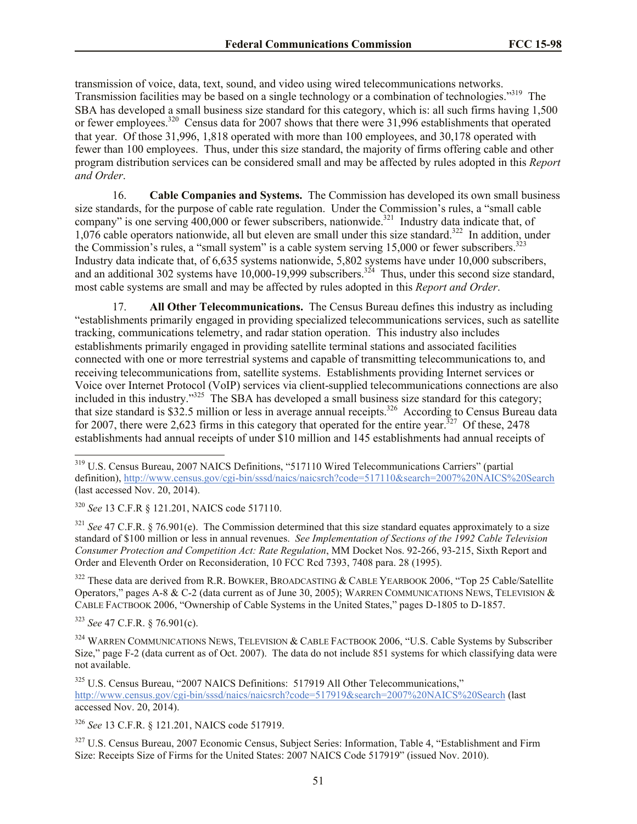transmission of voice, data, text, sound, and video using wired telecommunications networks. Transmission facilities may be based on a single technology or a combination of technologies."<sup>319</sup> The SBA has developed a small business size standard for this category, which is: all such firms having 1,500 or fewer employees.<sup>320</sup> Census data for 2007 shows that there were 31,996 establishments that operated that year. Of those 31,996, 1,818 operated with more than 100 employees, and 30,178 operated with fewer than 100 employees. Thus, under this size standard, the majority of firms offering cable and other program distribution services can be considered small and may be affected by rules adopted in this *Report and Order*.

16. **Cable Companies and Systems.** The Commission has developed its own small business size standards, for the purpose of cable rate regulation. Under the Commission's rules, a "small cable company" is one serving  $400,000$  or fewer subscribers, nationwide.<sup>321</sup> Industry data indicate that, of 1,076 cable operators nationwide, all but eleven are small under this size standard.<sup>322</sup> In addition, under the Commission's rules, a "small system" is a cable system serving  $15,000$  or fewer subscribers.<sup>323</sup> Industry data indicate that, of 6,635 systems nationwide, 5,802 systems have under 10,000 subscribers, and an additional 302 systems have  $10,000-19,999$  subscribers.<sup>324</sup> Thus, under this second size standard, most cable systems are small and may be affected by rules adopted in this *Report and Order*.

17. **All Other Telecommunications.** The Census Bureau defines this industry as including "establishments primarily engaged in providing specialized telecommunications services, such as satellite tracking, communications telemetry, and radar station operation. This industry also includes establishments primarily engaged in providing satellite terminal stations and associated facilities connected with one or more terrestrial systems and capable of transmitting telecommunications to, and receiving telecommunications from, satellite systems. Establishments providing Internet services or Voice over Internet Protocol (VoIP) services via client-supplied telecommunications connections are also included in this industry."<sup>325</sup> The SBA has developed a small business size standard for this category; that size standard is \$32.5 million or less in average annual receipts.<sup>326</sup> According to Census Bureau data for 2007, there were 2,623 firms in this category that operated for the entire year.<sup>327</sup> Of these, 2478 establishments had annual receipts of under \$10 million and 145 establishments had annual receipts of

<sup>320</sup> *See* 13 C.F.R § 121.201, NAICS code 517110.

<sup>321</sup> *See* 47 C.F.R. § 76.901(e). The Commission determined that this size standard equates approximately to a size standard of \$100 million or less in annual revenues. *See Implementation of Sections of the 1992 Cable Television Consumer Protection and Competition Act: Rate Regulation*, MM Docket Nos. 92-266, 93-215, Sixth Report and Order and Eleventh Order on Reconsideration, 10 FCC Rcd 7393, 7408 para. 28 (1995).

<sup>322</sup> These data are derived from R.R. BOWKER, BROADCASTING & CABLE YEARBOOK 2006, "Top 25 Cable/Satellite Operators," pages A-8 & C-2 (data current as of June 30, 2005); WARREN COMMUNICATIONS NEWS, TELEVISION & CABLE FACTBOOK 2006, "Ownership of Cable Systems in the United States," pages D-1805 to D-1857.

<sup>323</sup> *See* 47 C.F.R. § 76.901(c).

 $\overline{a}$ 

<sup>324</sup> WARREN COMMUNICATIONS NEWS, TELEVISION & CABLE FACTBOOK 2006, "U.S. Cable Systems by Subscriber Size," page F-2 (data current as of Oct. 2007). The data do not include 851 systems for which classifying data were not available.

<sup>325</sup> U.S. Census Bureau, "2007 NAICS Definitions: 517919 All Other Telecommunications," http://www.census.gov/cgi-bin/sssd/naics/naicsrch?code=517919&search=2007%20NAICS%20Search (last accessed Nov. 20, 2014).

<sup>326</sup> *See* 13 C.F.R. § 121.201, NAICS code 517919.

<sup>327</sup> U.S. Census Bureau, 2007 Economic Census, Subject Series: Information, Table 4, "Establishment and Firm Size: Receipts Size of Firms for the United States: 2007 NAICS Code 517919" (issued Nov. 2010).

<sup>319</sup> U.S. Census Bureau, 2007 NAICS Definitions, "517110 Wired Telecommunications Carriers" (partial definition), http://www.census.gov/cgi-bin/sssd/naics/naicsrch?code=517110&search=2007%20NAICS%20Search (last accessed Nov. 20, 2014).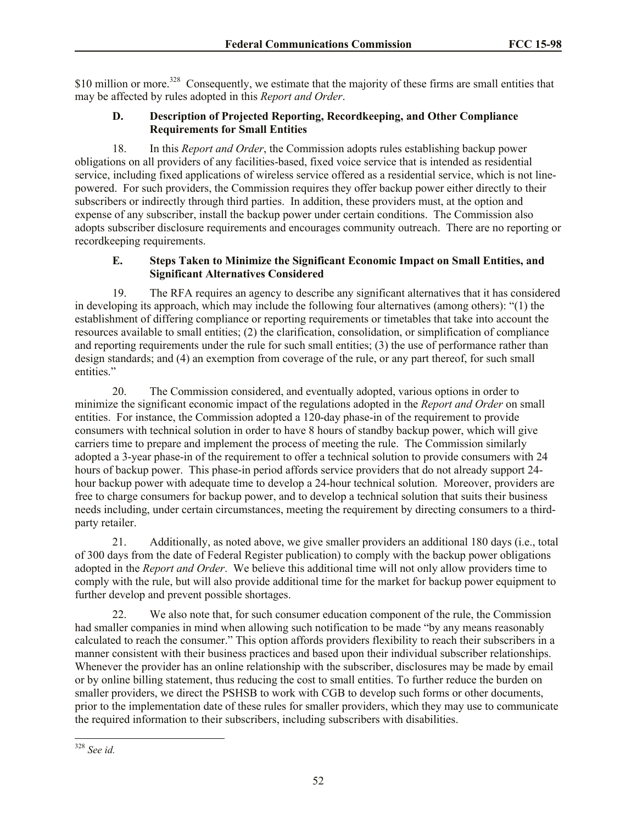\$10 million or more.<sup>328</sup> Consequently, we estimate that the majority of these firms are small entities that may be affected by rules adopted in this *Report and Order*.

# **D. Description of Projected Reporting, Recordkeeping, and Other Compliance Requirements for Small Entities**

18. In this *Report and Order*, the Commission adopts rules establishing backup power obligations on all providers of any facilities-based, fixed voice service that is intended as residential service, including fixed applications of wireless service offered as a residential service, which is not linepowered. For such providers, the Commission requires they offer backup power either directly to their subscribers or indirectly through third parties. In addition, these providers must, at the option and expense of any subscriber, install the backup power under certain conditions. The Commission also adopts subscriber disclosure requirements and encourages community outreach. There are no reporting or recordkeeping requirements.

# **E. Steps Taken to Minimize the Significant Economic Impact on Small Entities, and Significant Alternatives Considered**

19. The RFA requires an agency to describe any significant alternatives that it has considered in developing its approach, which may include the following four alternatives (among others): "(1) the establishment of differing compliance or reporting requirements or timetables that take into account the resources available to small entities; (2) the clarification, consolidation, or simplification of compliance and reporting requirements under the rule for such small entities; (3) the use of performance rather than design standards; and (4) an exemption from coverage of the rule, or any part thereof, for such small entities."

20. The Commission considered, and eventually adopted, various options in order to minimize the significant economic impact of the regulations adopted in the *Report and Order* on small entities. For instance, the Commission adopted a 120-day phase-in of the requirement to provide consumers with technical solution in order to have 8 hours of standby backup power, which will give carriers time to prepare and implement the process of meeting the rule. The Commission similarly adopted a 3-year phase-in of the requirement to offer a technical solution to provide consumers with 24 hours of backup power. This phase-in period affords service providers that do not already support 24 hour backup power with adequate time to develop a 24-hour technical solution. Moreover, providers are free to charge consumers for backup power, and to develop a technical solution that suits their business needs including, under certain circumstances, meeting the requirement by directing consumers to a thirdparty retailer.

21. Additionally, as noted above, we give smaller providers an additional 180 days (i.e., total of 300 days from the date of Federal Register publication) to comply with the backup power obligations adopted in the *Report and Order*. We believe this additional time will not only allow providers time to comply with the rule, but will also provide additional time for the market for backup power equipment to further develop and prevent possible shortages.

22. We also note that, for such consumer education component of the rule, the Commission had smaller companies in mind when allowing such notification to be made "by any means reasonably calculated to reach the consumer." This option affords providers flexibility to reach their subscribers in a manner consistent with their business practices and based upon their individual subscriber relationships. Whenever the provider has an online relationship with the subscriber, disclosures may be made by email or by online billing statement, thus reducing the cost to small entities. To further reduce the burden on smaller providers, we direct the PSHSB to work with CGB to develop such forms or other documents, prior to the implementation date of these rules for smaller providers, which they may use to communicate the required information to their subscribers, including subscribers with disabilities.

 $\overline{\phantom{a}}$ <sup>328</sup> *See id.*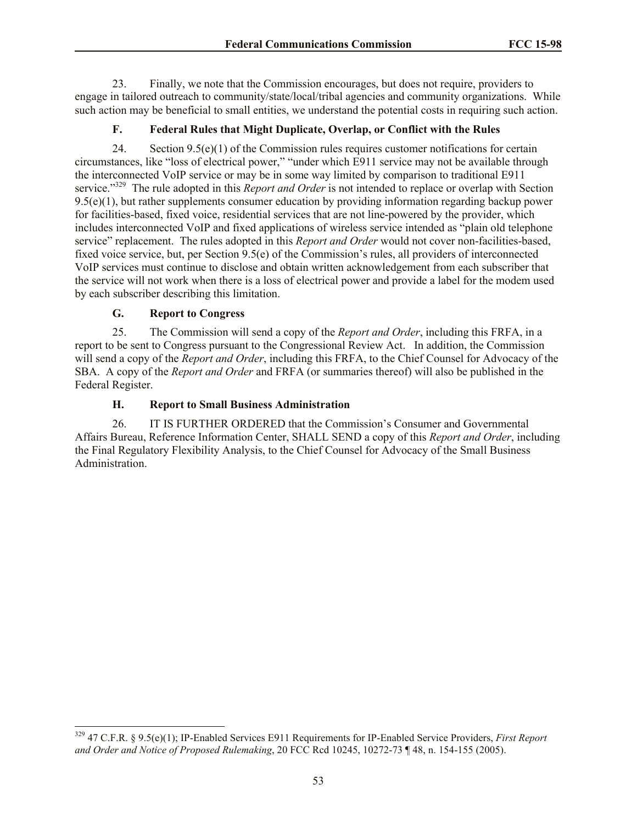23. Finally, we note that the Commission encourages, but does not require, providers to engage in tailored outreach to community/state/local/tribal agencies and community organizations. While such action may be beneficial to small entities, we understand the potential costs in requiring such action.

# **F. Federal Rules that Might Duplicate, Overlap, or Conflict with the Rules**

24. Section 9.5(e)(1) of the Commission rules requires customer notifications for certain circumstances, like "loss of electrical power," "under which E911 service may not be available through the interconnected VoIP service or may be in some way limited by comparison to traditional E911 service."<sup>329</sup> The rule adopted in this *Report and Order* is not intended to replace or overlap with Section 9.5(e)(1), but rather supplements consumer education by providing information regarding backup power for facilities-based, fixed voice, residential services that are not line-powered by the provider, which includes interconnected VoIP and fixed applications of wireless service intended as "plain old telephone service" replacement. The rules adopted in this *Report and Order* would not cover non-facilities-based, fixed voice service, but, per Section 9.5(e) of the Commission's rules, all providers of interconnected VoIP services must continue to disclose and obtain written acknowledgement from each subscriber that the service will not work when there is a loss of electrical power and provide a label for the modem used by each subscriber describing this limitation.

# **G. Report to Congress**

 $\overline{a}$ 

25. The Commission will send a copy of the *Report and Order*, including this FRFA, in a report to be sent to Congress pursuant to the Congressional Review Act. In addition, the Commission will send a copy of the *Report and Order*, including this FRFA, to the Chief Counsel for Advocacy of the SBA. A copy of the *Report and Order* and FRFA (or summaries thereof) will also be published in the Federal Register.

# **H. Report to Small Business Administration**

26. IT IS FURTHER ORDERED that the Commission's Consumer and Governmental Affairs Bureau, Reference Information Center, SHALL SEND a copy of this *Report and Order*, including the Final Regulatory Flexibility Analysis, to the Chief Counsel for Advocacy of the Small Business Administration.

<sup>329</sup> 47 C.F.R. § 9.5(e)(1); IP-Enabled Services E911 Requirements for IP-Enabled Service Providers, *First Report and Order and Notice of Proposed Rulemaking*, 20 FCC Rcd 10245, 10272-73 ¶ 48, n. 154-155 (2005).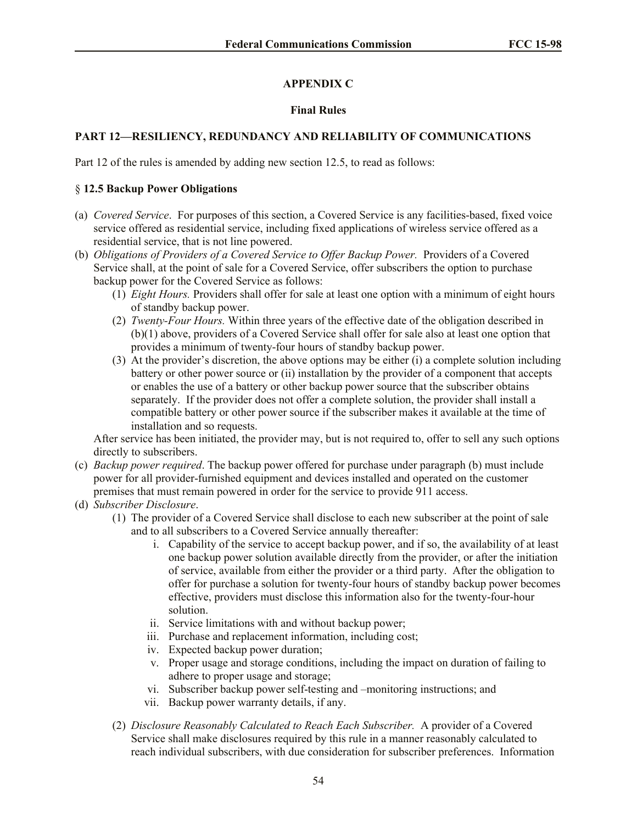# **APPENDIX C**

## **Final Rules**

# **PART 12—RESILIENCY, REDUNDANCY AND RELIABILITY OF COMMUNICATIONS**

Part 12 of the rules is amended by adding new section 12.5, to read as follows:

#### § **12.5 Backup Power Obligations**

- (a) *Covered Service*. For purposes of this section, a Covered Service is any facilities-based, fixed voice service offered as residential service, including fixed applications of wireless service offered as a residential service, that is not line powered.
- (b) *Obligations of Providers of a Covered Service to Offer Backup Power.* Providers of a Covered Service shall, at the point of sale for a Covered Service, offer subscribers the option to purchase backup power for the Covered Service as follows:
	- (1) *Eight Hours.* Providers shall offer for sale at least one option with a minimum of eight hours of standby backup power.
	- (2) *Twenty-Four Hours.* Within three years of the effective date of the obligation described in (b)(1) above, providers of a Covered Service shall offer for sale also at least one option that provides a minimum of twenty-four hours of standby backup power.
	- (3) At the provider's discretion, the above options may be either (i) a complete solution including battery or other power source or (ii) installation by the provider of a component that accepts or enables the use of a battery or other backup power source that the subscriber obtains separately. If the provider does not offer a complete solution, the provider shall install a compatible battery or other power source if the subscriber makes it available at the time of installation and so requests.

After service has been initiated, the provider may, but is not required to, offer to sell any such options directly to subscribers.

- (c) *Backup power required*. The backup power offered for purchase under paragraph (b) must include power for all provider-furnished equipment and devices installed and operated on the customer premises that must remain powered in order for the service to provide 911 access.
- (d) *Subscriber Disclosure*.
	- (1) The provider of a Covered Service shall disclose to each new subscriber at the point of sale and to all subscribers to a Covered Service annually thereafter:
		- i. Capability of the service to accept backup power, and if so, the availability of at least one backup power solution available directly from the provider, or after the initiation of service, available from either the provider or a third party. After the obligation to offer for purchase a solution for twenty-four hours of standby backup power becomes effective, providers must disclose this information also for the twenty-four-hour solution.
		- ii. Service limitations with and without backup power;
		- iii. Purchase and replacement information, including cost;
		- iv. Expected backup power duration;
		- v. Proper usage and storage conditions, including the impact on duration of failing to adhere to proper usage and storage;
		- vi. Subscriber backup power self-testing and –monitoring instructions; and
		- vii. Backup power warranty details, if any.
	- (2) *Disclosure Reasonably Calculated to Reach Each Subscriber.* A provider of a Covered Service shall make disclosures required by this rule in a manner reasonably calculated to reach individual subscribers, with due consideration for subscriber preferences. Information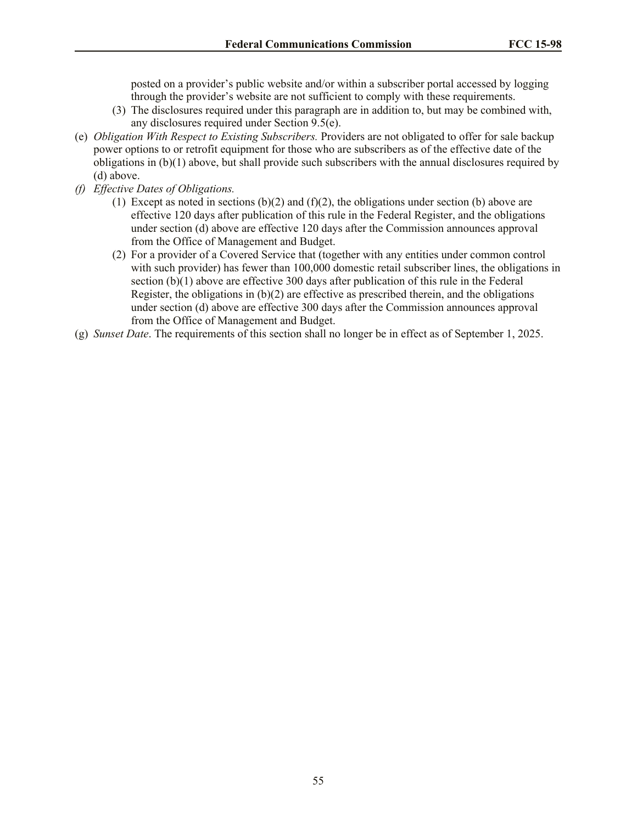posted on a provider's public website and/or within a subscriber portal accessed by logging through the provider's website are not sufficient to comply with these requirements.

- (3) The disclosures required under this paragraph are in addition to, but may be combined with, any disclosures required under Section 9.5(e).
- (e) *Obligation With Respect to Existing Subscribers.* Providers are not obligated to offer for sale backup power options to or retrofit equipment for those who are subscribers as of the effective date of the obligations in (b)(1) above, but shall provide such subscribers with the annual disclosures required by (d) above.
- *(f) Effective Dates of Obligations.*
	- (1) Except as noted in sections  $(b)(2)$  and  $(f)(2)$ , the obligations under section (b) above are effective 120 days after publication of this rule in the Federal Register, and the obligations under section (d) above are effective 120 days after the Commission announces approval from the Office of Management and Budget.
	- (2) For a provider of a Covered Service that (together with any entities under common control with such provider) has fewer than 100,000 domestic retail subscriber lines, the obligations in section (b)(1) above are effective 300 days after publication of this rule in the Federal Register, the obligations in  $(b)(2)$  are effective as prescribed therein, and the obligations under section (d) above are effective 300 days after the Commission announces approval from the Office of Management and Budget.
- (g) *Sunset Date*. The requirements of this section shall no longer be in effect as of September 1, 2025.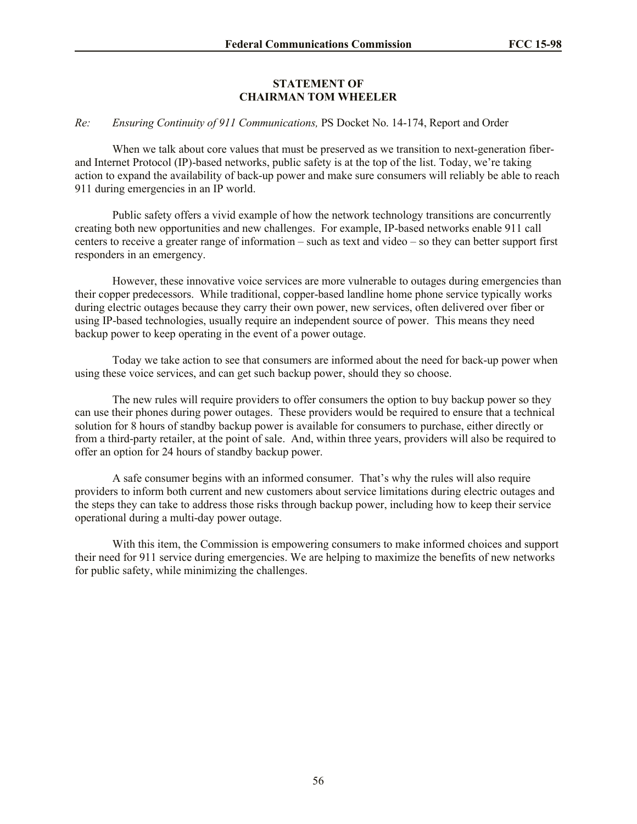## **STATEMENT OF CHAIRMAN TOM WHEELER**

## *Re: Ensuring Continuity of 911 Communications,* PS Docket No. 14-174, Report and Order

When we talk about core values that must be preserved as we transition to next-generation fiberand Internet Protocol (IP)-based networks, public safety is at the top of the list. Today, we're taking action to expand the availability of back-up power and make sure consumers will reliably be able to reach 911 during emergencies in an IP world.

Public safety offers a vivid example of how the network technology transitions are concurrently creating both new opportunities and new challenges. For example, IP-based networks enable 911 call centers to receive a greater range of information – such as text and video – so they can better support first responders in an emergency.

However, these innovative voice services are more vulnerable to outages during emergencies than their copper predecessors. While traditional, copper-based landline home phone service typically works during electric outages because they carry their own power, new services, often delivered over fiber or using IP-based technologies, usually require an independent source of power. This means they need backup power to keep operating in the event of a power outage.

Today we take action to see that consumers are informed about the need for back-up power when using these voice services, and can get such backup power, should they so choose.

The new rules will require providers to offer consumers the option to buy backup power so they can use their phones during power outages. These providers would be required to ensure that a technical solution for 8 hours of standby backup power is available for consumers to purchase, either directly or from a third-party retailer, at the point of sale. And, within three years, providers will also be required to offer an option for 24 hours of standby backup power.

A safe consumer begins with an informed consumer. That's why the rules will also require providers to inform both current and new customers about service limitations during electric outages and the steps they can take to address those risks through backup power, including how to keep their service operational during a multi-day power outage.

With this item, the Commission is empowering consumers to make informed choices and support their need for 911 service during emergencies. We are helping to maximize the benefits of new networks for public safety, while minimizing the challenges.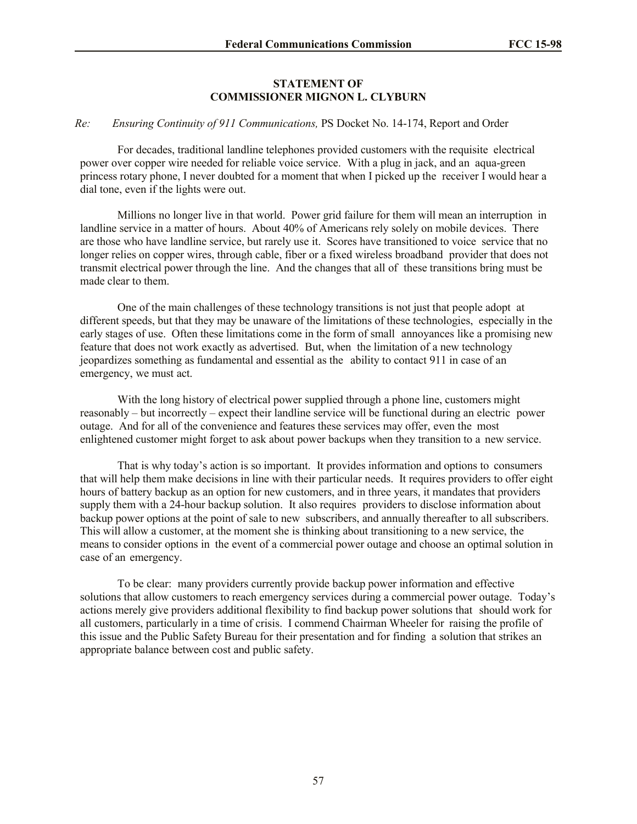# **STATEMENT OF COMMISSIONER MIGNON L. CLYBURN**

## *Re: Ensuring Continuity of 911 Communications,* PS Docket No. 14-174, Report and Order

For decades, traditional landline telephones provided customers with the requisite electrical power over copper wire needed for reliable voice service. With a plug in jack, and an aqua-green princess rotary phone, I never doubted for a moment that when I picked up the receiver I would hear a dial tone, even if the lights were out.

Millions no longer live in that world. Power grid failure for them will mean an interruption in landline service in a matter of hours. About 40% of Americans rely solely on mobile devices. There are those who have landline service, but rarely use it. Scores have transitioned to voice service that no longer relies on copper wires, through cable, fiber or a fixed wireless broadband provider that does not transmit electrical power through the line. And the changes that all of these transitions bring must be made clear to them.

One of the main challenges of these technology transitions is not just that people adopt at different speeds, but that they may be unaware of the limitations of these technologies, especially in the early stages of use. Often these limitations come in the form of small annoyances like a promising new feature that does not work exactly as advertised. But, when the limitation of a new technology jeopardizes something as fundamental and essential as the ability to contact 911 in case of an emergency, we must act.

With the long history of electrical power supplied through a phone line, customers might reasonably – but incorrectly – expect their landline service will be functional during an electric power outage. And for all of the convenience and features these services may offer, even the most enlightened customer might forget to ask about power backups when they transition to a new service.

That is why today's action is so important. It provides information and options to consumers that will help them make decisions in line with their particular needs. It requires providers to offer eight hours of battery backup as an option for new customers, and in three years, it mandates that providers supply them with a 24-hour backup solution. It also requires providers to disclose information about backup power options at the point of sale to new subscribers, and annually thereafter to all subscribers. This will allow a customer, at the moment she is thinking about transitioning to a new service, the means to consider options in the event of a commercial power outage and choose an optimal solution in case of an emergency.

To be clear: many providers currently provide backup power information and effective solutions that allow customers to reach emergency services during a commercial power outage. Today's actions merely give providers additional flexibility to find backup power solutions that should work for all customers, particularly in a time of crisis. I commend Chairman Wheeler for raising the profile of this issue and the Public Safety Bureau for their presentation and for finding a solution that strikes an appropriate balance between cost and public safety.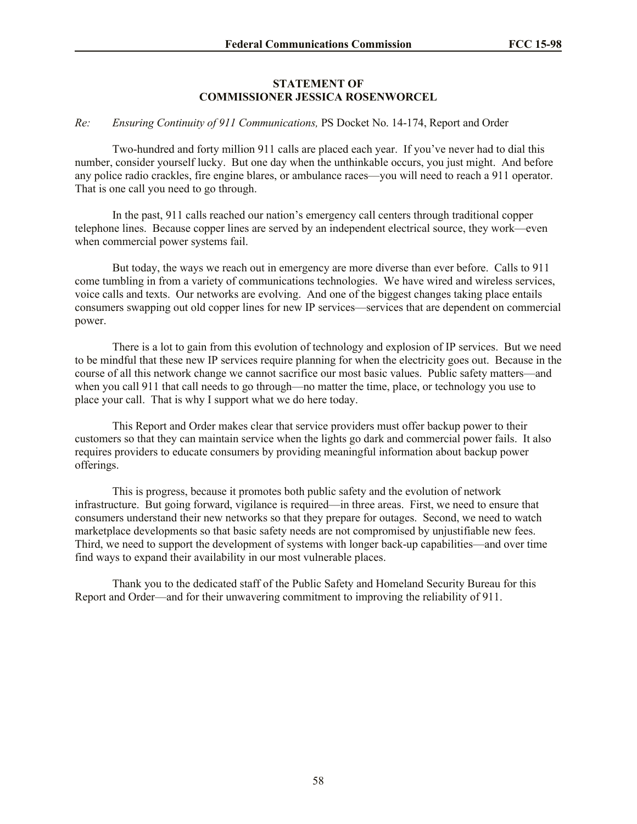## **STATEMENT OF COMMISSIONER JESSICA ROSENWORCEL**

## *Re: Ensuring Continuity of 911 Communications,* PS Docket No. 14-174, Report and Order

Two-hundred and forty million 911 calls are placed each year. If you've never had to dial this number, consider yourself lucky. But one day when the unthinkable occurs, you just might. And before any police radio crackles, fire engine blares, or ambulance races—you will need to reach a 911 operator. That is one call you need to go through.

In the past, 911 calls reached our nation's emergency call centers through traditional copper telephone lines. Because copper lines are served by an independent electrical source, they work—even when commercial power systems fail.

But today, the ways we reach out in emergency are more diverse than ever before. Calls to 911 come tumbling in from a variety of communications technologies. We have wired and wireless services, voice calls and texts. Our networks are evolving. And one of the biggest changes taking place entails consumers swapping out old copper lines for new IP services—services that are dependent on commercial power.

There is a lot to gain from this evolution of technology and explosion of IP services. But we need to be mindful that these new IP services require planning for when the electricity goes out. Because in the course of all this network change we cannot sacrifice our most basic values. Public safety matters—and when you call 911 that call needs to go through—no matter the time, place, or technology you use to place your call. That is why I support what we do here today.

This Report and Order makes clear that service providers must offer backup power to their customers so that they can maintain service when the lights go dark and commercial power fails. It also requires providers to educate consumers by providing meaningful information about backup power offerings.

This is progress, because it promotes both public safety and the evolution of network infrastructure. But going forward, vigilance is required—in three areas. First, we need to ensure that consumers understand their new networks so that they prepare for outages. Second, we need to watch marketplace developments so that basic safety needs are not compromised by unjustifiable new fees. Third, we need to support the development of systems with longer back-up capabilities—and over time find ways to expand their availability in our most vulnerable places.

Thank you to the dedicated staff of the Public Safety and Homeland Security Bureau for this Report and Order—and for their unwavering commitment to improving the reliability of 911.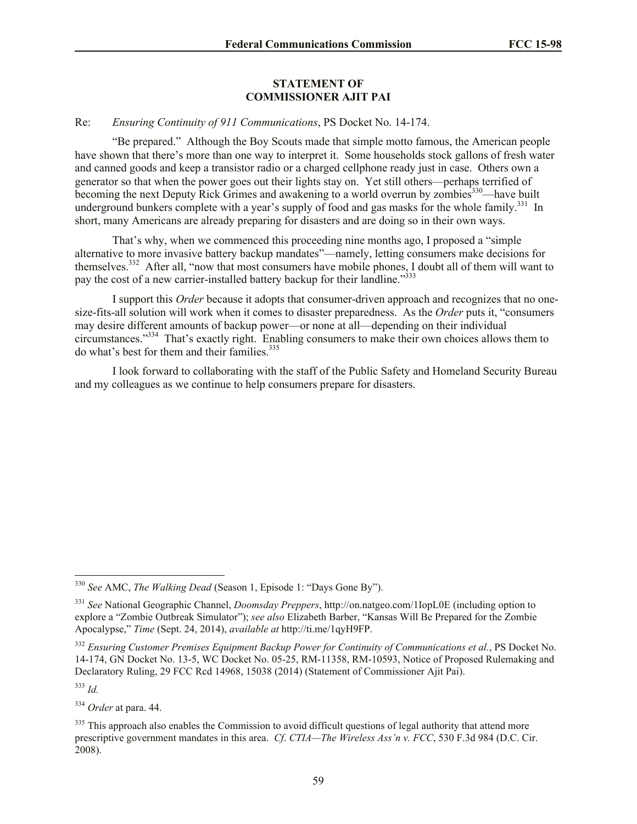## **STATEMENT OF COMMISSIONER AJIT PAI**

## Re: *Ensuring Continuity of 911 Communications*, PS Docket No. 14-174.

"Be prepared." Although the Boy Scouts made that simple motto famous, the American people have shown that there's more than one way to interpret it. Some households stock gallons of fresh water and canned goods and keep a transistor radio or a charged cellphone ready just in case. Others own a generator so that when the power goes out their lights stay on. Yet still others—perhaps terrified of becoming the next Deputy Rick Grimes and awakening to a world overrun by zombies<sup>330</sup>—have built underground bunkers complete with a year's supply of food and gas masks for the whole family.<sup>331</sup> In short, many Americans are already preparing for disasters and are doing so in their own ways.

That's why, when we commenced this proceeding nine months ago, I proposed a "simple alternative to more invasive battery backup mandates"—namely, letting consumers make decisions for themselves.<sup>332</sup> After all, "now that most consumers have mobile phones, I doubt all of them will want to pay the cost of a new carrier-installed battery backup for their landline.<sup>"333</sup>

I support this *Order* because it adopts that consumer-driven approach and recognizes that no onesize-fits-all solution will work when it comes to disaster preparedness. As the *Order* puts it, "consumers may desire different amounts of backup power—or none at all—depending on their individual circumstances."<sup>334</sup> That's exactly right. Enabling consumers to make their own choices allows them to do what's best for them and their families.<sup>335</sup>

I look forward to collaborating with the staff of the Public Safety and Homeland Security Bureau and my colleagues as we continue to help consumers prepare for disasters.

<sup>333</sup> *Id.*

 $\overline{a}$ 

<sup>334</sup> *Order* at para. 44.

<sup>330</sup> *See* AMC, *The Walking Dead* (Season 1, Episode 1: "Days Gone By").

<sup>331</sup> *See* National Geographic Channel, *Doomsday Preppers*, http://on.natgeo.com/1IopL0E (including option to explore a "Zombie Outbreak Simulator"); *see also* Elizabeth Barber, "Kansas Will Be Prepared for the Zombie Apocalypse," *Time* (Sept. 24, 2014), *available at* http://ti.me/1qyH9FP.

<sup>332</sup> *Ensuring Customer Premises Equipment Backup Power for Continuity of Communications et al.*, PS Docket No. 14-174, GN Docket No. 13-5, WC Docket No. 05-25, RM-11358, RM-10593, Notice of Proposed Rulemaking and Declaratory Ruling, 29 FCC Rcd 14968, 15038 (2014) (Statement of Commissioner Ajit Pai).

<sup>&</sup>lt;sup>335</sup> This approach also enables the Commission to avoid difficult questions of legal authority that attend more prescriptive government mandates in this area. *Cf*. *CTIA—The Wireless Ass'n v. FCC*, 530 F.3d 984 (D.C. Cir. 2008).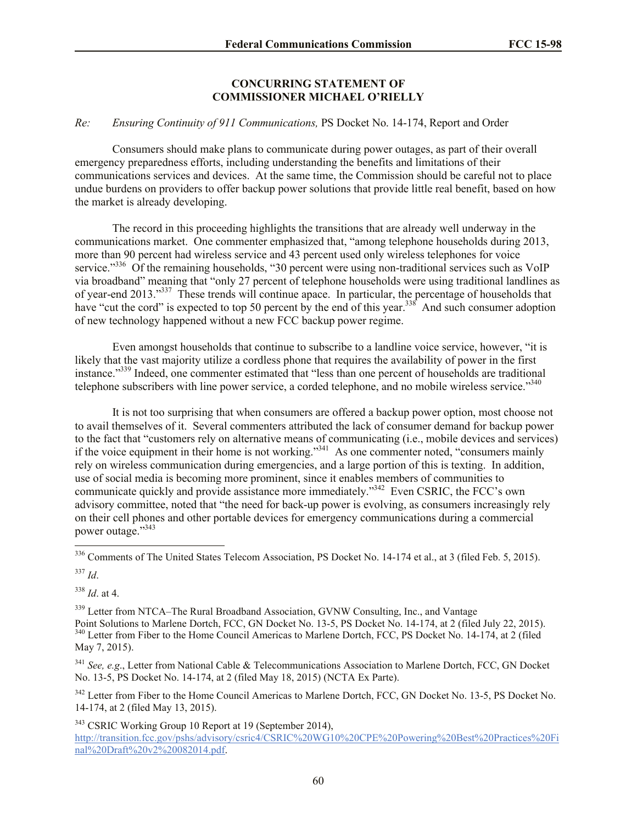## **CONCURRING STATEMENT OF COMMISSIONER MICHAEL O'RIELLY**

## *Re: Ensuring Continuity of 911 Communications,* PS Docket No. 14-174, Report and Order

Consumers should make plans to communicate during power outages, as part of their overall emergency preparedness efforts, including understanding the benefits and limitations of their communications services and devices. At the same time, the Commission should be careful not to place undue burdens on providers to offer backup power solutions that provide little real benefit, based on how the market is already developing.

The record in this proceeding highlights the transitions that are already well underway in the communications market. One commenter emphasized that, "among telephone households during 2013, more than 90 percent had wireless service and 43 percent used only wireless telephones for voice service."<sup>336</sup> Of the remaining households, "30 percent were using non-traditional services such as VoIP via broadband" meaning that "only 27 percent of telephone households were using traditional landlines as of year-end 2013."<sup>337</sup> These trends will continue apace. In particular, the percentage of households that have "cut the cord" is expected to top 50 percent by the end of this year.<sup>338</sup> And such consumer adoption of new technology happened without a new FCC backup power regime.

Even amongst households that continue to subscribe to a landline voice service, however, "it is likely that the vast majority utilize a cordless phone that requires the availability of power in the first instance."<sup>339</sup> Indeed, one commenter estimated that "less than one percent of households are traditional telephone subscribers with line power service, a corded telephone, and no mobile wireless service."<sup>340</sup>

It is not too surprising that when consumers are offered a backup power option, most choose not to avail themselves of it. Several commenters attributed the lack of consumer demand for backup power to the fact that "customers rely on alternative means of communicating (i.e., mobile devices and services) if the voice equipment in their home is not working."<sup>341</sup> As one commenter noted, "consumers mainly rely on wireless communication during emergencies, and a large portion of this is texting. In addition, use of social media is becoming more prominent, since it enables members of communities to communicate quickly and provide assistance more immediately."<sup>342</sup> Even CSRIC, the FCC's own advisory committee, noted that "the need for back-up power is evolving, as consumers increasingly rely on their cell phones and other portable devices for emergency communications during a commercial power outage."<sup>343</sup>

 $\overline{a}$ 336 Comments of The United States Telecom Association, PS Docket No. 14-174 et al., at 3 (filed Feb. 5, 2015).

<sup>337</sup> *Id*.

<sup>338</sup> *Id*. at 4.

<sup>339</sup> Letter from NTCA–The Rural Broadband Association, GVNW Consulting, Inc., and Vantage Point Solutions to Marlene Dortch, FCC, GN Docket No. 13-5, PS Docket No. 14-174, at 2 (filed July 22, 2015). <sup>340</sup> Letter from Fiber to the Home Council Americas to Marlene Dortch, FCC, PS Docket No. 14-174, at 2 (filed May 7, 2015).

<sup>341</sup> *See, e.g*., Letter from National Cable & Telecommunications Association to Marlene Dortch, FCC, GN Docket No. 13-5, PS Docket No. 14-174, at 2 (filed May 18, 2015) (NCTA Ex Parte).

<sup>342</sup> Letter from Fiber to the Home Council Americas to Marlene Dortch, FCC, GN Docket No. 13-5, PS Docket No. 14-174, at 2 (filed May 13, 2015).

<sup>343</sup> CSRIC Working Group 10 Report at 19 (September 2014),

http://transition.fcc.gov/pshs/advisory/csric4/CSRIC%20WG10%20CPE%20Powering%20Best%20Practices%20Fi nal%20Draft%20v2%20082014.pdf.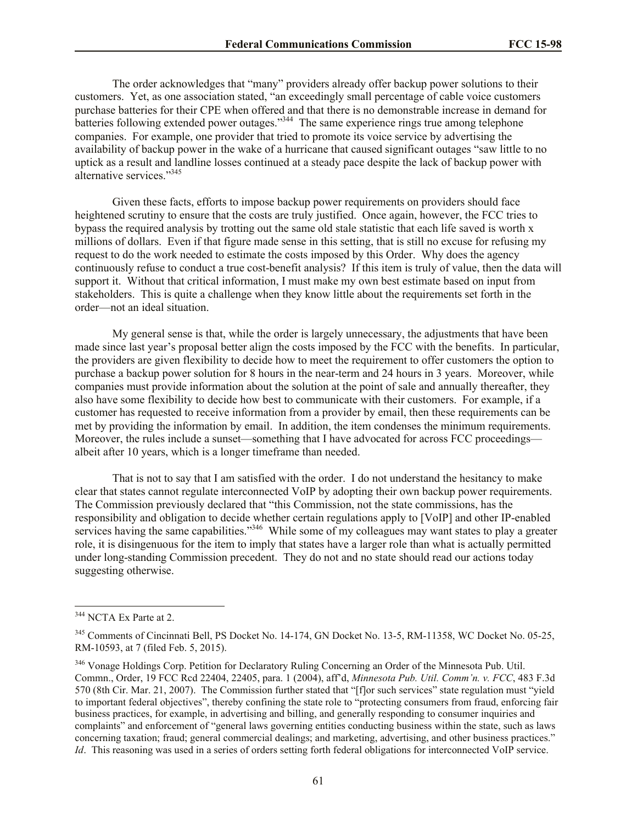The order acknowledges that "many" providers already offer backup power solutions to their customers. Yet, as one association stated, "an exceedingly small percentage of cable voice customers purchase batteries for their CPE when offered and that there is no demonstrable increase in demand for batteries following extended power outages."<sup>344</sup> The same experience rings true among telephone companies. For example, one provider that tried to promote its voice service by advertising the availability of backup power in the wake of a hurricane that caused significant outages "saw little to no uptick as a result and landline losses continued at a steady pace despite the lack of backup power with alternative services."<sup>345</sup>

Given these facts, efforts to impose backup power requirements on providers should face heightened scrutiny to ensure that the costs are truly justified. Once again, however, the FCC tries to bypass the required analysis by trotting out the same old stale statistic that each life saved is worth x millions of dollars. Even if that figure made sense in this setting, that is still no excuse for refusing my request to do the work needed to estimate the costs imposed by this Order. Why does the agency continuously refuse to conduct a true cost-benefit analysis? If this item is truly of value, then the data will support it. Without that critical information, I must make my own best estimate based on input from stakeholders. This is quite a challenge when they know little about the requirements set forth in the order—not an ideal situation.

My general sense is that, while the order is largely unnecessary, the adjustments that have been made since last year's proposal better align the costs imposed by the FCC with the benefits. In particular, the providers are given flexibility to decide how to meet the requirement to offer customers the option to purchase a backup power solution for 8 hours in the near-term and 24 hours in 3 years. Moreover, while companies must provide information about the solution at the point of sale and annually thereafter, they also have some flexibility to decide how best to communicate with their customers. For example, if a customer has requested to receive information from a provider by email, then these requirements can be met by providing the information by email. In addition, the item condenses the minimum requirements. Moreover, the rules include a sunset—something that I have advocated for across FCC proceedings albeit after 10 years, which is a longer timeframe than needed.

That is not to say that I am satisfied with the order. I do not understand the hesitancy to make clear that states cannot regulate interconnected VoIP by adopting their own backup power requirements. The Commission previously declared that "this Commission, not the state commissions, has the responsibility and obligation to decide whether certain regulations apply to [VoIP] and other IP-enabled services having the same capabilities."<sup>346</sup> While some of my colleagues may want states to play a greater role, it is disingenuous for the item to imply that states have a larger role than what is actually permitted under long-standing Commission precedent. They do not and no state should read our actions today suggesting otherwise.

 $\overline{a}$ 

<sup>&</sup>lt;sup>344</sup> NCTA Ex Parte at 2.

<sup>&</sup>lt;sup>345</sup> Comments of Cincinnati Bell, PS Docket No. 14-174, GN Docket No. 13-5, RM-11358, WC Docket No. 05-25, RM-10593, at 7 (filed Feb. 5, 2015).

<sup>&</sup>lt;sup>346</sup> Vonage Holdings Corp. Petition for Declaratory Ruling Concerning an Order of the Minnesota Pub. Util. Commn., Order, 19 FCC Rcd 22404, 22405, para. 1 (2004), aff'd, *Minnesota Pub. Util. Comm'n. v. FCC*, 483 F.3d 570 (8th Cir. Mar. 21, 2007). The Commission further stated that "[f]or such services" state regulation must "yield to important federal objectives", thereby confining the state role to "protecting consumers from fraud, enforcing fair business practices, for example, in advertising and billing, and generally responding to consumer inquiries and complaints" and enforcement of "general laws governing entities conducting business within the state, such as laws concerning taxation; fraud; general commercial dealings; and marketing, advertising, and other business practices." *Id*. This reasoning was used in a series of orders setting forth federal obligations for interconnected VoIP service.